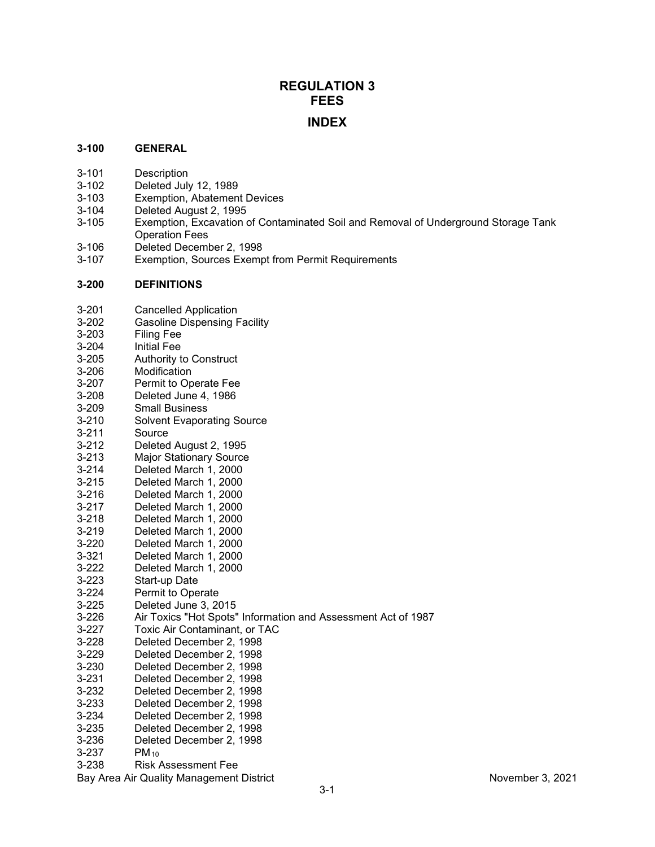# **REGULATION 3 FEES INDEX**

#### **3-100 GENERAL**

- 3-101 Description<br>3-102 Deleted July
- Deleted July 12, 1989
- 3-103 Exemption, Abatement Devices
- 3-104 Deleted August 2, 1995<br>3-105 Exemption, Excavation o
- Exemption, Excavation of Contaminated Soil and Removal of Underground Storage Tank Operation Fees
- 3-106 Deleted December 2, 1998<br>3-107 Exemption, Sources Exemp
- Exemption, Sources Exempt from Permit Requirements

#### **3-200 DEFINITIONS**

| $3 - 201$ | <b>Cancelled Application</b> |
|-----------|------------------------------|
|-----------|------------------------------|

- 3-202 Gasoline Dispensing Facility<br>3-203 Filing Fee
- Filing Fee
- 3-204 Initial Fee<br>3-205 Authority t
- 3-205 Authority to Construct<br>3-206 Modification
- Modification
- 3-207 Permit to Operate Fee<br>3-208 Deleted June 4. 1986
- Deleted June 4, 1986
- 3-209 Small Business
- 3-210 Solvent Evaporating Source<br>3-211 Source
- Source
- 3-212 Deleted August 2, 1995
- 3-213 Major Stationary Source
- Deleted March 1, 2000
- 3-215 Deleted March 1, 2000
- 3-216 Deleted March 1, 2000
- Deleted March 1, 2000
- 3-218 Deleted March 1, 2000
- 3-219 Deleted March 1, 2000
- Deleted March 1, 2000
- 3-321 Deleted March 1, 2000
- 3-222 Deleted March 1, 2000
- Start-up Date
- 3-224 Permit to Operate
- 3-225 Deleted June 3, 2015
- Air Toxics "Hot Spots" Information and Assessment Act of 1987
- 3-227 Toxic Air Contaminant, or TAC
- 3-228 Deleted December 2, 1998
- Deleted December 2, 1998
- 3-230 Deleted December 2, 1998
- 3-231 Deleted December 2, 1998
- 3-232 Deleted December 2, 1998
- 3-233 Deleted December 2, 1998
- 3-234 Deleted December 2, 1998
- 3-235 Deleted December 2, 1998
- 3-236 Deleted December 2, 1998
- 3-237 PM<sub>10</sub>
- 3-238 Risk Assessment Fee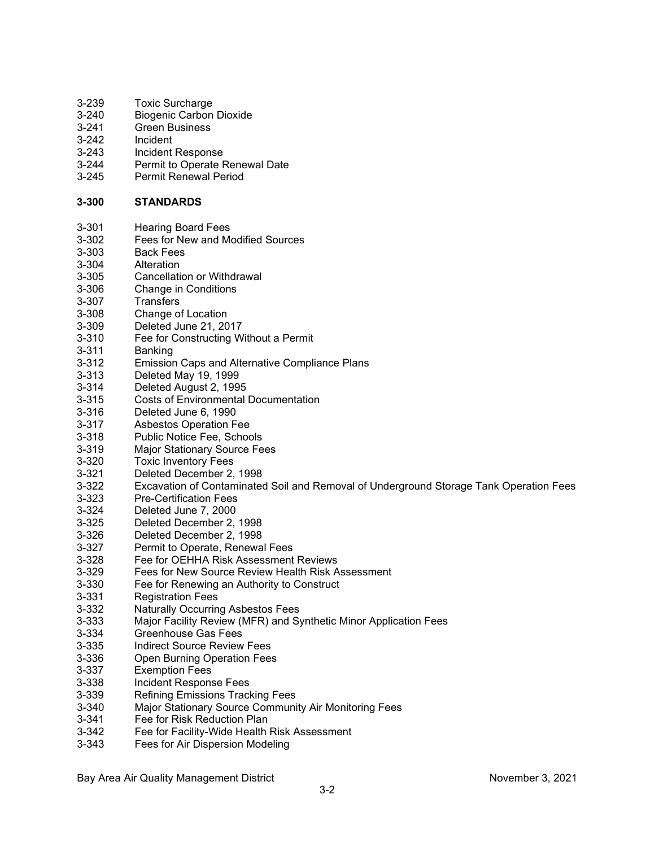| 3-239     | Toxic Surcharge                                                                        |
|-----------|----------------------------------------------------------------------------------------|
| $3 - 240$ | <b>Biogenic Carbon Dioxide</b>                                                         |
| $3 - 241$ | <b>Green Business</b>                                                                  |
| 3-242     | Incident                                                                               |
| $3 - 243$ | Incident Response                                                                      |
| $3 - 244$ | Permit to Operate Renewal Date                                                         |
| $3 - 245$ | <b>Permit Renewal Period</b>                                                           |
|           |                                                                                        |
| $3 - 300$ | <b>STANDARDS</b>                                                                       |
| $3 - 301$ | <b>Hearing Board Fees</b>                                                              |
| 3-302     | Fees for New and Modified Sources                                                      |
| 3-303     | <b>Back Fees</b>                                                                       |
| 3-304     | Alteration                                                                             |
| 3-305     | <b>Cancellation or Withdrawal</b>                                                      |
| 3-306     | <b>Change in Conditions</b>                                                            |
| $3 - 307$ | <b>Transfers</b>                                                                       |
| 3-308     | Change of Location                                                                     |
| 3-309     | Deleted June 21, 2017                                                                  |
| $3 - 310$ | Fee for Constructing Without a Permit                                                  |
| $3 - 311$ | Banking                                                                                |
| $3 - 312$ | <b>Emission Caps and Alternative Compliance Plans</b>                                  |
| $3 - 313$ | Deleted May 19, 1999                                                                   |
| $3 - 314$ | Deleted August 2, 1995                                                                 |
| $3 - 315$ | <b>Costs of Environmental Documentation</b>                                            |
| $3 - 316$ | Deleted June 6, 1990                                                                   |
| $3 - 317$ | <b>Asbestos Operation Fee</b>                                                          |
| $3 - 318$ | Public Notice Fee, Schools                                                             |
| 3-319     | <b>Major Stationary Source Fees</b>                                                    |
| 3-320     | <b>Toxic Inventory Fees</b>                                                            |
| $3 - 321$ | Deleted December 2, 1998                                                               |
| 3-322     | Excavation of Contaminated Soil and Removal of Underground Storage Tank Operation Fees |
| 3-323     | <b>Pre-Certification Fees</b>                                                          |
| $3 - 324$ | Deleted June 7, 2000                                                                   |
| 3-325     | Deleted December 2, 1998                                                               |
| 3-326     | Deleted December 2, 1998                                                               |
| $3 - 327$ | Permit to Operate, Renewal Fees                                                        |
| 3-328     | Fee for OEHHA Risk Assessment Reviews                                                  |
| 3-329     | Fees for New Source Review Health Risk Assessment                                      |
| 3-330     | Fee for Renewing an Authority to Construct                                             |
| $3 - 331$ | <b>Registration Fees</b>                                                               |
| $3 - 332$ | <b>Naturally Occurring Asbestos Fees</b>                                               |
| 3-333     | Major Facility Review (MFR) and Synthetic Minor Application Fees                       |
| 3-334     | <b>Greenhouse Gas Fees</b>                                                             |
| 3-335     | <b>Indirect Source Review Fees</b>                                                     |
| 3-336     | <b>Open Burning Operation Fees</b>                                                     |
| 3-337     | <b>Exemption Fees</b>                                                                  |
| 3-338     | Incident Response Fees                                                                 |
| 3-339     | <b>Refining Emissions Tracking Fees</b>                                                |
| 3-340     | Major Stationary Source Community Air Monitoring Fees                                  |
| $3 - 341$ | Fee for Risk Reduction Plan                                                            |
| $3 - 342$ | Fee for Facility-Wide Health Risk Assessment                                           |
| $3 - 343$ | Fees for Air Dispersion Modeling                                                       |
|           |                                                                                        |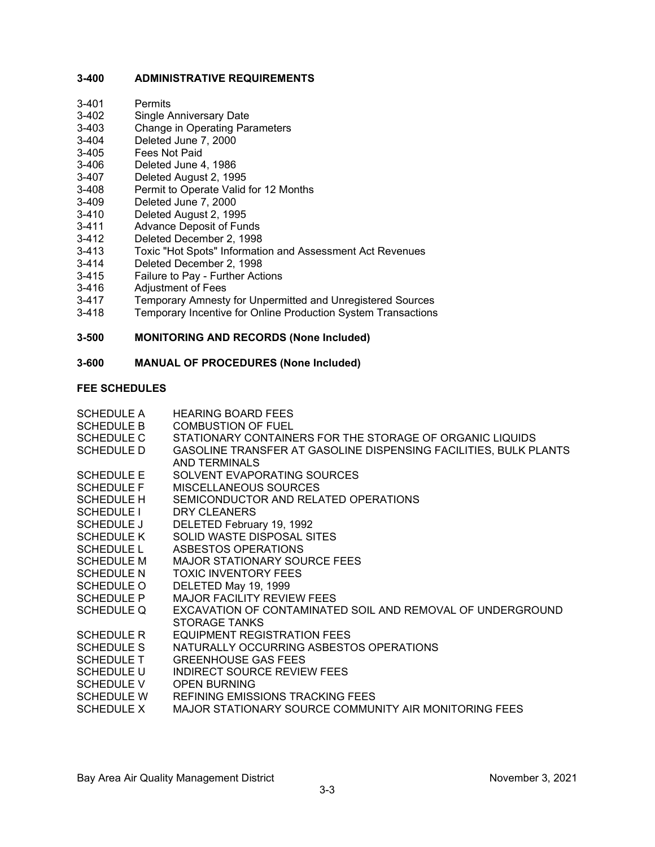### **3-400 ADMINISTRATIVE REQUIREMENTS**

- 3-402 Single Anniversary Date<br>3-403 Change in Operating Par
- 3-403 Change in Operating Parameters<br>3-404 Deleted June 7, 2000
- 3-404 Deleted June 7, 2000
- 3-405 Fees Not Paid<br>3-406 Deleted June 4
- Deleted June 4, 1986
- 3-407 Deleted August 2, 1995
- 3-408 Permit to Operate Valid for 12 Months<br>3-409 Deleted June 7, 2000
- Deleted June 7, 2000
- 3-410 Deleted August 2, 1995<br>3-411 Advance Deposit of Fun
- 
- 3-411 Advance Deposit of Funds Deleted December 2, 1998
- 3-413 Toxic "Hot Spots" Information and Assessment Act Revenues
- 
- 3-414 Deleted December 2, 1998<br>3-415 Failure to Pay Further Acti 3-415 Failure to Pay - Further Actions<br>3-416 Adiustment of Fees
- 3-416 Adjustment of Fees<br>3-417 Temporary Amnesty
- 3-417 Temporary Amnesty for Unpermitted and Unregistered Sources<br>3-418 Temporary Incentive for Online Production System Transactions
- Temporary Incentive for Online Production System Transactions

#### **3-500 MONITORING AND RECORDS (None Included)**

#### **3-600 MANUAL OF PROCEDURES (None Included)**

#### **FEE SCHEDULES**

| <b>SCHEDULE A</b> | <b>HEARING BOARD FEES</b>                                        |
|-------------------|------------------------------------------------------------------|
| <b>SCHEDULE B</b> | <b>COMBUSTION OF FUEL</b>                                        |
| <b>SCHEDULE C</b> | STATIONARY CONTAINERS FOR THE STORAGE OF ORGANIC LIQUIDS         |
| <b>SCHEDULE D</b> | GASOLINE TRANSFER AT GASOLINE DISPENSING FACILITIES, BULK PLANTS |
|                   | AND TERMINALS                                                    |
| <b>SCHEDULE E</b> | SOLVENT EVAPORATING SOURCES                                      |
| <b>SCHEDULE F</b> | MISCELLANEOUS SOURCES                                            |
| <b>SCHEDULE H</b> | SEMICONDUCTOR AND RELATED OPERATIONS                             |
| <b>SCHEDULE I</b> | DRY CLEANERS                                                     |
| <b>SCHEDULE J</b> | DELETED February 19, 1992                                        |
| <b>SCHEDULE K</b> | SOLID WASTE DISPOSAL SITES                                       |
| <b>SCHEDULE L</b> | ASBESTOS OPERATIONS                                              |
| <b>SCHEDULE M</b> | <b>MAJOR STATIONARY SOURCE FEES</b>                              |
| <b>SCHEDULE N</b> | <b>TOXIC INVENTORY FEES</b>                                      |
| <b>SCHEDULE O</b> | DELETED May 19, 1999                                             |
| <b>SCHEDULE P</b> | <b>MAJOR FACILITY REVIEW FEES</b>                                |
| <b>SCHEDULE Q</b> | EXCAVATION OF CONTAMINATED SOIL AND REMOVAL OF UNDERGROUND       |
|                   | STORAGE TANKS                                                    |
| <b>SCHEDULE R</b> | <b>EQUIPMENT REGISTRATION FEES</b>                               |
| <b>SCHEDULE S</b> | NATURALLY OCCURRING ASBESTOS OPERATIONS                          |
| <b>SCHEDULE T</b> | <b>GREENHOUSE GAS FEES</b>                                       |
| <b>SCHEDULE U</b> | <b>INDIRECT SOURCE REVIEW FEES</b>                               |
| <b>SCHEDULE V</b> | <b>OPEN BURNING</b>                                              |
| <b>SCHEDULE W</b> | REFINING EMISSIONS TRACKING FEES                                 |
| <b>SCHEDULE X</b> | MAJOR STATIONARY SOURCE COMMUNITY AIR MONITORING FEES            |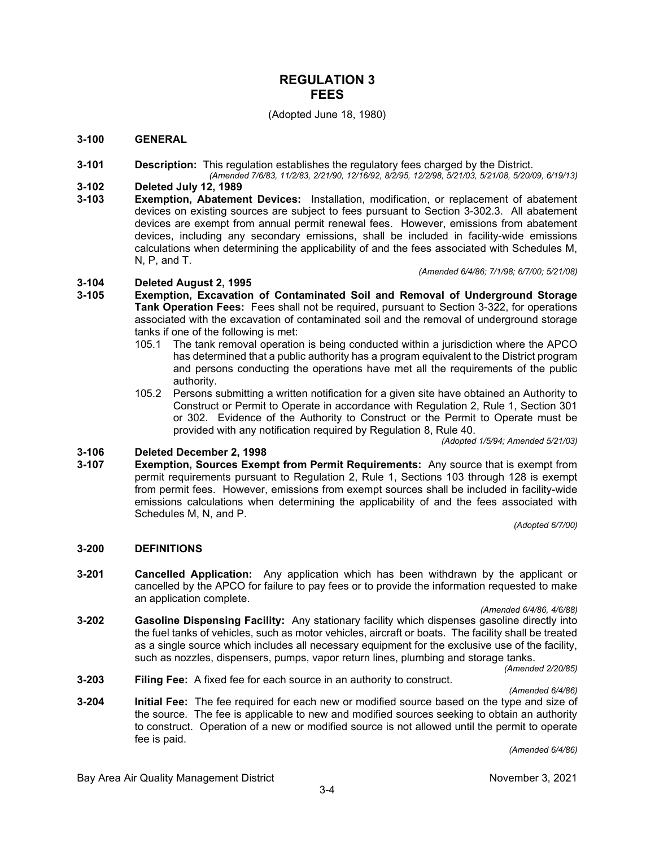### **REGULATION 3 FEES**

#### (Adopted June 18, 1980)

#### **3-100 GENERAL**

- **3-101 Description:** This regulation establishes the regulatory fees charged by the District.
- *(Amended 7/6/83, 11/2/83, 2/21/90, 12/16/92, 8/2/95, 12/2/98, 5/21/03, 5/21/08, 5/20/09, 6/19/13)* **3-102 Deleted July 12, 1989**
- **3-103 Exemption, Abatement Devices:** Installation, modification, or replacement of abatement devices on existing sources are subject to fees pursuant to Section 3-302.3. All abatement devices are exempt from annual permit renewal fees. However, emissions from abatement devices, including any secondary emissions, shall be included in facility-wide emissions calculations when determining the applicability of and the fees associated with Schedules M, N, P, and T.

*(Amended 6/4/86; 7/1/98; 6/7/00; 5/21/08)*

# **3-104 Deleted August 2, 1995**

- **3-105 Exemption, Excavation of Contaminated Soil and Removal of Underground Storage Tank Operation Fees:** Fees shall not be required, pursuant to Section 3-322, for operations associated with the excavation of contaminated soil and the removal of underground storage tanks if one of the following is met:
	- 105.1 The tank removal operation is being conducted within a jurisdiction where the APCO has determined that a public authority has a program equivalent to the District program and persons conducting the operations have met all the requirements of the public authority.
	- 105.2 Persons submitting a written notification for a given site have obtained an Authority to Construct or Permit to Operate in accordance with Regulation 2, Rule 1, Section 301 or 302. Evidence of the Authority to Construct or the Permit to Operate must be provided with any notification required by Regulation 8, Rule 40.

*(Adopted 1/5/94; Amended 5/21/03)*

# **3-106 Deleted December 2, 1998**

**Exemption, Sources Exempt from Permit Requirements:** Any source that is exempt from permit requirements pursuant to Regulation 2, Rule 1, Sections 103 through 128 is exempt from permit fees. However, emissions from exempt sources shall be included in facility-wide emissions calculations when determining the applicability of and the fees associated with Schedules M, N, and P.

*(Adopted 6/7/00)*

#### **3-200 DEFINITIONS**

**3-201 Cancelled Application:** Any application which has been withdrawn by the applicant or cancelled by the APCO for failure to pay fees or to provide the information requested to make an application complete.

*(Amended 6/4/86, 4/6/88)*

- **3-202 Gasoline Dispensing Facility:** Any stationary facility which dispenses gasoline directly into the fuel tanks of vehicles, such as motor vehicles, aircraft or boats. The facility shall be treated as a single source which includes all necessary equipment for the exclusive use of the facility, such as nozzles, dispensers, pumps, vapor return lines, plumbing and storage tanks. *(Amended 2/20/85)*
- **3-203 Filing Fee:** A fixed fee for each source in an authority to construct.

*(Amended 6/4/86)*

**3-204 Initial Fee:** The fee required for each new or modified source based on the type and size of the source. The fee is applicable to new and modified sources seeking to obtain an authority to construct. Operation of a new or modified source is not allowed until the permit to operate fee is paid.

*(Amended 6/4/86)*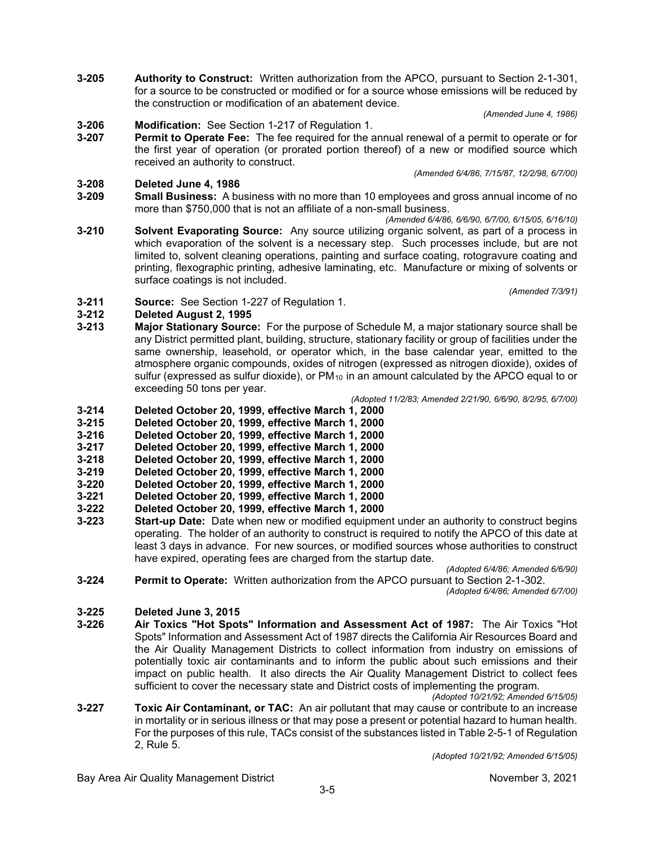**3-205 Authority to Construct:** Written authorization from the APCO, pursuant to Section 2-1-301, for a source to be constructed or modified or for a source whose emissions will be reduced by the construction or modification of an abatement device.

*(Amended June 4, 1986)*

# **3-206 Modification:** See Section 1-217 of Regulation 1.

**3-207 Permit to Operate Fee:** The fee required for the annual renewal of a permit to operate or for the first year of operation (or prorated portion thereof) of a new or modified source which received an authority to construct. *(Amended 6/4/86, 7/15/87, 12/2/98, 6/7/00)*

# **3-208 Deleted June 4, 1986**

**Small Business:** A business with no more than 10 employees and gross annual income of no more than \$750,000 that is not an affiliate of a non-small business.

*(Amended 6/4/86, 6/6/90, 6/7/00, 6/15/05, 6/16/10)*

**3-210 Solvent Evaporating Source:** Any source utilizing organic solvent, as part of a process in which evaporation of the solvent is a necessary step. Such processes include, but are not limited to, solvent cleaning operations, painting and surface coating, rotogravure coating and printing, flexographic printing, adhesive laminating, etc. Manufacture or mixing of solvents or surface coatings is not included.

*(Amended 7/3/91)*

**3-211 Source:** See Section 1-227 of Regulation 1.

# **3-212 Deleted August 2, 1995**

**3-213 Major Stationary Source:** For the purpose of Schedule M, a major stationary source shall be any District permitted plant, building, structure, stationary facility or group of facilities under the same ownership, leasehold, or operator which, in the base calendar year, emitted to the atmosphere organic compounds, oxides of nitrogen (expressed as nitrogen dioxide), oxides of sulfur (expressed as sulfur dioxide), or  $PM_{10}$  in an amount calculated by the APCO equal to or exceeding 50 tons per year.

*(Adopted 11/2/83; Amended 2/21/90, 6/6/90, 8/2/95, 6/7/00)*

- **3-214 Deleted October 20, 1999, effective March 1, 2000**
- **3-215 Deleted October 20, 1999, effective March 1, 2000**
- **3-216 Deleted October 20, 1999, effective March 1, 2000**
- **3-217 Deleted October 20, 1999, effective March 1, 2000**
- **3-218 Deleted October 20, 1999, effective March 1, 2000**
- **3-219 Deleted October 20, 1999, effective March 1, 2000**
- **3-220 Deleted October 20, 1999, effective March 1, 2000**
- **3-221 Deleted October 20, 1999, effective March 1, 2000**
- **3-222 Deleted October 20, 1999, effective March 1, 2000**
- **Start-up Date:** Date when new or modified equipment under an authority to construct begins operating. The holder of an authority to construct is required to notify the APCO of this date at least 3 days in advance. For new sources, or modified sources whose authorities to construct have expired, operating fees are charged from the startup date.

*(Adopted 6/4/86; Amended 6/6/90)*

**3-224 Permit to Operate:** Written authorization from the APCO pursuant to Section 2-1-302. *(Adopted 6/4/86; Amended 6/7/00)*

# **3-225 Deleted June 3, 2015**

- **3-226 Air Toxics "Hot Spots" Information and Assessment Act of 1987:** The Air Toxics "Hot Spots" Information and Assessment Act of 1987 directs the California Air Resources Board and the Air Quality Management Districts to collect information from industry on emissions of potentially toxic air contaminants and to inform the public about such emissions and their impact on public health. It also directs the Air Quality Management District to collect fees sufficient to cover the necessary state and District costs of implementing the program.
- *(Adopted 10/21/92; Amended 6/15/05)* **3-227 Toxic Air Contaminant, or TAC:** An air pollutant that may cause or contribute to an increase in mortality or in serious illness or that may pose a present or potential hazard to human health. For the purposes of this rule, TACs consist of the substances listed in Table 2-5-1 of Regulation 2, Rule 5.

*(Adopted 10/21/92; Amended 6/15/05)*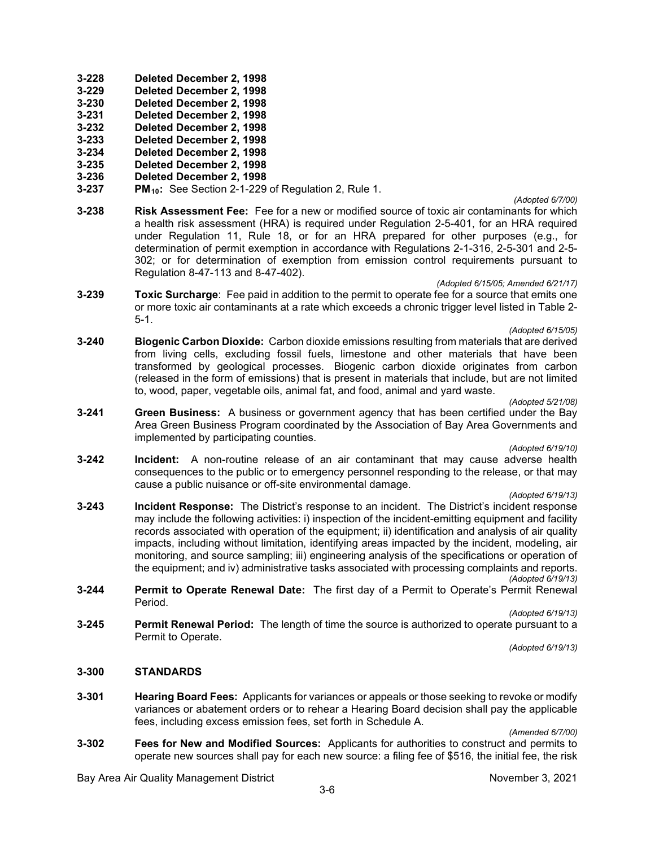- **3-228 Deleted December 2, 1998**
- **3-229 Deleted December 2, 1998**
- **3-230 Deleted December 2, 1998**
- **3-231 Deleted December 2, 1998**
- **3-232 Deleted December 2, 1998**
- **3-233 Deleted December 2, 1998**
- **3-234 Deleted December 2, 1998**
- **3-235 Deleted December 2, 1998**
- **3-236 Deleted December 2, 1998**
- **3-237 PM10:** See Section 2-1-229 of Regulation 2, Rule 1.

#### *(Adopted 6/7/00)*

**3-238 Risk Assessment Fee:** Fee for a new or modified source of toxic air contaminants for which a health risk assessment (HRA) is required under Regulation 2-5-401, for an HRA required under Regulation 11, Rule 18, or for an HRA prepared for other purposes (e.g., for determination of permit exemption in accordance with Regulations 2-1-316, 2-5-301 and 2-5- 302; or for determination of exemption from emission control requirements pursuant to Regulation 8-47-113 and 8-47-402).

#### *(Adopted 6/15/05; Amended 6/21/17)*

**3-239 Toxic Surcharge**: Fee paid in addition to the permit to operate fee for a source that emits one or more toxic air contaminants at a rate which exceeds a chronic trigger level listed in Table 2- 5-1.

#### *(Adopted 6/15/05)*

**3-240 Biogenic Carbon Dioxide:** Carbon dioxide emissions resulting from materials that are derived from living cells, excluding fossil fuels, limestone and other materials that have been transformed by geological processes. Biogenic carbon dioxide originates from carbon (released in the form of emissions) that is present in materials that include, but are not limited to, wood, paper, vegetable oils, animal fat, and food, animal and yard waste.

*(Adopted 5/21/08)*

**3-241 Green Business:** A business or government agency that has been certified under the Bay Area Green Business Program coordinated by the Association of Bay Area Governments and implemented by participating counties.

*(Adopted 6/19/10)*

**3-242 Incident:** A non-routine release of an air contaminant that may cause adverse health consequences to the public or to emergency personnel responding to the release, or that may cause a public nuisance or off-site environmental damage.

### *(Adopted 6/19/13)*

**3-243 Incident Response:** The District's response to an incident. The District's incident response may include the following activities: i) inspection of the incident-emitting equipment and facility records associated with operation of the equipment; ii) identification and analysis of air quality impacts, including without limitation, identifying areas impacted by the incident, modeling, air monitoring, and source sampling; iii) engineering analysis of the specifications or operation of the equipment; and iv) administrative tasks associated with processing complaints and reports.

*(Adopted 6/19/13)*

**3-244 Permit to Operate Renewal Date:** The first day of a Permit to Operate's Permit Renewal Period.

#### *(Adopted 6/19/13)*

**3-245 Permit Renewal Period:** The length of time the source is authorized to operate pursuant to a Permit to Operate.

*(Adopted 6/19/13)*

#### **3-300 STANDARDS**

**3-301 Hearing Board Fees:** Applicants for variances or appeals or those seeking to revoke or modify variances or abatement orders or to rehear a Hearing Board decision shall pay the applicable fees, including excess emission fees, set forth in Schedule A.

*(Amended 6/7/00)*

**3-302 Fees for New and Modified Sources:** Applicants for authorities to construct and permits to operate new sources shall pay for each new source: a filing fee of \$516, the initial fee, the risk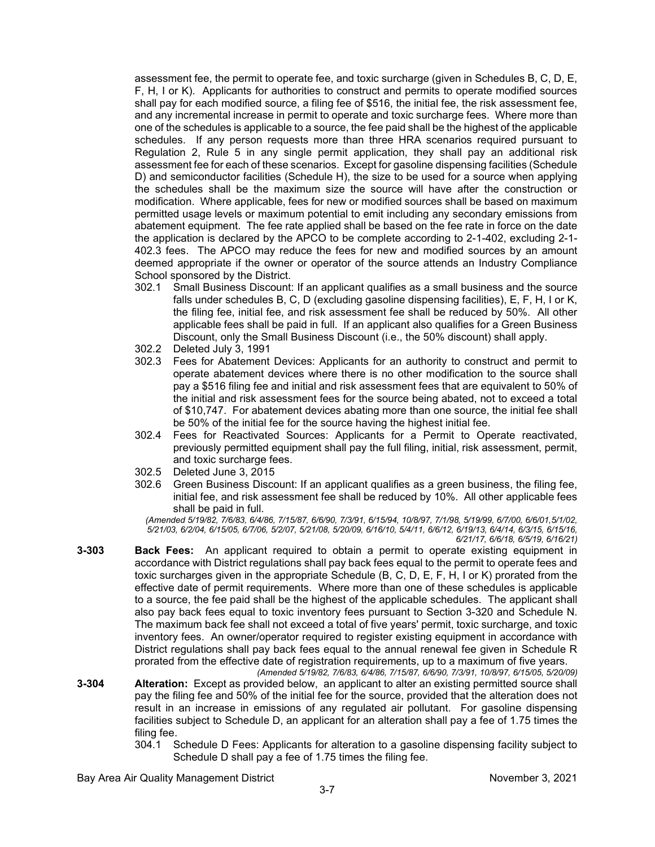assessment fee, the permit to operate fee, and toxic surcharge (given in Schedules B, C, D, E, F, H, I or K). Applicants for authorities to construct and permits to operate modified sources shall pay for each modified source, a filing fee of \$516, the initial fee, the risk assessment fee, and any incremental increase in permit to operate and toxic surcharge fees. Where more than one of the schedules is applicable to a source, the fee paid shall be the highest of the applicable schedules. If any person requests more than three HRA scenarios required pursuant to Regulation 2, Rule 5 in any single permit application, they shall pay an additional risk assessment fee for each of these scenarios. Except for gasoline dispensing facilities (Schedule D) and semiconductor facilities (Schedule H), the size to be used for a source when applying the schedules shall be the maximum size the source will have after the construction or modification. Where applicable, fees for new or modified sources shall be based on maximum permitted usage levels or maximum potential to emit including any secondary emissions from abatement equipment. The fee rate applied shall be based on the fee rate in force on the date the application is declared by the APCO to be complete according to 2-1-402, excluding 2-1- 402.3 fees. The APCO may reduce the fees for new and modified sources by an amount deemed appropriate if the owner or operator of the source attends an Industry Compliance School sponsored by the District.

- 302.1 Small Business Discount: If an applicant qualifies as a small business and the source falls under schedules B, C, D (excluding gasoline dispensing facilities), E, F, H, I or K, the filing fee, initial fee, and risk assessment fee shall be reduced by 50%. All other applicable fees shall be paid in full. If an applicant also qualifies for a Green Business Discount, only the Small Business Discount (i.e., the 50% discount) shall apply.
- 302.2 Deleted July 3, 1991
- 302.3 Fees for Abatement Devices: Applicants for an authority to construct and permit to operate abatement devices where there is no other modification to the source shall pay a \$516 filing fee and initial and risk assessment fees that are equivalent to 50% of the initial and risk assessment fees for the source being abated, not to exceed a total of \$10,747. For abatement devices abating more than one source, the initial fee shall be 50% of the initial fee for the source having the highest initial fee.
- 302.4 Fees for Reactivated Sources: Applicants for a Permit to Operate reactivated, previously permitted equipment shall pay the full filing, initial, risk assessment, permit, and toxic surcharge fees.
- 302.5 Deleted June 3, 2015
- 302.6 Green Business Discount: If an applicant qualifies as a green business, the filing fee, initial fee, and risk assessment fee shall be reduced by 10%. All other applicable fees shall be paid in full.

*(Amended 5/19/82, 7/6/83, 6/4/86, 7/15/87, 6/6/90, 7/3/91, 6/15/94, 10/8/97, 7/1/98, 5/19/99, 6/7/00, 6/6/01,5/1/02, 5/21/03, 6/2/04, 6/15/05, 6/7/06, 5/2/07, 5/21/08, 5/20/09, 6/16/10, 5/4/11, 6/6/12, 6/19/13, 6/4/14, 6/3/15, 6/15/16, 6/21/17, 6/6/18, 6/5/19, 6/16/21)*

- **3-303 Back Fees:** An applicant required to obtain a permit to operate existing equipment in accordance with District regulations shall pay back fees equal to the permit to operate fees and toxic surcharges given in the appropriate Schedule (B, C, D, E, F, H, I or K) prorated from the effective date of permit requirements. Where more than one of these schedules is applicable to a source, the fee paid shall be the highest of the applicable schedules. The applicant shall also pay back fees equal to toxic inventory fees pursuant to Section 3-320 and Schedule N. The maximum back fee shall not exceed a total of five years' permit, toxic surcharge, and toxic inventory fees. An owner/operator required to register existing equipment in accordance with District regulations shall pay back fees equal to the annual renewal fee given in Schedule R prorated from the effective date of registration requirements, up to a maximum of five years.
- *(Amended 5/19/82, 7/6/83, 6/4/86, 7/15/87, 6/6/90, 7/3/91, 10/8/97, 6/15/05, 5/20/09)* **3-304 Alteration:** Except as provided below, an applicant to alter an existing permitted source shall pay the filing fee and 50% of the initial fee for the source, provided that the alteration does not result in an increase in emissions of any regulated air pollutant. For gasoline dispensing facilities subject to Schedule D, an applicant for an alteration shall pay a fee of 1.75 times the filing fee.
	- 304.1 Schedule D Fees: Applicants for alteration to a gasoline dispensing facility subject to Schedule D shall pay a fee of 1.75 times the filing fee.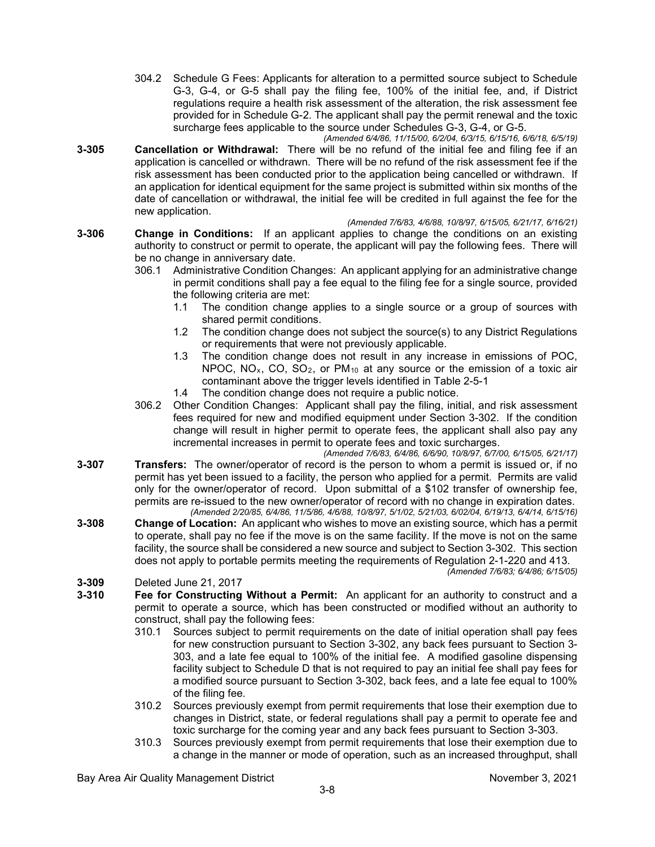- 304.2 Schedule G Fees: Applicants for alteration to a permitted source subject to Schedule G-3, G-4, or G-5 shall pay the filing fee, 100% of the initial fee, and, if District regulations require a health risk assessment of the alteration, the risk assessment fee provided for in Schedule G-2. The applicant shall pay the permit renewal and the toxic surcharge fees applicable to the source under Schedules G-3, G-4, or G-5.
- *(Amended 6/4/86, 11/15/00, 6/2/04, 6/3/15, 6/15/16, 6/6/18, 6/5/19)* **3-305 Cancellation or Withdrawal:** There will be no refund of the initial fee and filing fee if an application is cancelled or withdrawn. There will be no refund of the risk assessment fee if the risk assessment has been conducted prior to the application being cancelled or withdrawn. If an application for identical equipment for the same project is submitted within six months of the date of cancellation or withdrawal, the initial fee will be credited in full against the fee for the new application.
	- *(Amended 7/6/83, 4/6/88, 10/8/97, 6/15/05, 6/21/17, 6/16/21)*
- **3-306 Change in Conditions:** If an applicant applies to change the conditions on an existing authority to construct or permit to operate, the applicant will pay the following fees. There will be no change in anniversary date.
	- 306.1 Administrative Condition Changes: An applicant applying for an administrative change in permit conditions shall pay a fee equal to the filing fee for a single source, provided the following criteria are met:
		- 1.1 The condition change applies to a single source or a group of sources with shared permit conditions.
		- 1.2 The condition change does not subject the source(s) to any District Regulations or requirements that were not previously applicable.
		- 1.3 The condition change does not result in any increase in emissions of POC, NPOC,  $NO_x$ ,  $CO$ ,  $SO_2$ , or  $PM_{10}$  at any source or the emission of a toxic air contaminant above the trigger levels identified in Table 2-5-1
		- 1.4 The condition change does not require a public notice.
	- 306.2 Other Condition Changes: Applicant shall pay the filing, initial, and risk assessment fees required for new and modified equipment under Section 3-302. If the condition change will result in higher permit to operate fees, the applicant shall also pay any incremental increases in permit to operate fees and toxic surcharges.
- *(Amended 7/6/83, 6/4/86, 6/6/90, 10/8/97, 6/7/00, 6/15/05, 6/21/17)* **3-307 Transfers:** The owner/operator of record is the person to whom a permit is issued or, if no permit has yet been issued to a facility, the person who applied for a permit. Permits are valid only for the owner/operator of record. Upon submittal of a \$102 transfer of ownership fee, permits are re-issued to the new owner/operator of record with no change in expiration dates. *(Amended 2/20/85, 6/4/86, 11/5/86, 4/6/88, 10/8/97, 5/1/02, 5/21/03, 6/02/04, 6/19/13, 6/4/14, 6/15/16)*
- **3-308 Change of Location:** An applicant who wishes to move an existing source, which has a permit to operate, shall pay no fee if the move is on the same facility. If the move is not on the same facility, the source shall be considered a new source and subject to Section 3-302. This section does not apply to portable permits meeting the requirements of Regulation 2-1-220 and 413. *(Amended 7/6/83; 6/4/86; 6/15/05)*

- **3-309** Deleted June 21, 2017 **3-310 Fee for Constructing Without a Permit:** An applicant for an authority to construct and a permit to operate a source, which has been constructed or modified without an authority to construct, shall pay the following fees:
	- 310.1 Sources subject to permit requirements on the date of initial operation shall pay fees for new construction pursuant to Section 3-302, any back fees pursuant to Section 3- 303, and a late fee equal to 100% of the initial fee. A modified gasoline dispensing facility subject to Schedule D that is not required to pay an initial fee shall pay fees for a modified source pursuant to Section 3-302, back fees, and a late fee equal to 100% of the filing fee.
	- 310.2 Sources previously exempt from permit requirements that lose their exemption due to changes in District, state, or federal regulations shall pay a permit to operate fee and toxic surcharge for the coming year and any back fees pursuant to Section 3-303.
	- 310.3 Sources previously exempt from permit requirements that lose their exemption due to a change in the manner or mode of operation, such as an increased throughput, shall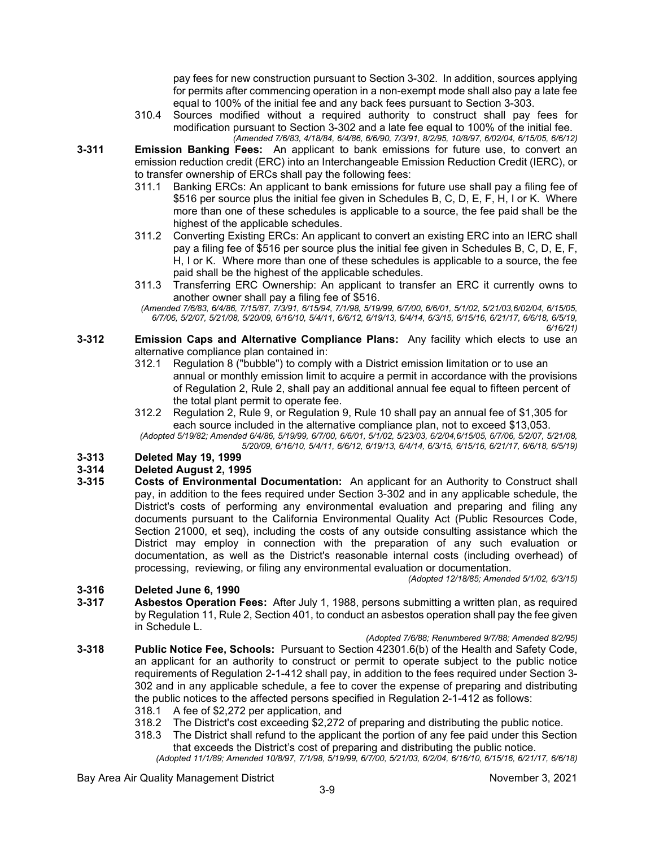pay fees for new construction pursuant to Section 3-302. In addition, sources applying for permits after commencing operation in a non-exempt mode shall also pay a late fee equal to 100% of the initial fee and any back fees pursuant to Section 3-303.

- 310.4 Sources modified without a required authority to construct shall pay fees for modification pursuant to Section 3-302 and a late fee equal to 100% of the initial fee. *(Amended 7/6/83, 4/18/84, 6/4/86, 6/6/90, 7/3/91, 8/2/95, 10/8/97, 6/02/04, 6/15/05, 6/6/12)*
- **3-311 Emission Banking Fees:** An applicant to bank emissions for future use, to convert an emission reduction credit (ERC) into an Interchangeable Emission Reduction Credit (IERC), or to transfer ownership of ERCs shall pay the following fees:
	- 311.1 Banking ERCs: An applicant to bank emissions for future use shall pay a filing fee of \$516 per source plus the initial fee given in Schedules B, C, D, E, F, H, I or K. Where more than one of these schedules is applicable to a source, the fee paid shall be the highest of the applicable schedules.
	- 311.2 Converting Existing ERCs: An applicant to convert an existing ERC into an IERC shall pay a filing fee of \$516 per source plus the initial fee given in Schedules B, C, D, E, F, H, I or K. Where more than one of these schedules is applicable to a source, the fee paid shall be the highest of the applicable schedules.
	- 311.3 Transferring ERC Ownership: An applicant to transfer an ERC it currently owns to another owner shall pay a filing fee of \$516.

*(Amended 7/6/83, 6/4/86, 7/15/87, 7/3/91, 6/15/94, 7/1/98, 5/19/99, 6/7/00, 6/6/01, 5/1/02, 5/21/03,6/02/04, 6/15/05, 6/7/06, 5/2/07, 5/21/08, 5/20/09, 6/16/10, 5/4/11, 6/6/12, 6/19/13, 6/4/14, 6/3/15, 6/15/16, 6/21/17, 6/6/18, 6/5/19, 6/16/21)*

- **3-312 Emission Caps and Alternative Compliance Plans:** Any facility which elects to use an alternative compliance plan contained in:
	- 312.1 Regulation 8 ("bubble") to comply with a District emission limitation or to use an annual or monthly emission limit to acquire a permit in accordance with the provisions of Regulation 2, Rule 2, shall pay an additional annual fee equal to fifteen percent of the total plant permit to operate fee.
	- 312.2 Regulation 2, Rule 9, or Regulation 9, Rule 10 shall pay an annual fee of \$1,305 for each source included in the alternative compliance plan, not to exceed \$13,053.

*(Adopted 5/19/82; Amended 6/4/86, 5/19/99, 6/7/00, 6/6/01, 5/1/02, 5/23/03, 6/2/04,6/15/05, 6/7/06, 5/2/07, 5/21/08, 5/20/09, 6/16/10, 5/4/11, 6/6/12, 6/19/13, 6/4/14, 6/3/15, 6/15/16, 6/21/17, 6/6/18, 6/5/19)*

# **3-313 Deleted May 19, 1999**

# **3-314 Deleted August 2, 1995**

**3-315 Costs of Environmental Documentation:** An applicant for an Authority to Construct shall pay, in addition to the fees required under Section 3-302 and in any applicable schedule, the District's costs of performing any environmental evaluation and preparing and filing any documents pursuant to the California Environmental Quality Act (Public Resources Code, Section 21000, et seq), including the costs of any outside consulting assistance which the District may employ in connection with the preparation of any such evaluation or documentation, as well as the District's reasonable internal costs (including overhead) of processing, reviewing, or filing any environmental evaluation or documentation.

*(Adopted 12/18/85; Amended 5/1/02, 6/3/15)*

### **3-316 Deleted June 6, 1990**

- **3-317 Asbestos Operation Fees:** After July 1, 1988, persons submitting a written plan, as required by Regulation 11, Rule 2, Section 401, to conduct an asbestos operation shall pay the fee given in Schedule L.
- *(Adopted 7/6/88; Renumbered 9/7/88; Amended 8/2/95)* **3-318 Public Notice Fee, Schools:** Pursuant to Section 42301.6(b) of the Health and Safety Code, an applicant for an authority to construct or permit to operate subject to the public notice requirements of Regulation 2-1-412 shall pay, in addition to the fees required under Section 3- 302 and in any applicable schedule, a fee to cover the expense of preparing and distributing the public notices to the affected persons specified in Regulation 2-1-412 as follows:
	- 318.1 A fee of \$2,272 per application, and
	- 318.2 The District's cost exceeding \$2,272 of preparing and distributing the public notice.
	- The District shall refund to the applicant the portion of any fee paid under this Section that exceeds the District's cost of preparing and distributing the public notice.
		- *(Adopted 11/1/89; Amended 10/8/97, 7/1/98, 5/19/99, 6/7/00, 5/21/03, 6/2/04, 6/16/10, 6/15/16, 6/21/17, 6/6/18)*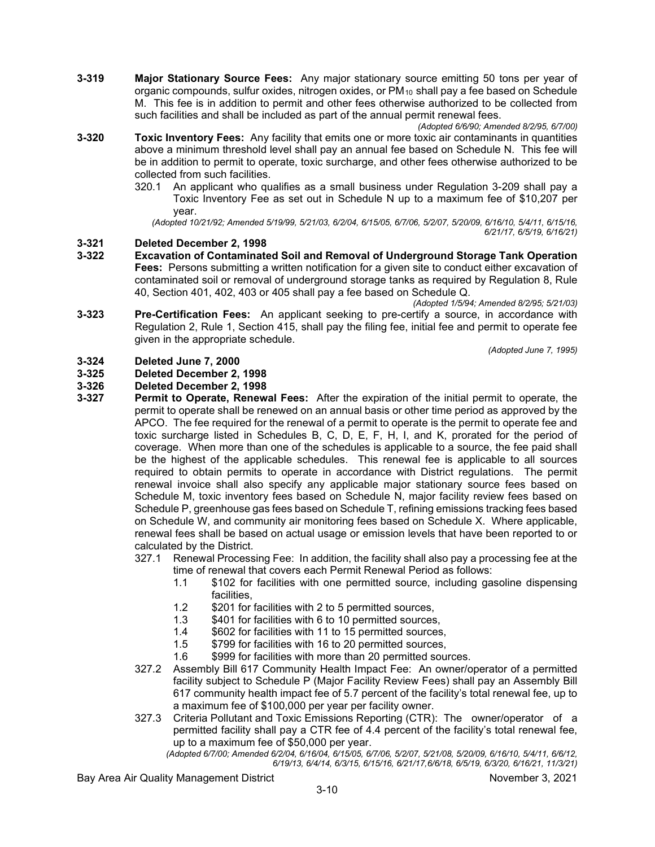**3-319 Major Stationary Source Fees:** Any major stationary source emitting 50 tons per year of organic compounds, sulfur oxides, nitrogen oxides, or PM10 shall pay a fee based on Schedule M. This fee is in addition to permit and other fees otherwise authorized to be collected from such facilities and shall be included as part of the annual permit renewal fees.

*(Adopted 6/6/90; Amended 8/2/95, 6/7/00)*

- **3-320 Toxic Inventory Fees:** Any facility that emits one or more toxic air contaminants in quantities above a minimum threshold level shall pay an annual fee based on Schedule N. This fee will be in addition to permit to operate, toxic surcharge, and other fees otherwise authorized to be collected from such facilities.
	- 320.1 An applicant who qualifies as a small business under Regulation 3-209 shall pay a Toxic Inventory Fee as set out in Schedule N up to a maximum fee of \$10,207 per year.

*(Adopted 10/21/92; Amended 5/19/99, 5/21/03, 6/2/04, 6/15/05, 6/7/06, 5/2/07, 5/20/09, 6/16/10, 5/4/11, 6/15/16, 6/21/17, 6/5/19, 6/16/21)*

# **3-321 Deleted December 2, 1998**

**3-322 Excavation of Contaminated Soil and Removal of Underground Storage Tank Operation Fees:** Persons submitting a written notification for a given site to conduct either excavation of contaminated soil or removal of underground storage tanks as required by Regulation 8, Rule 40, Section 401, 402, 403 or 405 shall pay a fee based on Schedule Q.

*(Adopted 1/5/94; Amended 8/2/95; 5/21/03)*

**3-323 Pre-Certification Fees:** An applicant seeking to pre-certify a source, in accordance with Regulation 2, Rule 1, Section 415, shall pay the filing fee, initial fee and permit to operate fee given in the appropriate schedule.

*(Adopted June 7, 1995)*

# **3-324 Deleted June 7, 2000**

#### **3-325 Deleted December 2, 1998**

#### **3-326 Deleted December 2, 1998**

- **3-327 Permit to Operate, Renewal Fees:** After the expiration of the initial permit to operate, the permit to operate shall be renewed on an annual basis or other time period as approved by the APCO. The fee required for the renewal of a permit to operate is the permit to operate fee and toxic surcharge listed in Schedules B, C, D, E, F, H, I, and K, prorated for the period of coverage. When more than one of the schedules is applicable to a source, the fee paid shall be the highest of the applicable schedules. This renewal fee is applicable to all sources required to obtain permits to operate in accordance with District regulations. The permit renewal invoice shall also specify any applicable major stationary source fees based on Schedule M, toxic inventory fees based on Schedule N, major facility review fees based on Schedule P, greenhouse gas fees based on Schedule T, refining emissions tracking fees based on Schedule W, and community air monitoring fees based on Schedule X. Where applicable, renewal fees shall be based on actual usage or emission levels that have been reported to or calculated by the District.
	- 327.1 Renewal Processing Fee: In addition, the facility shall also pay a processing fee at the time of renewal that covers each Permit Renewal Period as follows:
		- 1.1 \$102 for facilities with one permitted source, including gasoline dispensing facilities,
		- 1.2 \$201 for facilities with 2 to 5 permitted sources,<br>1.3 \$401 for facilities with 6 to 10 permitted sources
		- \$401 for facilities with 6 to 10 permitted sources,
		- 1.4 \$602 for facilities with 11 to 15 permitted sources,
		- 1.5 \$799 for facilities with 16 to 20 permitted sources,
		- 1.6 \$999 for facilities with more than 20 permitted sources.
	- 327.2 Assembly Bill 617 Community Health Impact Fee: An owner/operator of a permitted facility subject to Schedule P (Major Facility Review Fees) shall pay an Assembly Bill 617 community health impact fee of 5.7 percent of the facility's total renewal fee, up to a maximum fee of \$100,000 per year per facility owner.
	- 327.3 Criteria Pollutant and Toxic Emissions Reporting (CTR): The owner/operator of a permitted facility shall pay a CTR fee of 4.4 percent of the facility's total renewal fee, up to a maximum fee of \$50,000 per year.

*(Adopted 6/7/00; Amended 6/2/04, 6/16/04, 6/15/05, 6/7/06, 5/2/07, 5/21/08, 5/20/09, 6/16/10, 5/4/11, 6/6/12, 6/19/13, 6/4/14, 6/3/15, 6/15/16, 6/21/17,6/6/18, 6/5/19, 6/3/20, 6/16/21, 11/3/21)*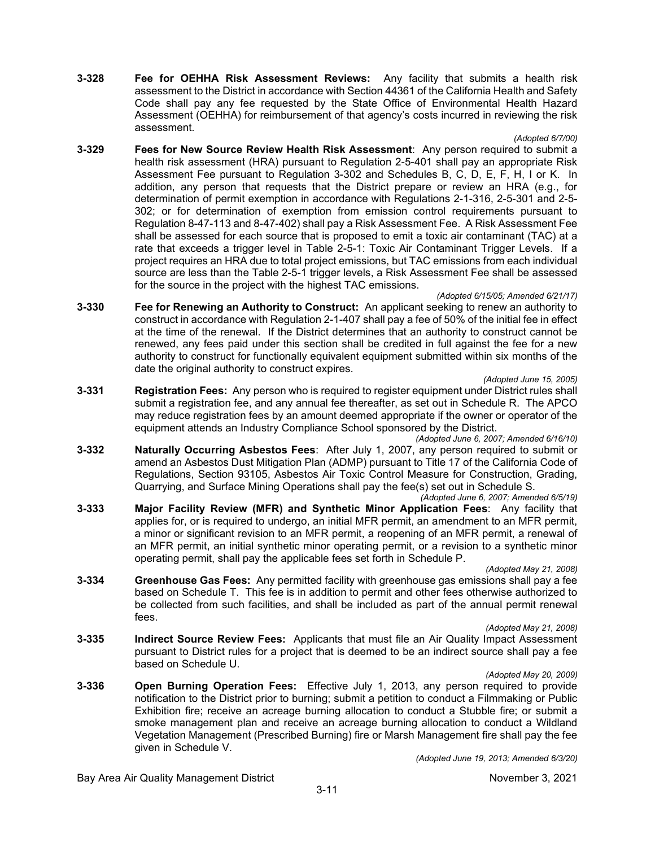**3-328 Fee for OEHHA Risk Assessment Reviews:** Any facility that submits a health risk assessment to the District in accordance with Section 44361 of the California Health and Safety Code shall pay any fee requested by the State Office of Environmental Health Hazard Assessment (OEHHA) for reimbursement of that agency's costs incurred in reviewing the risk assessment.

*(Adopted 6/7/00)*

**3-329 Fees for New Source Review Health Risk Assessment**: Any person required to submit a health risk assessment (HRA) pursuant to Regulation 2-5-401 shall pay an appropriate Risk Assessment Fee pursuant to Regulation 3-302 and Schedules B, C, D, E, F, H, I or K. In addition, any person that requests that the District prepare or review an HRA (e.g., for determination of permit exemption in accordance with Regulations 2-1-316, 2-5-301 and 2-5- 302; or for determination of exemption from emission control requirements pursuant to Regulation 8-47-113 and 8-47-402) shall pay a Risk Assessment Fee. A Risk Assessment Fee shall be assessed for each source that is proposed to emit a toxic air contaminant (TAC) at a rate that exceeds a trigger level in Table 2-5-1: Toxic Air Contaminant Trigger Levels. If a project requires an HRA due to total project emissions, but TAC emissions from each individual source are less than the Table 2-5-1 trigger levels, a Risk Assessment Fee shall be assessed for the source in the project with the highest TAC emissions.

#### *(Adopted 6/15/05; Amended 6/21/17)*

- **3-330 Fee for Renewing an Authority to Construct:** An applicant seeking to renew an authority to construct in accordance with Regulation 2-1-407 shall pay a fee of 50% of the initial fee in effect at the time of the renewal. If the District determines that an authority to construct cannot be renewed, any fees paid under this section shall be credited in full against the fee for a new authority to construct for functionally equivalent equipment submitted within six months of the date the original authority to construct expires.
	- *(Adopted June 15, 2005)*
- **3-331 Registration Fees:** Any person who is required to register equipment under District rules shall submit a registration fee, and any annual fee thereafter, as set out in Schedule R. The APCO may reduce registration fees by an amount deemed appropriate if the owner or operator of the equipment attends an Industry Compliance School sponsored by the District.
- *(Adopted June 6, 2007; Amended 6/16/10)* **3-332 Naturally Occurring Asbestos Fees**: After July 1, 2007, any person required to submit or amend an Asbestos Dust Mitigation Plan (ADMP) pursuant to Title 17 of the California Code of Regulations, Section 93105, Asbestos Air Toxic Control Measure for Construction, Grading, Quarrying, and Surface Mining Operations shall pay the fee(s) set out in Schedule S.

*(Adopted June 6, 2007; Amended 6/5/19)*

**3-333 Major Facility Review (MFR) and Synthetic Minor Application Fees**: Any facility that applies for, or is required to undergo, an initial MFR permit, an amendment to an MFR permit, a minor or significant revision to an MFR permit, a reopening of an MFR permit, a renewal of an MFR permit, an initial synthetic minor operating permit, or a revision to a synthetic minor operating permit, shall pay the applicable fees set forth in Schedule P.

*(Adopted May 21, 2008)*

**3-334 Greenhouse Gas Fees:** Any permitted facility with greenhouse gas emissions shall pay a fee based on Schedule T. This fee is in addition to permit and other fees otherwise authorized to be collected from such facilities, and shall be included as part of the annual permit renewal fees.

*(Adopted May 21, 2008)*

**3-335 Indirect Source Review Fees:** Applicants that must file an Air Quality Impact Assessment pursuant to District rules for a project that is deemed to be an indirect source shall pay a fee based on Schedule U.

#### *(Adopted May 20, 2009)*

**3-336 Open Burning Operation Fees:** Effective July 1, 2013, any person required to provide notification to the District prior to burning; submit a petition to conduct a Filmmaking or Public Exhibition fire; receive an acreage burning allocation to conduct a Stubble fire; or submit a smoke management plan and receive an acreage burning allocation to conduct a Wildland Vegetation Management (Prescribed Burning) fire or Marsh Management fire shall pay the fee given in Schedule V.

*(Adopted June 19, 2013; Amended 6/3/20)*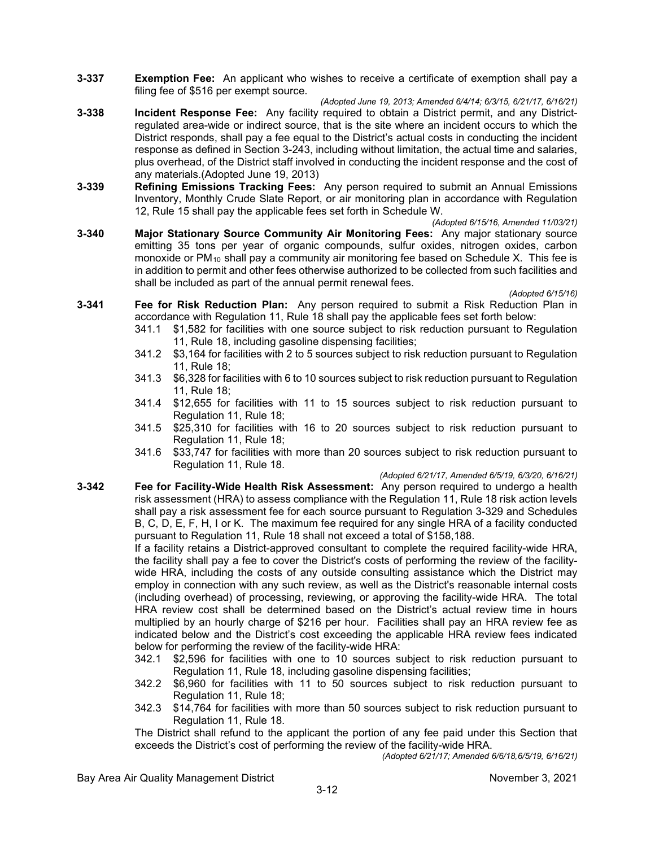- **3-337 Exemption Fee:** An applicant who wishes to receive a certificate of exemption shall pay a filing fee of \$516 per exempt source.
- *(Adopted June 19, 2013; Amended 6/4/14; 6/3/15, 6/21/17, 6/16/21)* **3-338 Incident Response Fee:** Any facility required to obtain a District permit, and any Districtregulated area-wide or indirect source, that is the site where an incident occurs to which the District responds, shall pay a fee equal to the District's actual costs in conducting the incident response as defined in Section 3-243, including without limitation, the actual time and salaries, plus overhead, of the District staff involved in conducting the incident response and the cost of any materials.(Adopted June 19, 2013)
- **3-339 Refining Emissions Tracking Fees:** Any person required to submit an Annual Emissions Inventory, Monthly Crude Slate Report, or air monitoring plan in accordance with Regulation 12, Rule 15 shall pay the applicable fees set forth in Schedule W.

*(Adopted 6/15/16, Amended 11/03/21)*

**3-340 Major Stationary Source Community Air Monitoring Fees:** Any major stationary source emitting 35 tons per year of organic compounds, sulfur oxides, nitrogen oxides, carbon monoxide or PM<sub>10</sub> shall pay a community air monitoring fee based on Schedule X. This fee is in addition to permit and other fees otherwise authorized to be collected from such facilities and shall be included as part of the annual permit renewal fees.

*(Adopted 6/15/16)*

- **3-341 Fee for Risk Reduction Plan:** Any person required to submit a Risk Reduction Plan in accordance with Regulation 11, Rule 18 shall pay the applicable fees set forth below:
	- 341.1 \$1,582 for facilities with one source subject to risk reduction pursuant to Regulation 11, Rule 18, including gasoline dispensing facilities;
	- 341.2 \$3,164 for facilities with 2 to 5 sources subject to risk reduction pursuant to Regulation 11, Rule 18;
	- 341.3 \$6,328 for facilities with 6 to 10 sources subject to risk reduction pursuant to Regulation 11, Rule 18;
	- 341.4 \$12,655 for facilities with 11 to 15 sources subject to risk reduction pursuant to Regulation 11, Rule 18;
	- 341.5 \$25,310 for facilities with 16 to 20 sources subject to risk reduction pursuant to Regulation 11, Rule 18;
	- 341.6 \$33,747 for facilities with more than 20 sources subject to risk reduction pursuant to Regulation 11, Rule 18.

*(Adopted 6/21/17, Amended 6/5/19, 6/3/20, 6/16/21)*

**3-342 Fee for Facility-Wide Health Risk Assessment:** Any person required to undergo a health risk assessment (HRA) to assess compliance with the Regulation 11, Rule 18 risk action levels shall pay a risk assessment fee for each source pursuant to Regulation 3-329 and Schedules B, C, D, E, F, H, I or K. The maximum fee required for any single HRA of a facility conducted pursuant to Regulation 11, Rule 18 shall not exceed a total of \$158,188.

> If a facility retains a District-approved consultant to complete the required facility-wide HRA, the facility shall pay a fee to cover the District's costs of performing the review of the facilitywide HRA, including the costs of any outside consulting assistance which the District may employ in connection with any such review, as well as the District's reasonable internal costs (including overhead) of processing, reviewing, or approving the facility-wide HRA. The total HRA review cost shall be determined based on the District's actual review time in hours multiplied by an hourly charge of \$216 per hour. Facilities shall pay an HRA review fee as indicated below and the District's cost exceeding the applicable HRA review fees indicated below for performing the review of the facility-wide HRA:

- 342.1 \$2,596 for facilities with one to 10 sources subject to risk reduction pursuant to Regulation 11, Rule 18, including gasoline dispensing facilities;
- 342.2 \$6,960 for facilities with 11 to 50 sources subject to risk reduction pursuant to Regulation 11, Rule 18;
- 342.3 \$14,764 for facilities with more than 50 sources subject to risk reduction pursuant to Regulation 11, Rule 18.

The District shall refund to the applicant the portion of any fee paid under this Section that exceeds the District's cost of performing the review of the facility-wide HRA.

*(Adopted 6/21/17; Amended 6/6/18,6/5/19, 6/16/21)*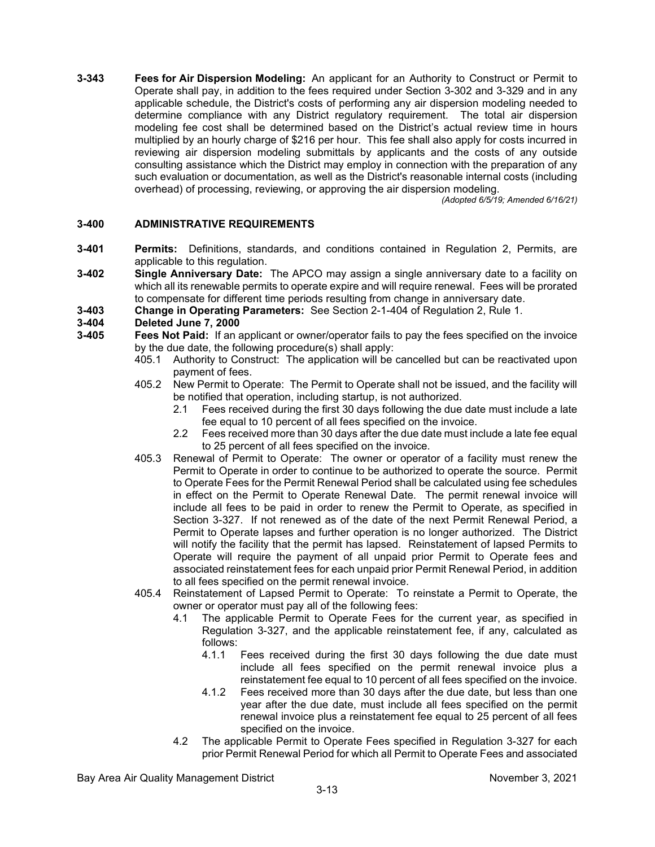**3-343 Fees for Air Dispersion Modeling:** An applicant for an Authority to Construct or Permit to Operate shall pay, in addition to the fees required under Section 3-302 and 3-329 and in any applicable schedule, the District's costs of performing any air dispersion modeling needed to determine compliance with any District regulatory requirement. The total air dispersion modeling fee cost shall be determined based on the District's actual review time in hours multiplied by an hourly charge of \$216 per hour. This fee shall also apply for costs incurred in reviewing air dispersion modeling submittals by applicants and the costs of any outside consulting assistance which the District may employ in connection with the preparation of any such evaluation or documentation, as well as the District's reasonable internal costs (including overhead) of processing, reviewing, or approving the air dispersion modeling.

*(Adopted 6/5/19; Amended 6/16/21)*

#### **3-400 ADMINISTRATIVE REQUIREMENTS**

- **3-401 Permits:** Definitions, standards, and conditions contained in Regulation 2, Permits, are applicable to this regulation.
- **3-402 Single Anniversary Date:** The APCO may assign a single anniversary date to a facility on which all its renewable permits to operate expire and will require renewal. Fees will be prorated to compensate for different time periods resulting from change in anniversary date.
- **3-403 Change in Operating Parameters:** See Section 2-1-404 of Regulation 2, Rule 1.

- **3-404 Deleted June 7, 2000 Fees Not Paid:** If an applicant or owner/operator fails to pay the fees specified on the invoice by the due date, the following procedure(s) shall apply:
	- 405.1 Authority to Construct: The application will be cancelled but can be reactivated upon payment of fees.
	- 405.2 New Permit to Operate: The Permit to Operate shall not be issued, and the facility will be notified that operation, including startup, is not authorized.
		- 2.1 Fees received during the first 30 days following the due date must include a late fee equal to 10 percent of all fees specified on the invoice.
		- 2.2 Fees received more than 30 days after the due date must include a late fee equal to 25 percent of all fees specified on the invoice.
	- 405.3 Renewal of Permit to Operate: The owner or operator of a facility must renew the Permit to Operate in order to continue to be authorized to operate the source. Permit to Operate Fees for the Permit Renewal Period shall be calculated using fee schedules in effect on the Permit to Operate Renewal Date. The permit renewal invoice will include all fees to be paid in order to renew the Permit to Operate, as specified in Section 3-327. If not renewed as of the date of the next Permit Renewal Period, a Permit to Operate lapses and further operation is no longer authorized. The District will notify the facility that the permit has lapsed. Reinstatement of lapsed Permits to Operate will require the payment of all unpaid prior Permit to Operate fees and associated reinstatement fees for each unpaid prior Permit Renewal Period, in addition to all fees specified on the permit renewal invoice.
	- 405.4 Reinstatement of Lapsed Permit to Operate: To reinstate a Permit to Operate, the owner or operator must pay all of the following fees:
		- 4.1 The applicable Permit to Operate Fees for the current year, as specified in Regulation 3-327, and the applicable reinstatement fee, if any, calculated as follows:
			- 4.1.1 Fees received during the first 30 days following the due date must include all fees specified on the permit renewal invoice plus a reinstatement fee equal to 10 percent of all fees specified on the invoice.
			- 4.1.2 Fees received more than 30 days after the due date, but less than one year after the due date, must include all fees specified on the permit renewal invoice plus a reinstatement fee equal to 25 percent of all fees specified on the invoice.
		- 4.2 The applicable Permit to Operate Fees specified in Regulation 3-327 for each prior Permit Renewal Period for which all Permit to Operate Fees and associated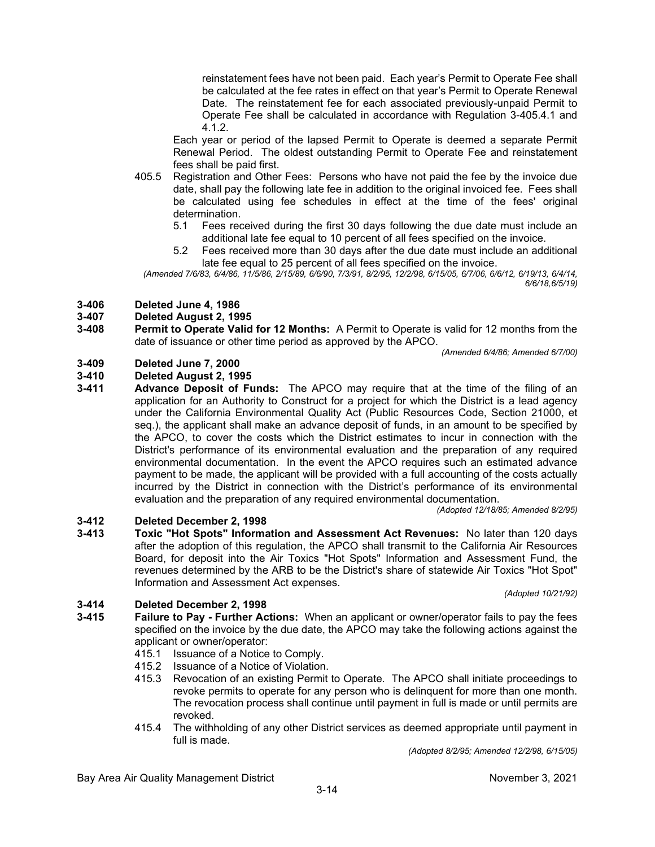reinstatement fees have not been paid. Each year's Permit to Operate Fee shall be calculated at the fee rates in effect on that year's Permit to Operate Renewal Date. The reinstatement fee for each associated previously-unpaid Permit to Operate Fee shall be calculated in accordance with Regulation 3-405.4.1 and 4.1.2.

Each year or period of the lapsed Permit to Operate is deemed a separate Permit Renewal Period. The oldest outstanding Permit to Operate Fee and reinstatement fees shall be paid first.

- 405.5 Registration and Other Fees: Persons who have not paid the fee by the invoice due date, shall pay the following late fee in addition to the original invoiced fee. Fees shall be calculated using fee schedules in effect at the time of the fees' original determination.
	- 5.1 Fees received during the first 30 days following the due date must include an additional late fee equal to 10 percent of all fees specified on the invoice.
	- 5.2 Fees received more than 30 days after the due date must include an additional late fee equal to 25 percent of all fees specified on the invoice.

*(Amended 7/6/83, 6/4/86, 11/5/86, 2/15/89, 6/6/90, 7/3/91, 8/2/95, 12/2/98, 6/15/05, 6/7/06, 6/6/12, 6/19/13, 6/4/14, 6/6/18,6/5/19)*

# **3-406 Deleted June 4, 1986**

# **3-407 Deleted August 2, 1995**

**3-408 Permit to Operate Valid for 12 Months:** A Permit to Operate is valid for 12 months from the date of issuance or other time period as approved by the APCO.

*(Amended 6/4/86; Amended 6/7/00)*

# **3-409 Deleted June 7, 2000**

# **3-410 Deleted August 2, 1995**

**3-411 Advance Deposit of Funds:** The APCO may require that at the time of the filing of an application for an Authority to Construct for a project for which the District is a lead agency under the California Environmental Quality Act (Public Resources Code, Section 21000, et seq.), the applicant shall make an advance deposit of funds, in an amount to be specified by the APCO, to cover the costs which the District estimates to incur in connection with the District's performance of its environmental evaluation and the preparation of any required environmental documentation. In the event the APCO requires such an estimated advance payment to be made, the applicant will be provided with a full accounting of the costs actually incurred by the District in connection with the District's performance of its environmental evaluation and the preparation of any required environmental documentation.

*(Adopted 12/18/85; Amended 8/2/95)*

**3-412 Deleted December 2, 1998 3-413 Toxic "Hot Spots" Information and Assessment Act Revenues:** No later than 120 days after the adoption of this regulation, the APCO shall transmit to the California Air Resources Board, for deposit into the Air Toxics "Hot Spots" Information and Assessment Fund, the revenues determined by the ARB to be the District's share of statewide Air Toxics "Hot Spot"

*(Adopted 10/21/92)*

# **3-414 Deleted December 2, 1998**

- **3-415 Failure to Pay - Further Actions:** When an applicant or owner/operator fails to pay the fees specified on the invoice by the due date, the APCO may take the following actions against the applicant or owner/operator:
	- 415.1 Issuance of a Notice to Comply.

Information and Assessment Act expenses.

- 415.2 Issuance of a Notice of Violation.
- 415.3 Revocation of an existing Permit to Operate. The APCO shall initiate proceedings to revoke permits to operate for any person who is delinquent for more than one month. The revocation process shall continue until payment in full is made or until permits are revoked.
- 415.4 The withholding of any other District services as deemed appropriate until payment in full is made.

*(Adopted 8/2/95; Amended 12/2/98, 6/15/05)*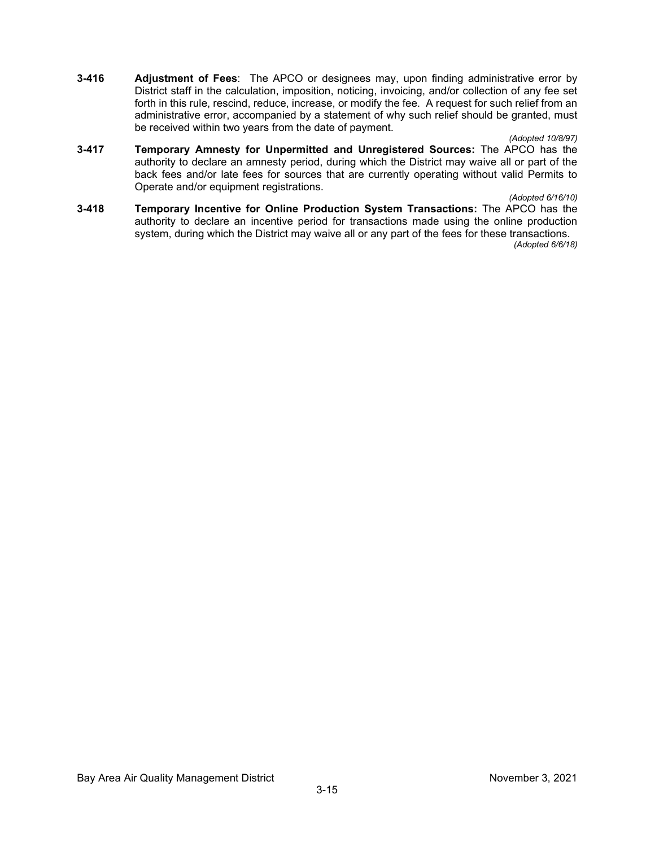**3-416 Adjustment of Fees**: The APCO or designees may, upon finding administrative error by District staff in the calculation, imposition, noticing, invoicing, and/or collection of any fee set forth in this rule, rescind, reduce, increase, or modify the fee. A request for such relief from an administrative error, accompanied by a statement of why such relief should be granted, must be received within two years from the date of payment.

#### *(Adopted 10/8/97)*

**3-417 Temporary Amnesty for Unpermitted and Unregistered Sources:** The APCO has the authority to declare an amnesty period, during which the District may waive all or part of the back fees and/or late fees for sources that are currently operating without valid Permits to Operate and/or equipment registrations.

*(Adopted 6/16/10)*

**3-418 Temporary Incentive for Online Production System Transactions:** The APCO has the authority to declare an incentive period for transactions made using the online production system, during which the District may waive all or any part of the fees for these transactions.

*(Adopted 6/6/18)*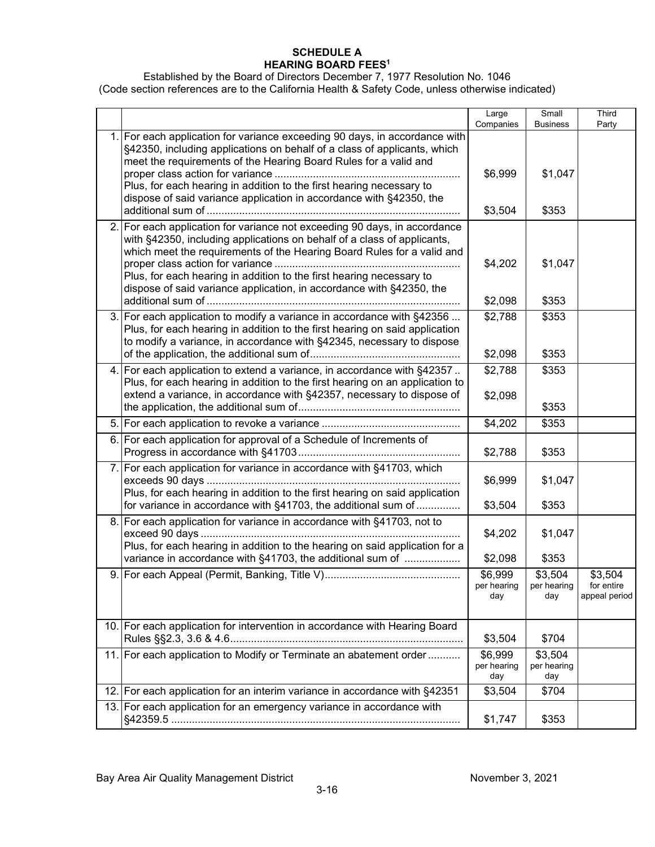#### **SCHEDULE A HEARING BOARD FEES1**

Established by the Board of Directors December 7, 1977 Resolution No. 1046 (Code section references are to the California Health & Safety Code, unless otherwise indicated)

|     |                                                                                                                                                                                                                                                                                                                                                                                | Companies                     | <b>Business</b>               | Party                                  |
|-----|--------------------------------------------------------------------------------------------------------------------------------------------------------------------------------------------------------------------------------------------------------------------------------------------------------------------------------------------------------------------------------|-------------------------------|-------------------------------|----------------------------------------|
|     | 1. For each application for variance exceeding 90 days, in accordance with<br>§42350, including applications on behalf of a class of applicants, which<br>meet the requirements of the Hearing Board Rules for a valid and<br>Plus, for each hearing in addition to the first hearing necessary to<br>dispose of said variance application in accordance with §42350, the      | \$6,999<br>\$3,504            | \$1,047<br>\$353              |                                        |
|     | 2. For each application for variance not exceeding 90 days, in accordance<br>with §42350, including applications on behalf of a class of applicants,<br>which meet the requirements of the Hearing Board Rules for a valid and<br>Plus, for each hearing in addition to the first hearing necessary to<br>dispose of said variance application, in accordance with §42350, the | \$4,202<br>\$2,098            | \$1,047<br>\$353              |                                        |
|     | 3. For each application to modify a variance in accordance with §42356<br>Plus, for each hearing in addition to the first hearing on said application<br>to modify a variance, in accordance with §42345, necessary to dispose                                                                                                                                                 | \$2,788<br>\$2,098            | \$353<br>\$353                |                                        |
|     | 4. For each application to extend a variance, in accordance with §42357.<br>Plus, for each hearing in addition to the first hearing on an application to<br>extend a variance, in accordance with §42357, necessary to dispose of                                                                                                                                              | \$2,788<br>\$2,098            | \$353<br>\$353                |                                        |
|     |                                                                                                                                                                                                                                                                                                                                                                                | \$4,202                       | \$353                         |                                        |
|     | 6. For each application for approval of a Schedule of Increments of                                                                                                                                                                                                                                                                                                            | \$2,788                       | \$353                         |                                        |
|     | 7. For each application for variance in accordance with §41703, which<br>Plus, for each hearing in addition to the first hearing on said application<br>for variance in accordance with §41703, the additional sum of                                                                                                                                                          | \$6,999<br>\$3,504            | \$1,047<br>\$353              |                                        |
|     | 8. For each application for variance in accordance with §41703, not to<br>Plus, for each hearing in addition to the hearing on said application for a<br>variance in accordance with §41703, the additional sum of                                                                                                                                                             | \$4,202<br>\$2,098            | \$1,047<br>\$353              |                                        |
|     |                                                                                                                                                                                                                                                                                                                                                                                | \$6,999<br>per hearing<br>day | \$3,504<br>per hearing<br>day | \$3,504<br>for entire<br>appeal period |
|     | 10. For each application for intervention in accordance with Hearing Board                                                                                                                                                                                                                                                                                                     | \$3,504                       | \$704                         |                                        |
|     | 11. For each application to Modify or Terminate an abatement order                                                                                                                                                                                                                                                                                                             | \$6,999<br>per hearing<br>day | \$3,504<br>per hearing<br>day |                                        |
| 12. | For each application for an interim variance in accordance with §42351                                                                                                                                                                                                                                                                                                         | \$3,504                       | \$704                         |                                        |
|     | 13. For each application for an emergency variance in accordance with                                                                                                                                                                                                                                                                                                          | \$1,747                       | \$353                         |                                        |

Large

Small

**Third**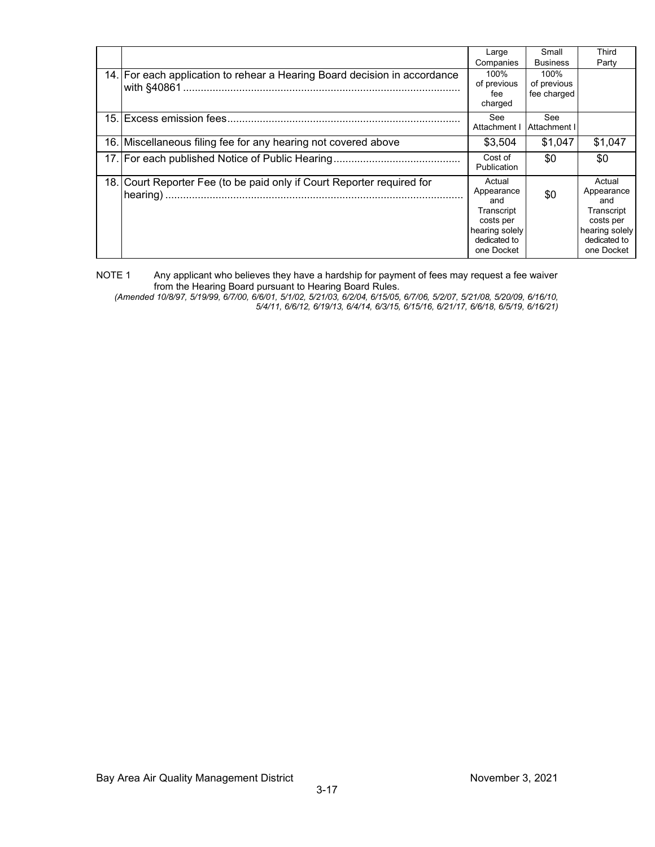|                                                                           | Large                                                                                                  | Small                              | Third                                                                                                  |
|---------------------------------------------------------------------------|--------------------------------------------------------------------------------------------------------|------------------------------------|--------------------------------------------------------------------------------------------------------|
|                                                                           | Companies                                                                                              | <b>Business</b>                    | Party                                                                                                  |
| 14. For each application to rehear a Hearing Board decision in accordance | 100%<br>of previous<br>fee<br>charged                                                                  | 100%<br>of previous<br>fee charged |                                                                                                        |
|                                                                           | See<br>Attachment I                                                                                    | See<br>Attachment I                |                                                                                                        |
| 16. Miscellaneous filing fee for any hearing not covered above            | \$3,504                                                                                                | \$1.047                            | \$1,047                                                                                                |
|                                                                           | Cost of<br>Publication                                                                                 | \$0                                | \$0                                                                                                    |
| 18. Court Reporter Fee (to be paid only if Court Reporter required for    | Actual<br>Appearance<br>and<br>Transcript<br>costs per<br>hearing solely<br>dedicated to<br>one Docket | \$0                                | Actual<br>Appearance<br>and<br>Transcript<br>costs per<br>hearing solely<br>dedicated to<br>one Docket |

NOTE 1 Any applicant who believes they have a hardship for payment of fees may request a fee waiver from the Hearing Board pursuant to Hearing Board Rules.

*(Amended 10/8/97, 5/19/99, 6/7/00, 6/6/01, 5/1/02, 5/21/03, 6/2/04, 6/15/05, 6/7/06, 5/2/07, 5/21/08, 5/20/09, 6/16/10, 5/4/11, 6/6/12, 6/19/13, 6/4/14, 6/3/15, 6/15/16, 6/21/17, 6/6/18, 6/5/19, 6/16/21)*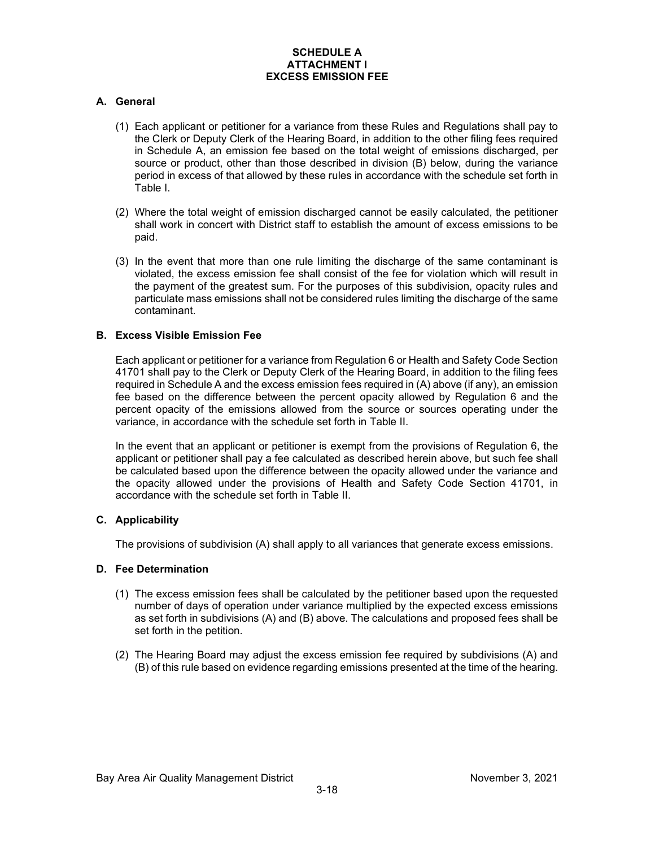#### **SCHEDULE A ATTACHMENT I EXCESS EMISSION FEE**

#### **A. General**

- (1) Each applicant or petitioner for a variance from these Rules and Regulations shall pay to the Clerk or Deputy Clerk of the Hearing Board, in addition to the other filing fees required in Schedule A, an emission fee based on the total weight of emissions discharged, per source or product, other than those described in division (B) below, during the variance period in excess of that allowed by these rules in accordance with the schedule set forth in Table I.
- (2) Where the total weight of emission discharged cannot be easily calculated, the petitioner shall work in concert with District staff to establish the amount of excess emissions to be paid.
- (3) In the event that more than one rule limiting the discharge of the same contaminant is violated, the excess emission fee shall consist of the fee for violation which will result in the payment of the greatest sum. For the purposes of this subdivision, opacity rules and particulate mass emissions shall not be considered rules limiting the discharge of the same contaminant.

#### **B. Excess Visible Emission Fee**

Each applicant or petitioner for a variance from Regulation 6 or Health and Safety Code Section 41701 shall pay to the Clerk or Deputy Clerk of the Hearing Board, in addition to the filing fees required in Schedule A and the excess emission fees required in (A) above (if any), an emission fee based on the difference between the percent opacity allowed by Regulation 6 and the percent opacity of the emissions allowed from the source or sources operating under the variance, in accordance with the schedule set forth in Table II.

In the event that an applicant or petitioner is exempt from the provisions of Regulation 6, the applicant or petitioner shall pay a fee calculated as described herein above, but such fee shall be calculated based upon the difference between the opacity allowed under the variance and the opacity allowed under the provisions of Health and Safety Code Section 41701, in accordance with the schedule set forth in Table II.

#### **C. Applicability**

The provisions of subdivision (A) shall apply to all variances that generate excess emissions.

#### **D. Fee Determination**

- (1) The excess emission fees shall be calculated by the petitioner based upon the requested number of days of operation under variance multiplied by the expected excess emissions as set forth in subdivisions (A) and (B) above. The calculations and proposed fees shall be set forth in the petition.
- (2) The Hearing Board may adjust the excess emission fee required by subdivisions (A) and (B) of this rule based on evidence regarding emissions presented at the time of the hearing.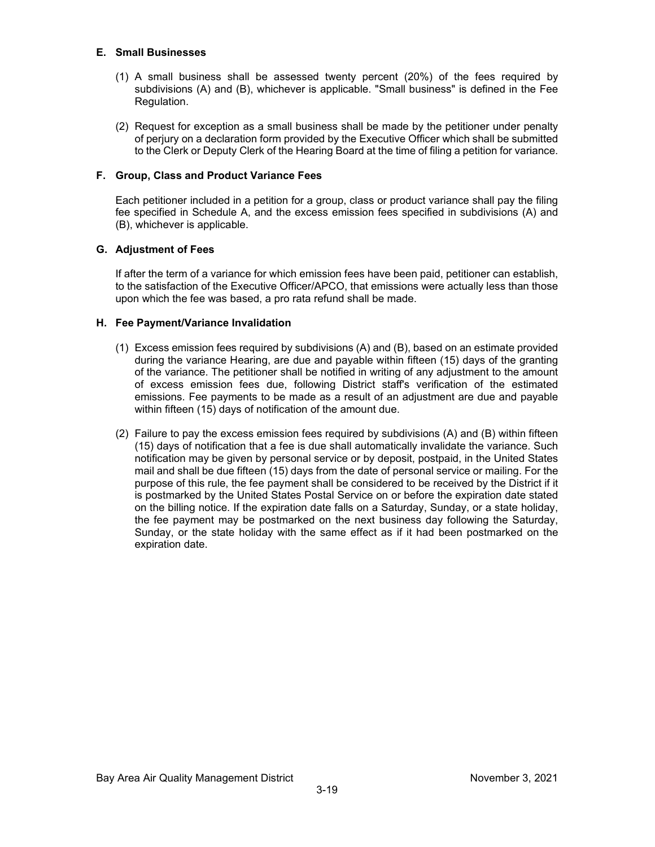#### **E. Small Businesses**

- (1) A small business shall be assessed twenty percent (20%) of the fees required by subdivisions (A) and (B), whichever is applicable. "Small business" is defined in the Fee Regulation.
- (2) Request for exception as a small business shall be made by the petitioner under penalty of perjury on a declaration form provided by the Executive Officer which shall be submitted to the Clerk or Deputy Clerk of the Hearing Board at the time of filing a petition for variance.

#### **F. Group, Class and Product Variance Fees**

Each petitioner included in a petition for a group, class or product variance shall pay the filing fee specified in Schedule A, and the excess emission fees specified in subdivisions (A) and (B), whichever is applicable.

#### **G. Adjustment of Fees**

If after the term of a variance for which emission fees have been paid, petitioner can establish, to the satisfaction of the Executive Officer/APCO, that emissions were actually less than those upon which the fee was based, a pro rata refund shall be made.

#### **H. Fee Payment/Variance Invalidation**

- (1) Excess emission fees required by subdivisions (A) and (B), based on an estimate provided during the variance Hearing, are due and payable within fifteen (15) days of the granting of the variance. The petitioner shall be notified in writing of any adjustment to the amount of excess emission fees due, following District staff's verification of the estimated emissions. Fee payments to be made as a result of an adjustment are due and payable within fifteen (15) days of notification of the amount due.
- (2) Failure to pay the excess emission fees required by subdivisions (A) and (B) within fifteen (15) days of notification that a fee is due shall automatically invalidate the variance. Such notification may be given by personal service or by deposit, postpaid, in the United States mail and shall be due fifteen (15) days from the date of personal service or mailing. For the purpose of this rule, the fee payment shall be considered to be received by the District if it is postmarked by the United States Postal Service on or before the expiration date stated on the billing notice. If the expiration date falls on a Saturday, Sunday, or a state holiday, the fee payment may be postmarked on the next business day following the Saturday, Sunday, or the state holiday with the same effect as if it had been postmarked on the expiration date.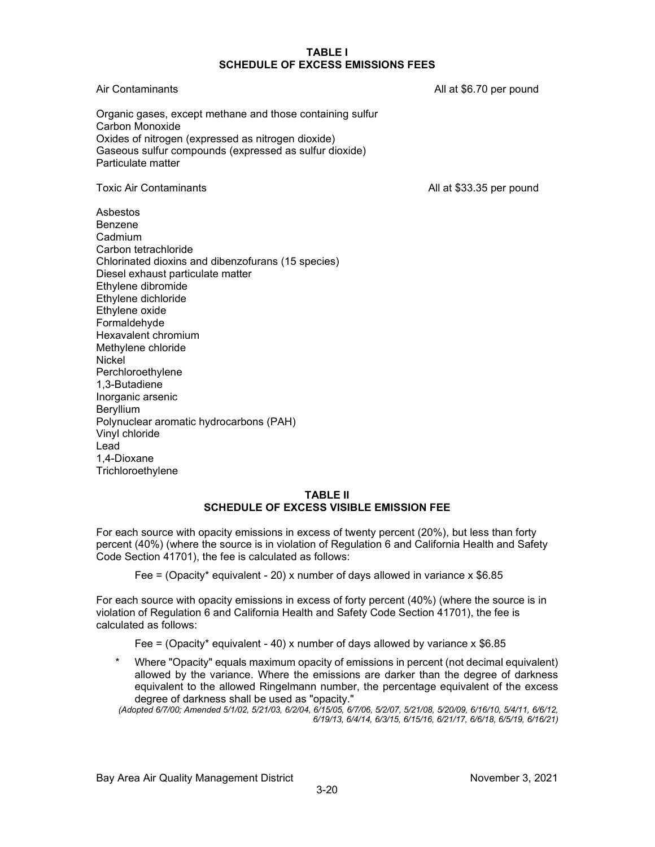#### **TABLE I SCHEDULE OF EXCESS EMISSIONS FEES**

Air Contaminants **All at \$6.70 per pound** All at \$6.70 per pound

Organic gases, except methane and those containing sulfur Carbon Monoxide Oxides of nitrogen (expressed as nitrogen dioxide) Gaseous sulfur compounds (expressed as sulfur dioxide) Particulate matter

Toxic Air Contaminants **All at \$33.35** per pound

Asbestos Benzene Cadmium Carbon tetrachloride Chlorinated dioxins and dibenzofurans (15 species) Diesel exhaust particulate matter Ethylene dibromide Ethylene dichloride Ethylene oxide Formaldehyde Hexavalent chromium Methylene chloride Nickel Perchloroethylene 1,3-Butadiene Inorganic arsenic **Bervillium** Polynuclear aromatic hydrocarbons (PAH) Vinyl chloride Lead 1,4-Dioxane **Trichloroethylene** 

#### **TABLE II SCHEDULE OF EXCESS VISIBLE EMISSION FEE**

For each source with opacity emissions in excess of twenty percent (20%), but less than forty percent (40%) (where the source is in violation of Regulation 6 and California Health and Safety Code Section 41701), the fee is calculated as follows:

Fee = (Opacity\* equivalent - 20) x number of days allowed in variance x  $$6.85$ 

For each source with opacity emissions in excess of forty percent (40%) (where the source is in violation of Regulation 6 and California Health and Safety Code Section 41701), the fee is calculated as follows:

Fee = (Opacity\* equivalent - 40) x number of days allowed by variance x  $$6.85$ 

\* Where "Opacity" equals maximum opacity of emissions in percent (not decimal equivalent) allowed by the variance. Where the emissions are darker than the degree of darkness equivalent to the allowed Ringelmann number, the percentage equivalent of the excess degree of darkness shall be used as "opacity."

*(Adopted 6/7/00; Amended 5/1/02, 5/21/03, 6/2/04, 6/15/05, 6/7/06, 5/2/07, 5/21/08, 5/20/09, 6/16/10, 5/4/11, 6/6/12, 6/19/13, 6/4/14, 6/3/15, 6/15/16, 6/21/17, 6/6/18, 6/5/19, 6/16/21)*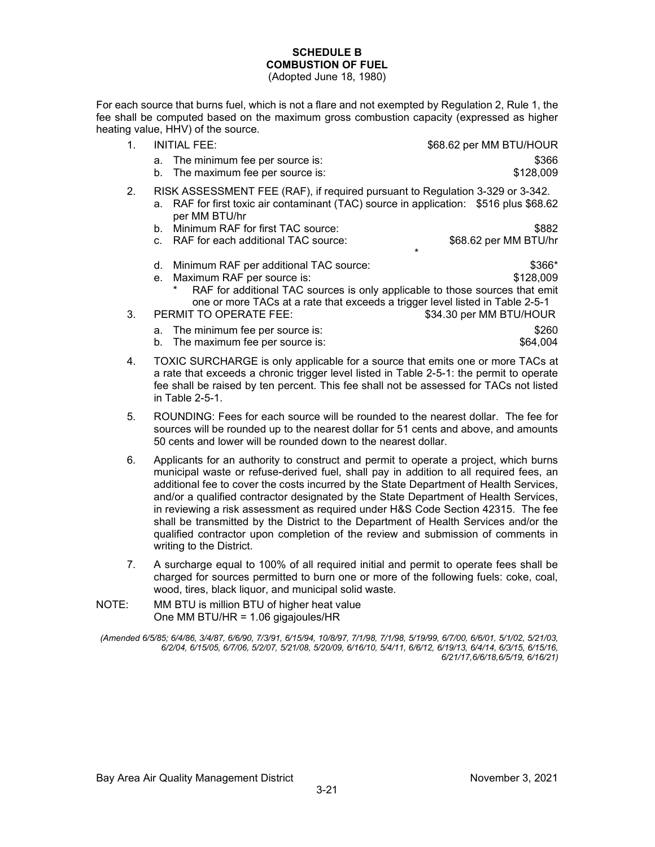#### **SCHEDULE B COMBUSTION OF FUEL**

(Adopted June 18, 1980)

For each source that burns fuel, which is not a flare and not exempted by Regulation 2, Rule 1, the fee shall be computed based on the maximum gross combustion capacity (expressed as higher heating value, HHV) of the source.

| INITIAL FEE:                                                                  | \$68.62 per MM BTU/HOUR |
|-------------------------------------------------------------------------------|-------------------------|
| a. The minimum fee per source is:                                             | \$366                   |
| b. The maximum fee per source is:                                             | \$128,009               |
| RISK ASSESSMENT FEE (RAF), if required pursuant to Regulation 3-329 or 3-342. |                         |

- a. RAF for first toxic air contaminant (TAC) source in application: \$516 plus \$68.62 per MM BTU/hr
- b. Minimum RAF for first TAC source: \$882
- c. RAF for each additional TAC source:  $$68.62$  per MM BTU/hr
- \* d. Minimum RAF per additional TAC source:  $$366*$
- e. Maximum RAF per source is:  $$128,009$ 
	- RAF for additional TAC sources is only applicable to those sources that emit one or more TACs at a rate that exceeds a trigger level listed in Table 2-5-1
- 3. PERMIT TO OPERATE FEE: \$34.30 per MM BTU/HOUR
	- a. The minimum fee per source is:  $$260$ <br>b. The maximum fee per source is:  $$64.004$ b. The maximum fee per source is:
- 4. TOXIC SURCHARGE is only applicable for a source that emits one or more TACs at a rate that exceeds a chronic trigger level listed in Table 2-5-1: the permit to operate fee shall be raised by ten percent. This fee shall not be assessed for TACs not listed in Table 2-5-1.
- 5. ROUNDING: Fees for each source will be rounded to the nearest dollar. The fee for sources will be rounded up to the nearest dollar for 51 cents and above, and amounts 50 cents and lower will be rounded down to the nearest dollar.
- 6. Applicants for an authority to construct and permit to operate a project, which burns municipal waste or refuse-derived fuel, shall pay in addition to all required fees, an additional fee to cover the costs incurred by the State Department of Health Services, and/or a qualified contractor designated by the State Department of Health Services, in reviewing a risk assessment as required under H&S Code Section 42315. The fee shall be transmitted by the District to the Department of Health Services and/or the qualified contractor upon completion of the review and submission of comments in writing to the District.
- 7. A surcharge equal to 100% of all required initial and permit to operate fees shall be charged for sources permitted to burn one or more of the following fuels: coke, coal, wood, tires, black liquor, and municipal solid waste.
- NOTE: MM BTU is million BTU of higher heat value One MM BTU/HR = 1.06 gigajoules/HR

*<sup>(</sup>Amended 6/5/85; 6/4/86, 3/4/87, 6/6/90, 7/3/91, 6/15/94, 10/8/97, 7/1/98, 7/1/98, 5/19/99, 6/7/00, 6/6/01, 5/1/02, 5/21/03, 6/2/04, 6/15/05, 6/7/06, 5/2/07, 5/21/08, 5/20/09, 6/16/10, 5/4/11, 6/6/12, 6/19/13, 6/4/14, 6/3/15, 6/15/16, 6/21/17,6/6/18,6/5/19, 6/16/21)*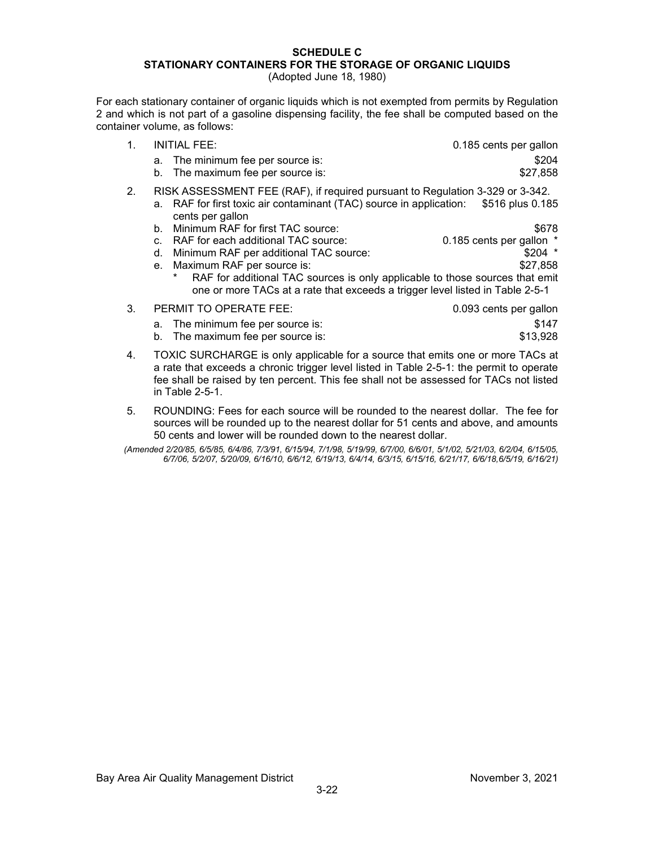### **SCHEDULE C STATIONARY CONTAINERS FOR THE STORAGE OF ORGANIC LIQUIDS**

(Adopted June 18, 1980)

For each stationary container of organic liquids which is not exempted from permits by Regulation 2 and which is not part of a gasoline dispensing facility, the fee shall be computed based on the container volume, as follows:

- 1. INITIAL FEE: 0.185 cents per gallon a. The minimum fee per source is: \$204 b. The maximum fee per source is:  $$27.858$
- 2. RISK ASSESSMENT FEE (RAF), if required pursuant to Regulation 3-329 or 3-342. a. RAF for first toxic air contaminant (TAC) source in application: \$516 plus 0.185 cents per gallon
	- b. Minimum RAF for first TAC source:  $$678$ 
		- c. RAF for each additional TAC source: 0.185 cents per gallon \*<br>d. Minimum RAF per additional TAC source: \$204 \*
		- d. Minimum RAF per additional TAC source:
		- e. Maximum RAF per source is:  $$27,858$ RAF for additional TAC sources is only applicable to those sources that emit one or more TACs at a rate that exceeds a trigger level listed in Table 2-5-1

| 3. | PERMIT TO OPERATE FEE: |                                   | 0.093 cents per gallon |
|----|------------------------|-----------------------------------|------------------------|
|    |                        | a. The minimum fee per source is: | \$147                  |
|    |                        | b. The maximum fee per source is: | \$13,928               |

- 4. TOXIC SURCHARGE is only applicable for a source that emits one or more TACs at a rate that exceeds a chronic trigger level listed in Table 2-5-1: the permit to operate fee shall be raised by ten percent. This fee shall not be assessed for TACs not listed in Table 2-5-1.
- 5. ROUNDING: Fees for each source will be rounded to the nearest dollar. The fee for sources will be rounded up to the nearest dollar for 51 cents and above, and amounts 50 cents and lower will be rounded down to the nearest dollar.
- *(Amended 2/20/85, 6/5/85, 6/4/86, 7/3/91, 6/15/94, 7/1/98, 5/19/99, 6/7/00, 6/6/01, 5/1/02, 5/21/03, 6/2/04, 6/15/05, 6/7/06, 5/2/07, 5/20/09, 6/16/10, 6/6/12, 6/19/13, 6/4/14, 6/3/15, 6/15/16, 6/21/17, 6/6/18,6/5/19, 6/16/21)*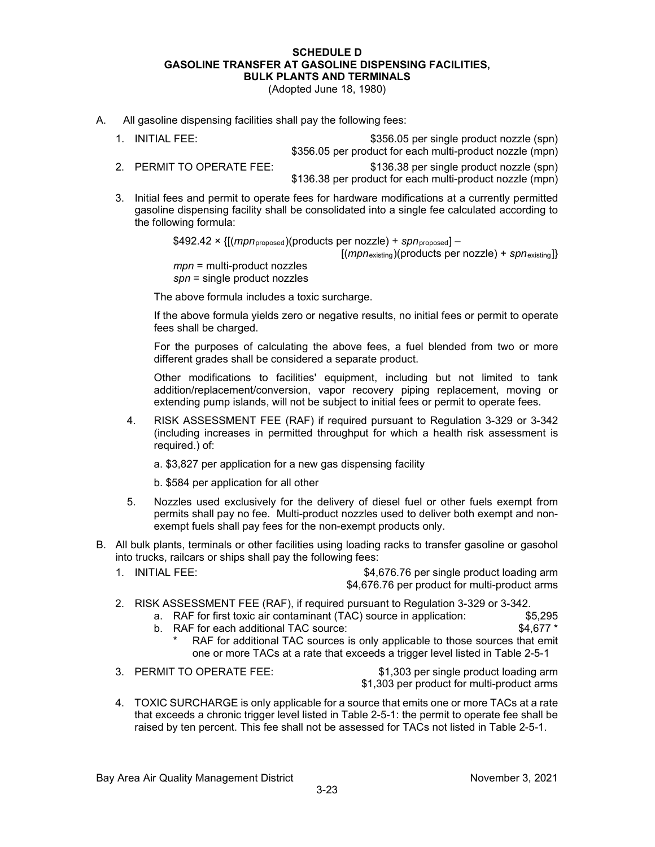#### **SCHEDULE D GASOLINE TRANSFER AT GASOLINE DISPENSING FACILITIES, BULK PLANTS AND TERMINALS**

(Adopted June 18, 1980)

- A. All gasoline dispensing facilities shall pay the following fees:
	- 1. INITIAL FEE: \$356.05 per single product nozzle (spn)
		- \$356.05 per product for each multi-product nozzle (mpn)
	-

2. PERMIT TO OPERATE FEE: \$136.38 per single product nozzle (spn) \$136.38 per product for each multi-product nozzle (mpn)

3. Initial fees and permit to operate fees for hardware modifications at a currently permitted gasoline dispensing facility shall be consolidated into a single fee calculated according to the following formula:

\$492.42 × {[(*mpn*proposed)(products per nozzle) + *spn*proposed] –

[(*mpn*existing)(products per nozzle) + *spn*existing]}

*mpn* = multi-product nozzles *spn* = single product nozzles

The above formula includes a toxic surcharge.

If the above formula yields zero or negative results, no initial fees or permit to operate fees shall be charged.

For the purposes of calculating the above fees, a fuel blended from two or more different grades shall be considered a separate product.

Other modifications to facilities' equipment, including but not limited to tank addition/replacement/conversion, vapor recovery piping replacement, moving or extending pump islands, will not be subject to initial fees or permit to operate fees.

4. RISK ASSESSMENT FEE (RAF) if required pursuant to Regulation 3-329 or 3-342 (including increases in permitted throughput for which a health risk assessment is required.) of:

a. \$3,827 per application for a new gas dispensing facility

b. \$584 per application for all other

- 5. Nozzles used exclusively for the delivery of diesel fuel or other fuels exempt from permits shall pay no fee. Multi-product nozzles used to deliver both exempt and nonexempt fuels shall pay fees for the non-exempt products only.
- B. All bulk plants, terminals or other facilities using loading racks to transfer gasoline or gasohol into trucks, railcars or ships shall pay the following fees:
	- 1. INITIAL FEE: \$4,676.76 per single product loading arm \$4,676.76 per product for multi-product arms
	- 2. RISK ASSESSMENT FEE (RAF), if required pursuant to Regulation 3-329 or 3-342.
		- a. RAF for first toxic air contaminant (TAC) source in application: \$5,295
		- b. RAF for each additional TAC source:  $$4,677$  \*
			- RAF for additional TAC sources is only applicable to those sources that emit one or more TACs at a rate that exceeds a trigger level listed in Table 2-5-1

3. PERMIT TO OPERATE FEE: \$1,303 per single product loading arm \$1,303 per product for multi-product arms

4. TOXIC SURCHARGE is only applicable for a source that emits one or more TACs at a rate that exceeds a chronic trigger level listed in Table 2-5-1: the permit to operate fee shall be raised by ten percent. This fee shall not be assessed for TACs not listed in Table 2-5-1.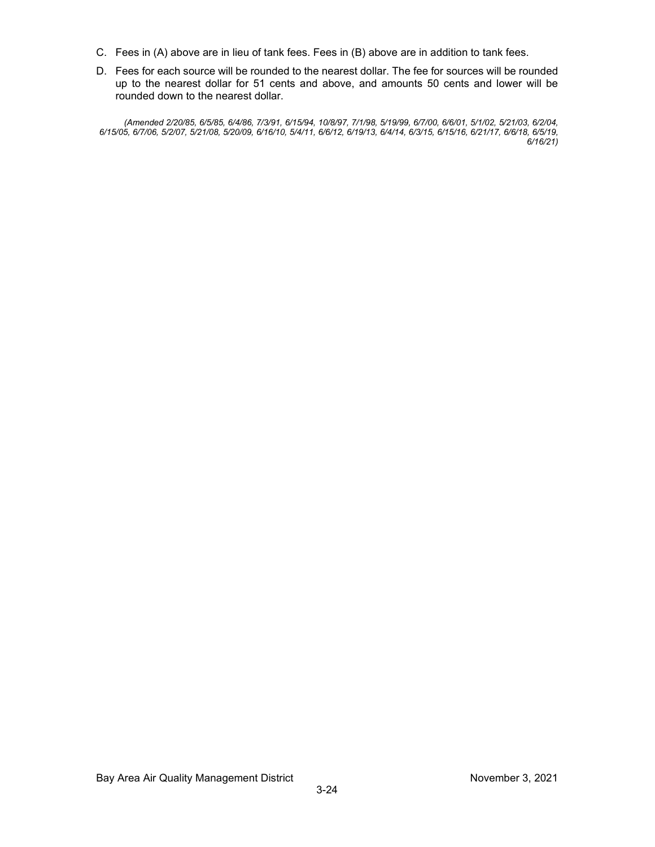- C. Fees in (A) above are in lieu of tank fees. Fees in (B) above are in addition to tank fees.
- D. Fees for each source will be rounded to the nearest dollar. The fee for sources will be rounded up to the nearest dollar for 51 cents and above, and amounts 50 cents and lower will be rounded down to the nearest dollar.

*(Amended 2/20/85, 6/5/85, 6/4/86, 7/3/91, 6/15/94, 10/8/97, 7/1/98, 5/19/99, 6/7/00, 6/6/01, 5/1/02, 5/21/03, 6/2/04, 6/15/05, 6/7/06, 5/2/07, 5/21/08, 5/20/09, 6/16/10, 5/4/11, 6/6/12, 6/19/13, 6/4/14, 6/3/15, 6/15/16, 6/21/17, 6/6/18, 6/5/19, 6/16/21)*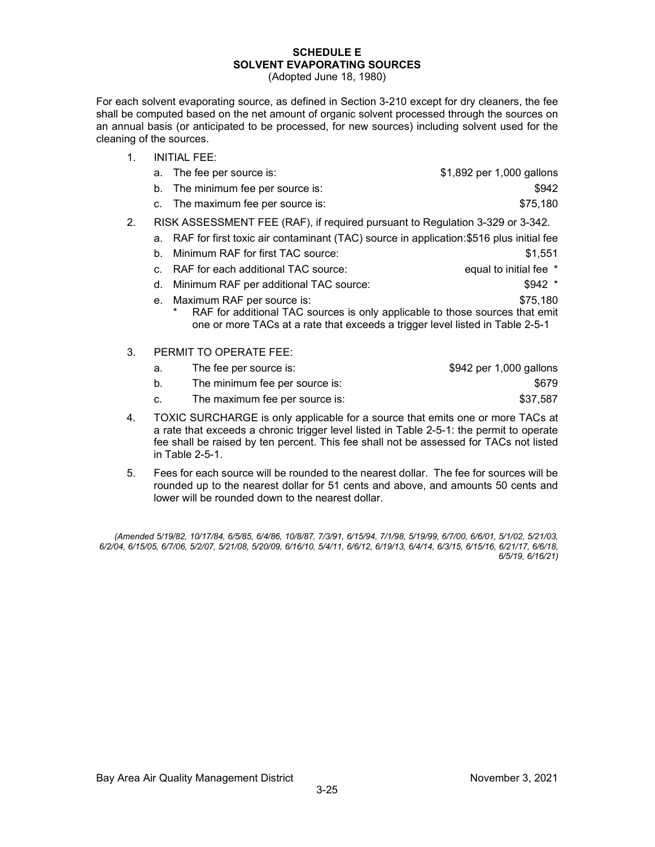### **SCHEDULE E SOLVENT EVAPORATING SOURCES**

(Adopted June 18, 1980)

For each solvent evaporating source, as defined in Section 3-210 except for dry cleaners, the fee shall be computed based on the net amount of organic solvent processed through the sources on an annual basis (or anticipated to be processed, for new sources) including solvent used for the cleaning of the sources.

|    | <b>INITIAL FEE:</b>                                                                                                                                                                                    |                           |
|----|--------------------------------------------------------------------------------------------------------------------------------------------------------------------------------------------------------|---------------------------|
|    | The fee per source is:<br>а.                                                                                                                                                                           | \$1,892 per 1,000 gallons |
|    | The minimum fee per source is:<br>b.                                                                                                                                                                   | \$942                     |
|    | c. The maximum fee per source is:                                                                                                                                                                      | \$75,180                  |
| 2. | RISK ASSESSMENT FEE (RAF), if required pursuant to Regulation 3-329 or 3-342.                                                                                                                          |                           |
|    | RAF for first toxic air contaminant (TAC) source in application: \$516 plus initial fee<br>a.                                                                                                          |                           |
|    | Minimum RAF for first TAC source:<br>b.                                                                                                                                                                | \$1,551                   |
|    | RAF for each additional TAC source:<br>C.                                                                                                                                                              | equal to initial fee *    |
|    | Minimum RAF per additional TAC source:<br>d.                                                                                                                                                           | $$942$ *                  |
|    | Maximum RAF per source is:<br>е.<br>RAF for additional TAC sources is only applicable to those sources that emit<br>*<br>one or more TACs at a rate that exceeds a trigger level listed in Table 2-5-1 | \$75,180                  |
| 3. | PERMIT TO OPERATE FEE:                                                                                                                                                                                 |                           |

| а. | The fee per source is:         | \$942 per 1,000 gallons |
|----|--------------------------------|-------------------------|
|    | The minimum fee per source is: | \$679                   |
|    | The maximum fee per source is: | \$37,587                |

- 4. TOXIC SURCHARGE is only applicable for a source that emits one or more TACs at a rate that exceeds a chronic trigger level listed in Table 2-5-1: the permit to operate fee shall be raised by ten percent. This fee shall not be assessed for TACs not listed in Table 2-5-1.
- 5. Fees for each source will be rounded to the nearest dollar. The fee for sources will be rounded up to the nearest dollar for 51 cents and above, and amounts 50 cents and lower will be rounded down to the nearest dollar.

*(Amended 5/19/82, 10/17/84, 6/5/85, 6/4/86, 10/8/87, 7/3/91, 6/15/94, 7/1/98, 5/19/99, 6/7/00, 6/6/01, 5/1/02, 5/21/03, 6/2/04, 6/15/05, 6/7/06, 5/2/07, 5/21/08, 5/20/09, 6/16/10, 5/4/11, 6/6/12, 6/19/13, 6/4/14, 6/3/15, 6/15/16, 6/21/17, 6/6/18, 6/5/19, 6/16/21)*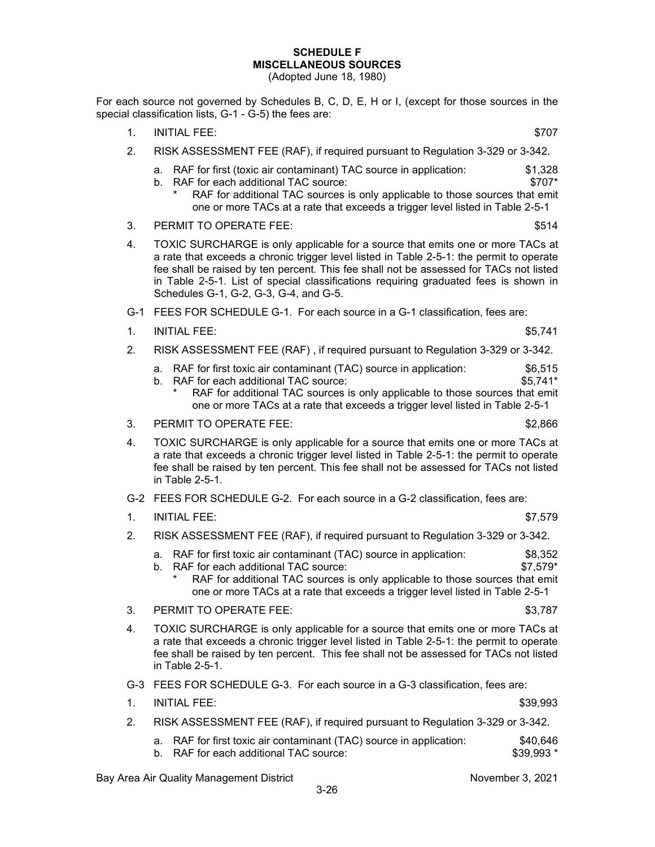### **SCHEDULE F MISCELLANEOUS SOURCES**

(Adopted June 18, 1980)

For each source not governed by Schedules B, C, D, E, H or I, (except for those sources in the special classification lists, G-1 - G-5) the fees are:

- 1. INITIAL FEE: \$707
- 2. RISK ASSESSMENT FEE (RAF), if required pursuant to Regulation 3-329 or 3-342.
	- a. RAF for first (toxic air contaminant) TAC source in application: \$1,328 b. RAF for each additional TAC source:  $$707*$ 
		- RAF for additional TAC sources is only applicable to those sources that emit one or more TACs at a rate that exceeds a trigger level listed in Table 2-5-1
- 3. PERMIT TO OPERATE FEE: \$514
- 4. TOXIC SURCHARGE is only applicable for a source that emits one or more TACs at a rate that exceeds a chronic trigger level listed in Table 2-5-1: the permit to operate fee shall be raised by ten percent. This fee shall not be assessed for TACs not listed in Table 2-5-1. List of special classifications requiring graduated fees is shown in Schedules G-1, G-2, G-3, G-4, and G-5.
- G-1 FEES FOR SCHEDULE G-1. For each source in a G-1 classification, fees are:
- 1. INITIAL FEE: \$5,741
- 2. RISK ASSESSMENT FEE (RAF) , if required pursuant to Regulation 3-329 or 3-342.
	- a. RAF for first toxic air contaminant (TAC) source in application: \$6,515
	- b. RAF for each additional TAC source:  $$5,741^*$ 
		- RAF for additional TAC sources is only applicable to those sources that emit one or more TACs at a rate that exceeds a trigger level listed in Table 2-5-1
- 3. PERMIT TO OPERATE FEE: \$2,866
- 4. TOXIC SURCHARGE is only applicable for a source that emits one or more TACs at a rate that exceeds a chronic trigger level listed in Table 2-5-1: the permit to operate fee shall be raised by ten percent. This fee shall not be assessed for TACs not listed in Table 2-5-1.
- G-2 FEES FOR SCHEDULE G-2. For each source in a G-2 classification, fees are:
- 1. INITIAL FEE: \$7,579
- 2. RISK ASSESSMENT FEE (RAF), if required pursuant to Regulation 3-329 or 3-342.
	- a. RAF for first toxic air contaminant (TAC) source in application:  $$8,352$ <br>b. RAF for each additional TAC source:
	- b. RAF for each additional TAC source:
		- RAF for additional TAC sources is only applicable to those sources that emit one or more TACs at a rate that exceeds a trigger level listed in Table 2-5-1
- 3. PERMIT TO OPERATE FEE: \$3,787
- 4. TOXIC SURCHARGE is only applicable for a source that emits one or more TACs at a rate that exceeds a chronic trigger level listed in Table 2-5-1: the permit to operate fee shall be raised by ten percent. This fee shall not be assessed for TACs not listed in Table 2-5-1.
- G-3 FEES FOR SCHEDULE G-3. For each source in a G-3 classification, fees are:

| <b>INITIAL FEE:</b> | \$39,993 |
|---------------------|----------|
|                     |          |

- 2. RISK ASSESSMENT FEE (RAF), if required pursuant to Regulation 3-329 or 3-342.
	- a. RAF for first toxic air contaminant (TAC) source in application: \$40,646<br>b. RAF for each additional TAC source: \$39,993 \*
	- b. RAF for each additional TAC source: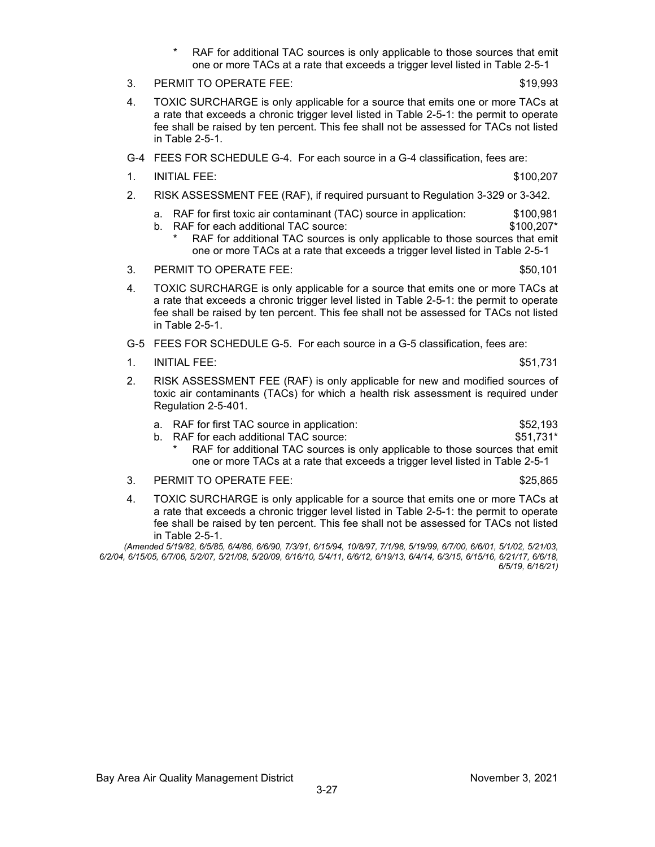- RAF for additional TAC sources is only applicable to those sources that emit one or more TACs at a rate that exceeds a trigger level listed in Table 2-5-1
- 3. PERMIT TO OPERATE FEE: \$19,993
- 4. TOXIC SURCHARGE is only applicable for a source that emits one or more TACs at a rate that exceeds a chronic trigger level listed in Table 2-5-1: the permit to operate fee shall be raised by ten percent. This fee shall not be assessed for TACs not listed in Table 2-5-1.
- G-4 FEES FOR SCHEDULE G-4. For each source in a G-4 classification, fees are:
- 1. INITIAL FEE: \$100,207
- 2. RISK ASSESSMENT FEE (RAF), if required pursuant to Regulation 3-329 or 3-342.
	- a. RAF for first toxic air contaminant (TAC) source in application: \$100,981
	- b. RAF for each additional TAC source:  $$100,207*$ RAF for additional TAC sources is only applicable to those sources that emit one or more TACs at a rate that exceeds a trigger level listed in Table 2-5-1
- 3. PERMIT TO OPERATE FEE: \$50,101
- 4. TOXIC SURCHARGE is only applicable for a source that emits one or more TACs at a rate that exceeds a chronic trigger level listed in Table 2-5-1: the permit to operate fee shall be raised by ten percent. This fee shall not be assessed for TACs not listed in Table 2-5-1.
- G-5 FEES FOR SCHEDULE G-5. For each source in a G-5 classification, fees are:
- 1. INITIAL FEE: \$51,731
- 2. RISK ASSESSMENT FEE (RAF) is only applicable for new and modified sources of toxic air contaminants (TACs) for which a health risk assessment is required under Regulation 2-5-401.
	- a. RAF for first TAC source in application:  $$52,193$ <br>b. RAF for each additional TAC source:  $$51,731*$
	- b. RAF for each additional TAC source:
		- RAF for additional TAC sources is only applicable to those sources that emit one or more TACs at a rate that exceeds a trigger level listed in Table 2-5-1
- 3. PERMIT TO OPERATE FEE: \$25,865
- 4. TOXIC SURCHARGE is only applicable for a source that emits one or more TACs at a rate that exceeds a chronic trigger level listed in Table 2-5-1: the permit to operate fee shall be raised by ten percent. This fee shall not be assessed for TACs not listed in Table 2-5-1.

*(Amended 5/19/82, 6/5/85, 6/4/86, 6/6/90, 7/3/91, 6/15/94, 10/8/97, 7/1/98, 5/19/99, 6/7/00, 6/6/01, 5/1/02, 5/21/03, 6/2/04, 6/15/05, 6/7/06, 5/2/07, 5/21/08, 5/20/09, 6/16/10, 5/4/11, 6/6/12, 6/19/13, 6/4/14, 6/3/15, 6/15/16, 6/21/17, 6/6/18, 6/5/19, 6/16/21)*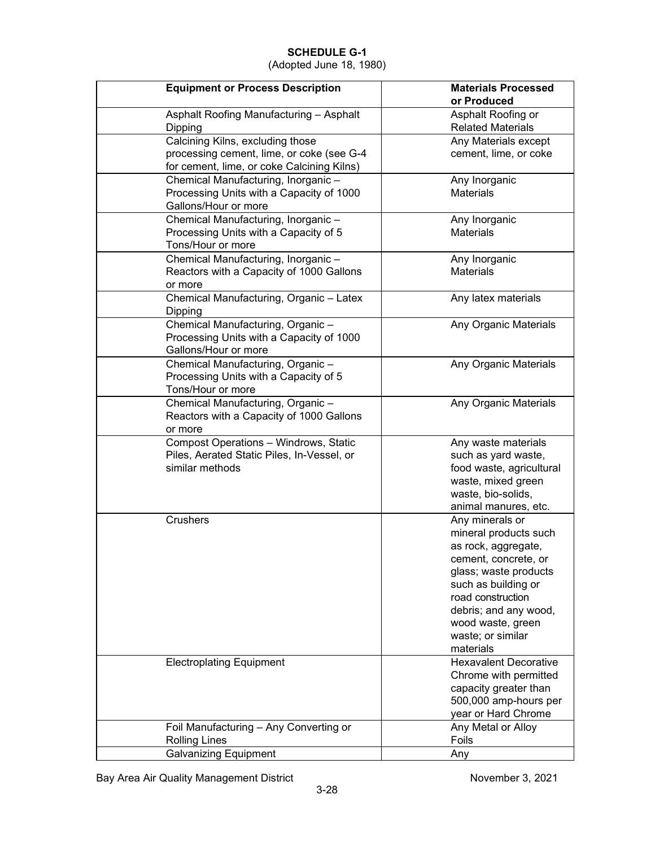(Adopted June 18, 1980)

| <b>Equipment or Process Description</b>                                                                                     | <b>Materials Processed</b><br>or Produced                                                                                                                                                                                                    |
|-----------------------------------------------------------------------------------------------------------------------------|----------------------------------------------------------------------------------------------------------------------------------------------------------------------------------------------------------------------------------------------|
| Asphalt Roofing Manufacturing - Asphalt<br>Dipping                                                                          | Asphalt Roofing or<br><b>Related Materials</b>                                                                                                                                                                                               |
| Calcining Kilns, excluding those<br>processing cement, lime, or coke (see G-4<br>for cement, lime, or coke Calcining Kilns) | Any Materials except<br>cement, lime, or coke                                                                                                                                                                                                |
| Chemical Manufacturing, Inorganic-<br>Processing Units with a Capacity of 1000<br>Gallons/Hour or more                      | Any Inorganic<br><b>Materials</b>                                                                                                                                                                                                            |
| Chemical Manufacturing, Inorganic-<br>Processing Units with a Capacity of 5<br>Tons/Hour or more                            | Any Inorganic<br><b>Materials</b>                                                                                                                                                                                                            |
| Chemical Manufacturing, Inorganic-<br>Reactors with a Capacity of 1000 Gallons<br>or more                                   | Any Inorganic<br><b>Materials</b>                                                                                                                                                                                                            |
| Chemical Manufacturing, Organic - Latex<br>Dipping                                                                          | Any latex materials                                                                                                                                                                                                                          |
| Chemical Manufacturing, Organic-<br>Processing Units with a Capacity of 1000<br>Gallons/Hour or more                        | Any Organic Materials                                                                                                                                                                                                                        |
| Chemical Manufacturing, Organic-<br>Processing Units with a Capacity of 5<br>Tons/Hour or more                              | Any Organic Materials                                                                                                                                                                                                                        |
| Chemical Manufacturing, Organic-<br>Reactors with a Capacity of 1000 Gallons<br>or more                                     | Any Organic Materials                                                                                                                                                                                                                        |
| Compost Operations - Windrows, Static<br>Piles, Aerated Static Piles, In-Vessel, or<br>similar methods                      | Any waste materials<br>such as yard waste,<br>food waste, agricultural<br>waste, mixed green<br>waste, bio-solids,<br>animal manures, etc.                                                                                                   |
| <b>Crushers</b>                                                                                                             | Any minerals or<br>mineral products such<br>as rock, aggregate,<br>cement, concrete, or<br>glass; waste products<br>such as building or<br>road construction<br>debris; and any wood,<br>wood waste, green<br>waste; or similar<br>materials |
| <b>Electroplating Equipment</b>                                                                                             | <b>Hexavalent Decorative</b><br>Chrome with permitted<br>capacity greater than<br>500,000 amp-hours per<br>year or Hard Chrome                                                                                                               |
| Foil Manufacturing - Any Converting or<br><b>Rolling Lines</b>                                                              | Any Metal or Alloy<br>Foils                                                                                                                                                                                                                  |
| <b>Galvanizing Equipment</b>                                                                                                | Any                                                                                                                                                                                                                                          |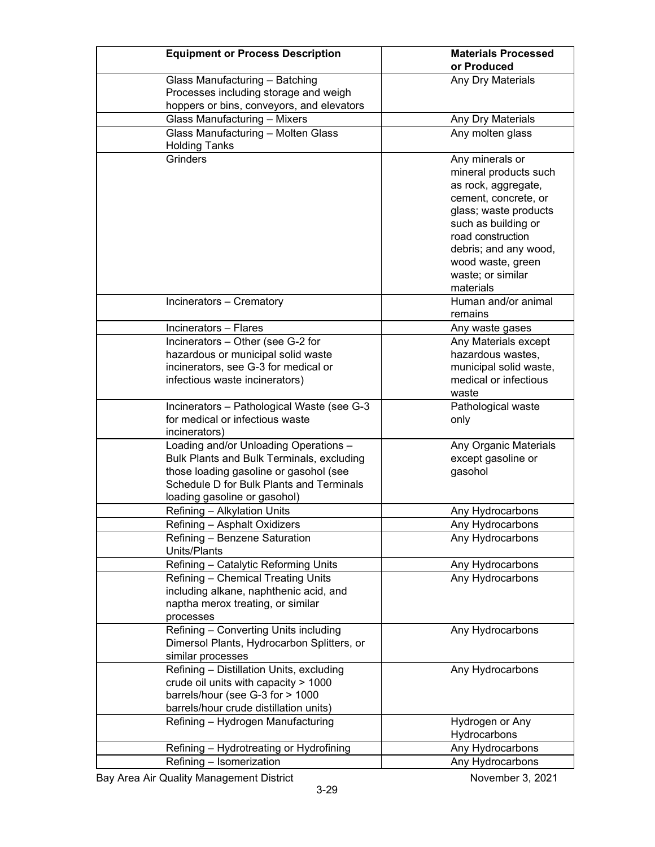| <b>Equipment or Process Description</b>          | <b>Materials Processed</b><br>or Produced |
|--------------------------------------------------|-------------------------------------------|
| Glass Manufacturing - Batching                   | Any Dry Materials                         |
| Processes including storage and weigh            |                                           |
| hoppers or bins, conveyors, and elevators        |                                           |
| <b>Glass Manufacturing - Mixers</b>              | Any Dry Materials                         |
| Glass Manufacturing - Molten Glass               | Any molten glass                          |
| <b>Holding Tanks</b>                             |                                           |
| <b>Grinders</b>                                  | Any minerals or                           |
|                                                  | mineral products such                     |
|                                                  | as rock, aggregate,                       |
|                                                  | cement, concrete, or                      |
|                                                  | glass; waste products                     |
|                                                  | such as building or                       |
|                                                  | road construction                         |
|                                                  | debris; and any wood,                     |
|                                                  | wood waste, green                         |
|                                                  | waste; or similar<br>materials            |
| Incinerators - Crematory                         | Human and/or animal                       |
|                                                  | remains                                   |
| Incinerators - Flares                            | Any waste gases                           |
| Incinerators - Other (see G-2 for                | Any Materials except                      |
| hazardous or municipal solid waste               | hazardous wastes,                         |
| incinerators, see G-3 for medical or             | municipal solid waste,                    |
| infectious waste incinerators)                   | medical or infectious                     |
|                                                  | waste                                     |
| Incinerators - Pathological Waste (see G-3       | Pathological waste                        |
| for medical or infectious waste<br>incinerators) | only                                      |
| Loading and/or Unloading Operations -            | Any Organic Materials                     |
| Bulk Plants and Bulk Terminals, excluding        | except gasoline or                        |
| those loading gasoline or gasohol (see           | gasohol                                   |
| Schedule D for Bulk Plants and Terminals         |                                           |
| loading gasoline or gasohol)                     |                                           |
| Refining - Alkylation Units                      | Any Hydrocarbons                          |
| Refining - Asphalt Oxidizers                     | Any Hydrocarbons                          |
| Refining - Benzene Saturation                    | Any Hydrocarbons                          |
| Units/Plants                                     |                                           |
| Refining - Catalytic Reforming Units             | Any Hydrocarbons                          |
| Refining - Chemical Treating Units               | Any Hydrocarbons                          |
| including alkane, naphthenic acid, and           |                                           |
| naptha merox treating, or similar                |                                           |
| processes                                        |                                           |
| Refining - Converting Units including            | Any Hydrocarbons                          |
| Dimersol Plants, Hydrocarbon Splitters, or       |                                           |
| similar processes                                |                                           |
| Refining - Distillation Units, excluding         | Any Hydrocarbons                          |
| crude oil units with capacity > 1000             |                                           |
| barrels/hour (see G-3 for > 1000                 |                                           |
| barrels/hour crude distillation units)           |                                           |
| Refining - Hydrogen Manufacturing                | Hydrogen or Any<br>Hydrocarbons           |
| Refining - Hydrotreating or Hydrofining          | Any Hydrocarbons                          |
| Refining - Isomerization                         | Any Hydrocarbons                          |
|                                                  |                                           |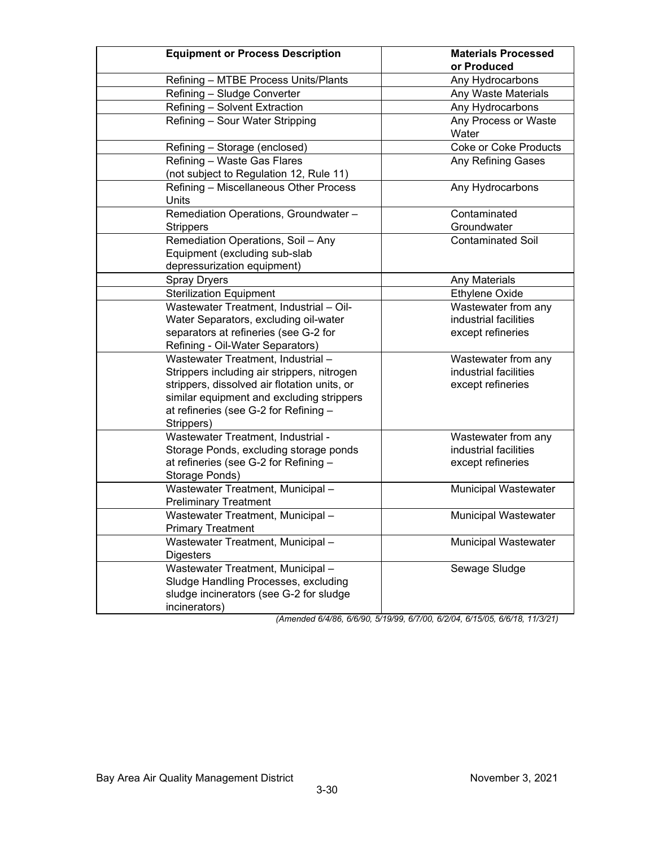| <b>Equipment or Process Description</b>                                                                                                                                                                                               | <b>Materials Processed</b><br>or Produced                         |
|---------------------------------------------------------------------------------------------------------------------------------------------------------------------------------------------------------------------------------------|-------------------------------------------------------------------|
| Refining - MTBE Process Units/Plants                                                                                                                                                                                                  | Any Hydrocarbons                                                  |
| Refining - Sludge Converter                                                                                                                                                                                                           | Any Waste Materials                                               |
| Refining - Solvent Extraction                                                                                                                                                                                                         | Any Hydrocarbons                                                  |
| Refining - Sour Water Stripping                                                                                                                                                                                                       | Any Process or Waste<br>Water                                     |
| Refining - Storage (enclosed)                                                                                                                                                                                                         | <b>Coke or Coke Products</b>                                      |
| Refining - Waste Gas Flares<br>(not subject to Regulation 12, Rule 11)                                                                                                                                                                | Any Refining Gases                                                |
| Refining - Miscellaneous Other Process<br><b>Units</b>                                                                                                                                                                                | Any Hydrocarbons                                                  |
| Remediation Operations, Groundwater -<br><b>Strippers</b>                                                                                                                                                                             | Contaminated<br>Groundwater                                       |
| Remediation Operations, Soil - Any<br>Equipment (excluding sub-slab<br>depressurization equipment)                                                                                                                                    | <b>Contaminated Soil</b>                                          |
| <b>Spray Dryers</b>                                                                                                                                                                                                                   | Any Materials                                                     |
| <b>Sterilization Equipment</b>                                                                                                                                                                                                        | Ethylene Oxide                                                    |
| Wastewater Treatment, Industrial - Oil-<br>Water Separators, excluding oil-water<br>separators at refineries (see G-2 for<br>Refining - Oil-Water Separators)                                                                         | Wastewater from any<br>industrial facilities<br>except refineries |
| Wastewater Treatment, Industrial -<br>Strippers including air strippers, nitrogen<br>strippers, dissolved air flotation units, or<br>similar equipment and excluding strippers<br>at refineries (see G-2 for Refining -<br>Strippers) | Wastewater from any<br>industrial facilities<br>except refineries |
| Wastewater Treatment, Industrial -<br>Storage Ponds, excluding storage ponds<br>at refineries (see G-2 for Refining -<br>Storage Ponds)                                                                                               | Wastewater from any<br>industrial facilities<br>except refineries |
| Wastewater Treatment, Municipal -<br><b>Preliminary Treatment</b>                                                                                                                                                                     | Municipal Wastewater                                              |
| Wastewater Treatment, Municipal -<br><b>Primary Treatment</b>                                                                                                                                                                         | Municipal Wastewater                                              |
| Wastewater Treatment, Municipal -<br><b>Digesters</b>                                                                                                                                                                                 | <b>Municipal Wastewater</b>                                       |
| Wastewater Treatment, Municipal -<br>Sludge Handling Processes, excluding<br>sludge incinerators (see G-2 for sludge<br>incinerators)                                                                                                 | Sewage Sludge                                                     |

*(Amended 6/4/86, 6/6/90, 5/19/99, 6/7/00, 6/2/04, 6/15/05, 6/6/18, 11/3/21)*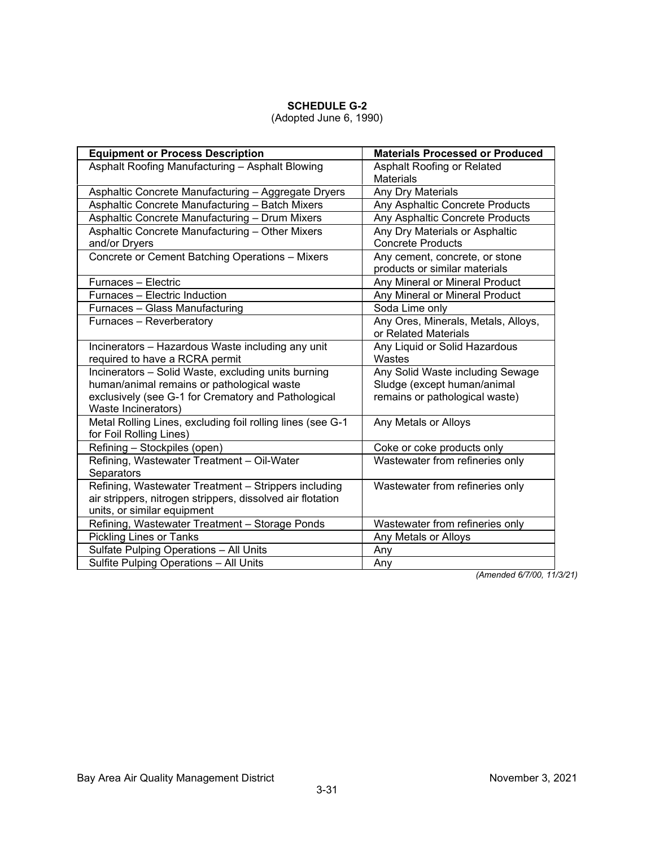### (Adopted June 6, 1990)

| <b>Equipment or Process Description</b>                    | <b>Materials Processed or Produced</b>         |  |  |  |
|------------------------------------------------------------|------------------------------------------------|--|--|--|
| Asphalt Roofing Manufacturing - Asphalt Blowing            | Asphalt Roofing or Related<br><b>Materials</b> |  |  |  |
| Asphaltic Concrete Manufacturing - Aggregate Dryers        | Any Dry Materials                              |  |  |  |
| Asphaltic Concrete Manufacturing - Batch Mixers            | Any Asphaltic Concrete Products                |  |  |  |
| Asphaltic Concrete Manufacturing - Drum Mixers             | Any Asphaltic Concrete Products                |  |  |  |
| Asphaltic Concrete Manufacturing - Other Mixers            | Any Dry Materials or Asphaltic                 |  |  |  |
| and/or Dryers                                              | <b>Concrete Products</b>                       |  |  |  |
| Concrete or Cement Batching Operations - Mixers            | Any cement, concrete, or stone                 |  |  |  |
|                                                            | products or similar materials                  |  |  |  |
| Furnaces - Electric                                        | Any Mineral or Mineral Product                 |  |  |  |
| Furnaces - Electric Induction                              | Any Mineral or Mineral Product                 |  |  |  |
| Furnaces - Glass Manufacturing                             | Soda Lime only                                 |  |  |  |
| Furnaces - Reverberatory                                   | Any Ores, Minerals, Metals, Alloys,            |  |  |  |
|                                                            | or Related Materials                           |  |  |  |
| Incinerators - Hazardous Waste including any unit          | Any Liquid or Solid Hazardous                  |  |  |  |
| required to have a RCRA permit                             | Wastes                                         |  |  |  |
| Incinerators - Solid Waste, excluding units burning        | Any Solid Waste including Sewage               |  |  |  |
| human/animal remains or pathological waste                 | Sludge (except human/animal                    |  |  |  |
| exclusively (see G-1 for Crematory and Pathological        | remains or pathological waste)                 |  |  |  |
| Waste Incinerators)                                        |                                                |  |  |  |
| Metal Rolling Lines, excluding foil rolling lines (see G-1 | Any Metals or Alloys                           |  |  |  |
| for Foil Rolling Lines)                                    |                                                |  |  |  |
| Refining - Stockpiles (open)                               | Coke or coke products only                     |  |  |  |
| Refining, Wastewater Treatment - Oil-Water                 | Wastewater from refineries only                |  |  |  |
| Separators                                                 |                                                |  |  |  |
| Refining, Wastewater Treatment - Strippers including       | Wastewater from refineries only                |  |  |  |
| air strippers, nitrogen strippers, dissolved air flotation |                                                |  |  |  |
| units, or similar equipment                                |                                                |  |  |  |
| Refining, Wastewater Treatment - Storage Ponds             | Wastewater from refineries only                |  |  |  |
| <b>Pickling Lines or Tanks</b>                             | Any Metals or Alloys                           |  |  |  |
| Sulfate Pulping Operations - All Units                     | Any                                            |  |  |  |
| Sulfite Pulping Operations - All Units                     | Any                                            |  |  |  |

*(Amended 6/7/00, 11/3/21)*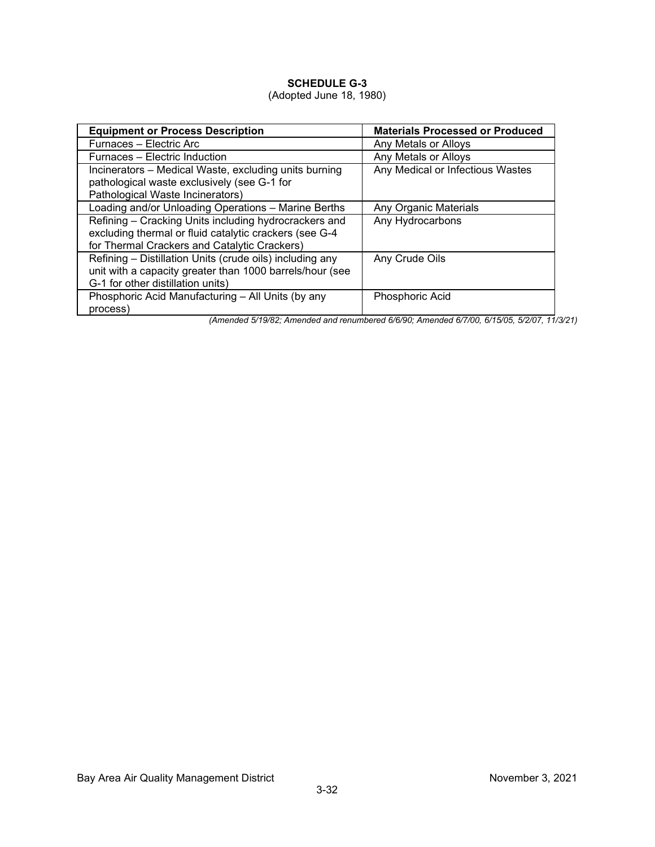### (Adopted June 18, 1980)

| <b>Equipment or Process Description</b>                  | <b>Materials Processed or Produced</b> |
|----------------------------------------------------------|----------------------------------------|
| Furnaces - Electric Arc                                  | Any Metals or Alloys                   |
| Furnaces – Electric Induction                            | Any Metals or Alloys                   |
| Incinerators – Medical Waste, excluding units burning    | Any Medical or Infectious Wastes       |
| pathological waste exclusively (see G-1 for              |                                        |
| Pathological Waste Incinerators)                         |                                        |
| Loading and/or Unloading Operations - Marine Berths      | Any Organic Materials                  |
| Refining – Cracking Units including hydrocrackers and    | Any Hydrocarbons                       |
| excluding thermal or fluid catalytic crackers (see G-4   |                                        |
| for Thermal Crackers and Catalytic Crackers)             |                                        |
| Refining - Distillation Units (crude oils) including any | Any Crude Oils                         |
| unit with a capacity greater than 1000 barrels/hour (see |                                        |
| G-1 for other distillation units)                        |                                        |
| Phosphoric Acid Manufacturing - All Units (by any        | Phosphoric Acid                        |
| process)                                                 |                                        |

*(Amended 5/19/82; Amended and renumbered 6/6/90; Amended 6/7/00, 6/15/05, 5/2/07, 11/3/21)*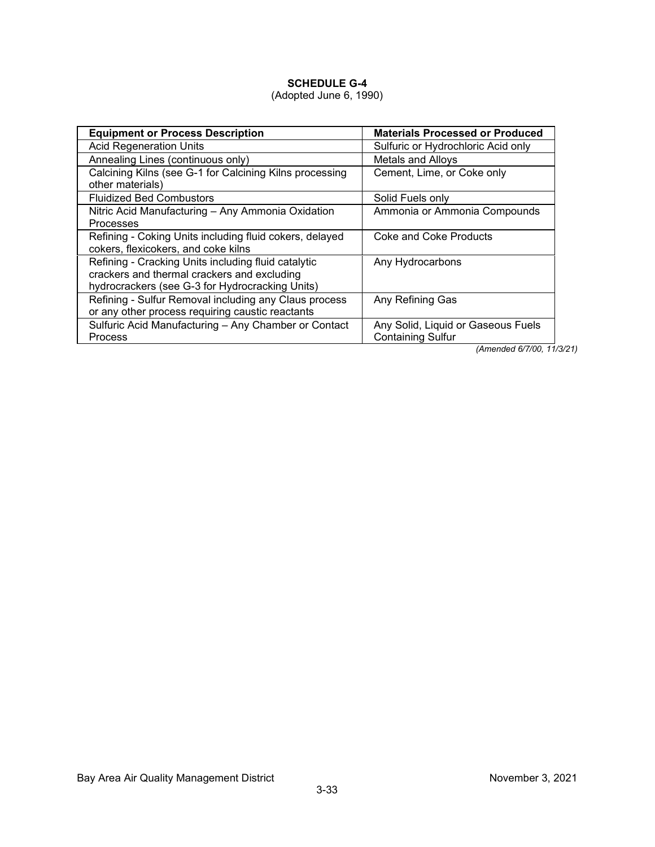# (Adopted June 6, 1990)

| <b>Equipment or Process Description</b>                                                                                                               | <b>Materials Processed or Produced</b>                         |  |  |  |
|-------------------------------------------------------------------------------------------------------------------------------------------------------|----------------------------------------------------------------|--|--|--|
| <b>Acid Regeneration Units</b>                                                                                                                        | Sulfuric or Hydrochloric Acid only                             |  |  |  |
| Annealing Lines (continuous only)                                                                                                                     | Metals and Alloys                                              |  |  |  |
| Calcining Kilns (see G-1 for Calcining Kilns processing<br>other materials)                                                                           | Cement, Lime, or Coke only                                     |  |  |  |
| <b>Fluidized Bed Combustors</b>                                                                                                                       | Solid Fuels only                                               |  |  |  |
| Nitric Acid Manufacturing - Any Ammonia Oxidation<br>Processes                                                                                        | Ammonia or Ammonia Compounds                                   |  |  |  |
| Refining - Coking Units including fluid cokers, delayed<br>cokers, flexicokers, and coke kilns                                                        | Coke and Coke Products                                         |  |  |  |
| Refining - Cracking Units including fluid catalytic<br>crackers and thermal crackers and excluding<br>hydrocrackers (see G-3 for Hydrocracking Units) | Any Hydrocarbons                                               |  |  |  |
| Refining - Sulfur Removal including any Claus process<br>or any other process requiring caustic reactants                                             | Any Refining Gas                                               |  |  |  |
| Sulfuric Acid Manufacturing - Any Chamber or Contact<br>Process                                                                                       | Any Solid, Liquid or Gaseous Fuels<br><b>Containing Sulfur</b> |  |  |  |

*(Amended 6/7/00, 11/3/21)*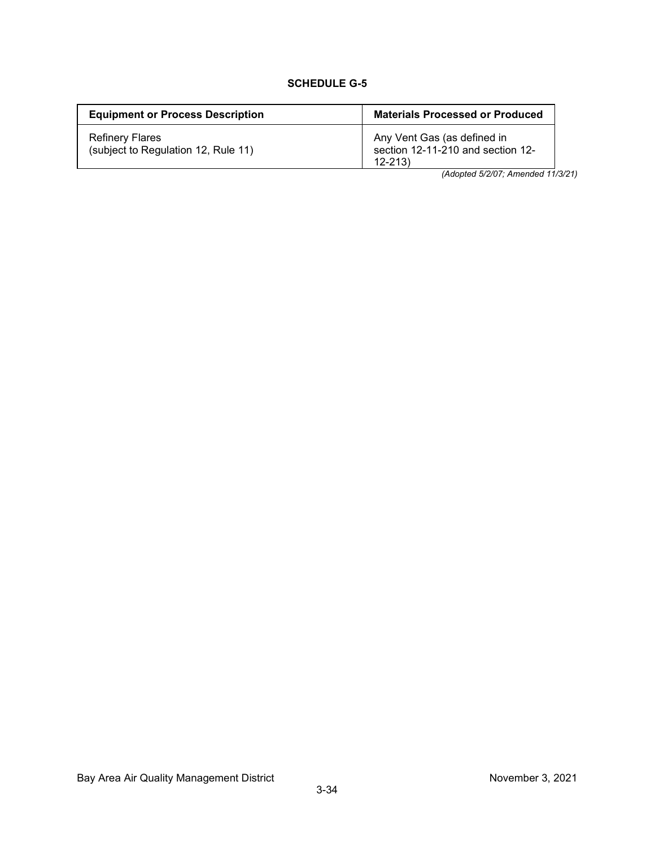| <b>Equipment or Process Description</b>                       | <b>Materials Processed or Produced</b>                                         |
|---------------------------------------------------------------|--------------------------------------------------------------------------------|
| <b>Refinery Flares</b><br>(subject to Regulation 12, Rule 11) | Any Vent Gas (as defined in<br>section 12-11-210 and section 12-<br>$12 - 213$ |

*(Adopted 5/2/07; Amended 11/3/21)*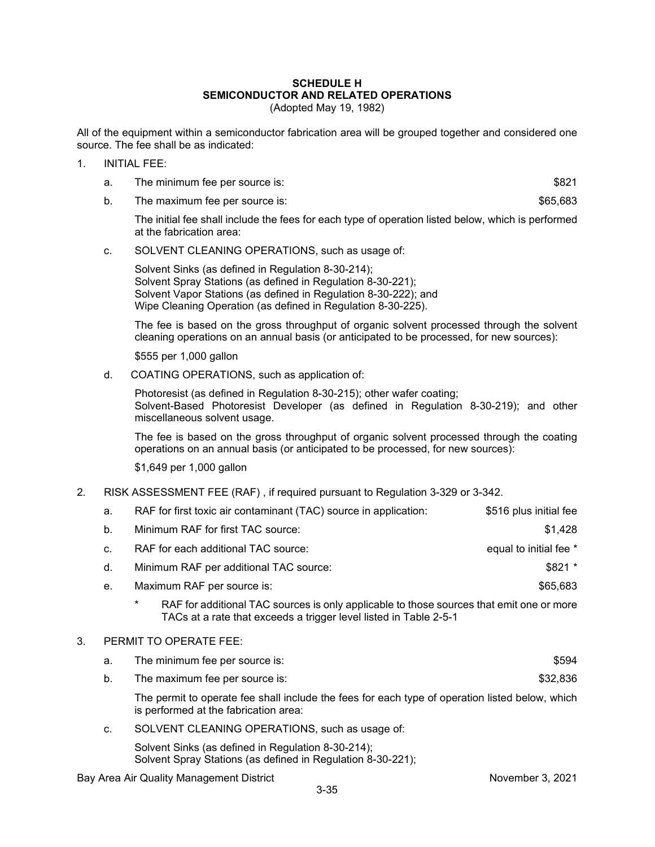#### **SCHEDULE H SEMICONDUCTOR AND RELATED OPERATIONS** (Adopted May 19, 1982)

All of the equipment within a semiconductor fabrication area will be grouped together and considered one source. The fee shall be as indicated:

- 1. INITIAL FEE:
	- a. The minimum fee per source is:  $$821$

b. The maximum fee per source is:  $$65,683$ 

The initial fee shall include the fees for each type of operation listed below, which is performed at the fabrication area:

c. SOLVENT CLEANING OPERATIONS, such as usage of:

Solvent Sinks (as defined in Regulation 8-30-214); Solvent Spray Stations (as defined in Regulation 8-30-221); Solvent Vapor Stations (as defined in Regulation 8-30-222); and Wipe Cleaning Operation (as defined in Regulation 8-30-225).

The fee is based on the gross throughput of organic solvent processed through the solvent cleaning operations on an annual basis (or anticipated to be processed, for new sources):

\$555 per 1,000 gallon

d. COATING OPERATIONS, such as application of:

Photoresist (as defined in Regulation 8-30-215); other wafer coating; Solvent-Based Photoresist Developer (as defined in Regulation 8-30-219); and other miscellaneous solvent usage.

The fee is based on the gross throughput of organic solvent processed through the coating operations on an annual basis (or anticipated to be processed, for new sources):

\$1,649 per 1,000 gallon

2. RISK ASSESSMENT FEE (RAF) , if required pursuant to Regulation 3-329 or 3-342.

|    | a.    | RAF for first toxic air contaminant (TAC) source in application:                                                                                                   | \$516 plus initial fee |  |  |  |  |  |  |
|----|-------|--------------------------------------------------------------------------------------------------------------------------------------------------------------------|------------------------|--|--|--|--|--|--|
|    | $b$ . | Minimum RAF for first TAC source:                                                                                                                                  | \$1,428                |  |  |  |  |  |  |
|    | C.    | RAF for each additional TAC source:                                                                                                                                | equal to initial fee * |  |  |  |  |  |  |
|    | d.    | Minimum RAF per additional TAC source:                                                                                                                             | \$821 *                |  |  |  |  |  |  |
|    | е.    | Maximum RAF per source is:                                                                                                                                         | \$65,683               |  |  |  |  |  |  |
|    |       | *<br>RAF for additional TAC sources is only applicable to those sources that emit one or more<br>TACs at a rate that exceeds a trigger level listed in Table 2-5-1 |                        |  |  |  |  |  |  |
| 3. |       | PERMIT TO OPERATE FEE:                                                                                                                                             |                        |  |  |  |  |  |  |
|    | a.    | The minimum fee per source is:<br>\$594                                                                                                                            |                        |  |  |  |  |  |  |
|    | b.    | The maximum fee per source is:                                                                                                                                     | \$32,836               |  |  |  |  |  |  |
|    |       |                                                                                                                                                                    |                        |  |  |  |  |  |  |

The permit to operate fee shall include the fees for each type of operation listed below, which is performed at the fabrication area:

c. SOLVENT CLEANING OPERATIONS, such as usage of:

Solvent Sinks (as defined in Regulation 8-30-214); Solvent Spray Stations (as defined in Regulation 8-30-221);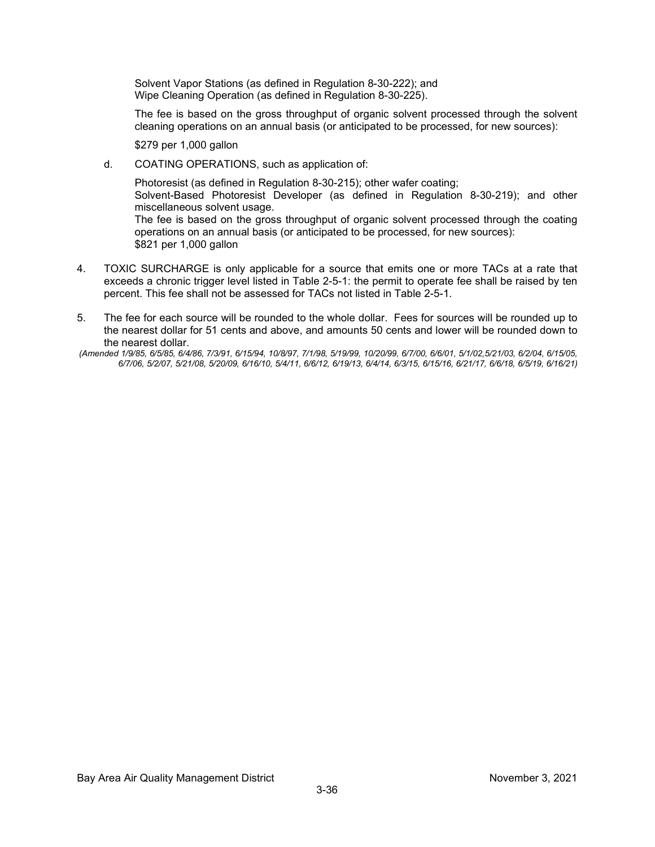Solvent Vapor Stations (as defined in Regulation 8-30-222); and Wipe Cleaning Operation (as defined in Regulation 8-30-225).

The fee is based on the gross throughput of organic solvent processed through the solvent cleaning operations on an annual basis (or anticipated to be processed, for new sources):

\$279 per 1,000 gallon

d. COATING OPERATIONS, such as application of:

Photoresist (as defined in Regulation 8-30-215); other wafer coating; Solvent-Based Photoresist Developer (as defined in Regulation 8-30-219); and other miscellaneous solvent usage. The fee is based on the gross throughput of organic solvent processed through the coating operations on an annual basis (or anticipated to be processed, for new sources): \$821 per 1,000 gallon

- 4. TOXIC SURCHARGE is only applicable for a source that emits one or more TACs at a rate that exceeds a chronic trigger level listed in Table 2-5-1: the permit to operate fee shall be raised by ten percent. This fee shall not be assessed for TACs not listed in Table 2-5-1.
- 5. The fee for each source will be rounded to the whole dollar. Fees for sources will be rounded up to the nearest dollar for 51 cents and above, and amounts 50 cents and lower will be rounded down to the nearest dollar.

*<sup>(</sup>Amended 1/9/85, 6/5/85, 6/4/86, 7/3/91, 6/15/94, 10/8/97, 7/1/98, 5/19/99, 10/20/99, 6/7/00, 6/6/01, 5/1/02,5/21/03, 6/2/04, 6/15/05, 6/7/06, 5/2/07, 5/21/08, 5/20/09, 6/16/10, 5/4/11, 6/6/12, 6/19/13, 6/4/14, 6/3/15, 6/15/16, 6/21/17, 6/6/18, 6/5/19, 6/16/21)*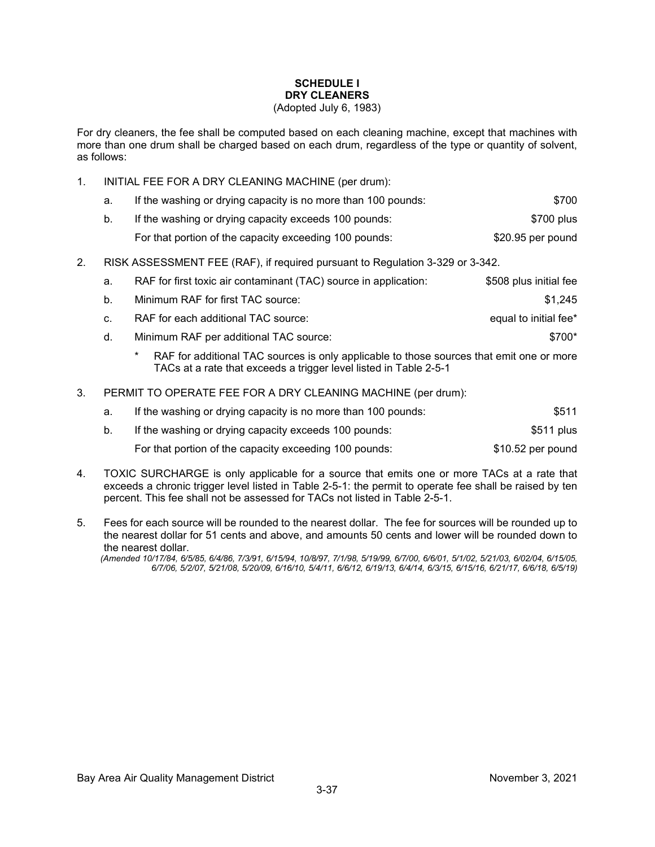# **SCHEDULE I DRY CLEANERS**

#### (Adopted July 6, 1983)

For dry cleaners, the fee shall be computed based on each cleaning machine, except that machines with more than one drum shall be charged based on each drum, regardless of the type or quantity of solvent, as follows:

1. INITIAL FEE FOR A DRY CLEANING MACHINE (per drum):

| а. | If the washing or drying capacity is no more than 100 pounds: | \$700             |
|----|---------------------------------------------------------------|-------------------|
| b. | If the washing or drying capacity exceeds 100 pounds:         | \$700 plus        |
|    | For that portion of the capacity exceeding 100 pounds:        | \$20.95 per pound |

2. RISK ASSESSMENT FEE (RAF), if required pursuant to Regulation 3-329 or 3-342.

| а.           | RAF for first toxic air contaminant (TAC) source in application: | \$508 plus initial fee |
|--------------|------------------------------------------------------------------|------------------------|
| b.           | Minimum RAF for first TAC source:                                | \$1.245                |
| $C_{\rm{r}}$ | RAF for each additional TAC source:                              | equal to initial fee*  |
| d.           | Minimum RAF per additional TAC source:                           | \$700*                 |

- RAF for additional TAC sources is only applicable to those sources that emit one or more TACs at a rate that exceeds a trigger level listed in Table 2-5-1
- 3. PERMIT TO OPERATE FEE FOR A DRY CLEANING MACHINE (per drum):

| а. | If the washing or drying capacity is no more than 100 pounds: | \$511             |
|----|---------------------------------------------------------------|-------------------|
| b. | If the washing or drying capacity exceeds 100 pounds:         | \$511 plus        |
|    | For that portion of the capacity exceeding 100 pounds:        | \$10.52 per pound |

- 4. TOXIC SURCHARGE is only applicable for a source that emits one or more TACs at a rate that exceeds a chronic trigger level listed in Table 2-5-1: the permit to operate fee shall be raised by ten percent. This fee shall not be assessed for TACs not listed in Table 2-5-1.
- 5. Fees for each source will be rounded to the nearest dollar. The fee for sources will be rounded up to the nearest dollar for 51 cents and above, and amounts 50 cents and lower will be rounded down to the nearest dollar.

*(Amended 10/17/84, 6/5/85, 6/4/86, 7/3/91, 6/15/94, 10/8/97, 7/1/98, 5/19/99, 6/7/00, 6/6/01, 5/1/02, 5/21/03, 6/02/04, 6/15/05, 6/7/06, 5/2/07, 5/21/08, 5/20/09, 6/16/10, 5/4/11, 6/6/12, 6/19/13, 6/4/14, 6/3/15, 6/15/16, 6/21/17, 6/6/18, 6/5/19)*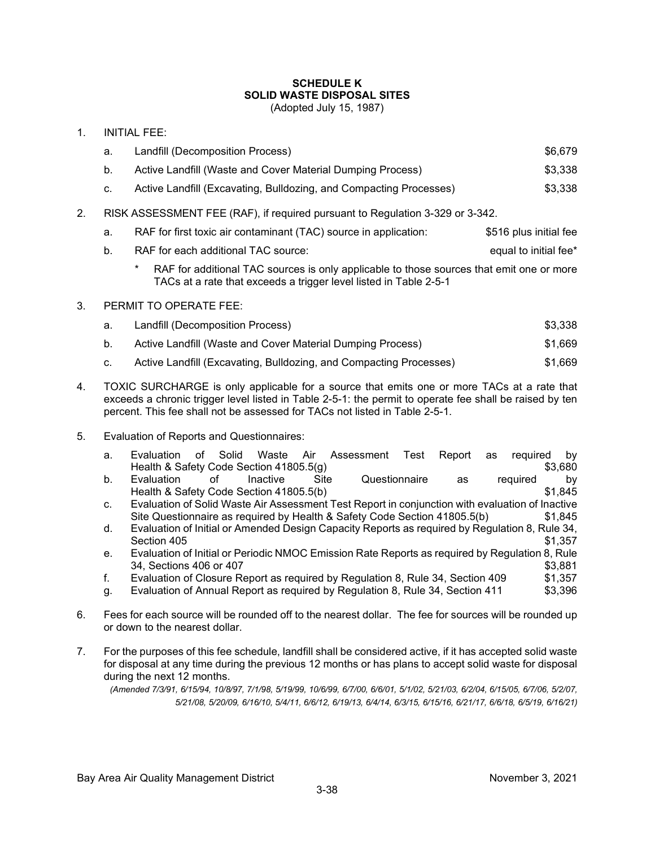# **SCHEDULE K SOLID WASTE DISPOSAL SITES**

(Adopted July 15, 1987)

| $\mathbf{1}$ .                                                                      | <b>INITIAL FEE:</b> |                                                                                                                                                                    |                       |  |  |  |  |  |
|-------------------------------------------------------------------------------------|---------------------|--------------------------------------------------------------------------------------------------------------------------------------------------------------------|-----------------------|--|--|--|--|--|
|                                                                                     | a.                  | Landfill (Decomposition Process)                                                                                                                                   | \$6,679               |  |  |  |  |  |
|                                                                                     | b.                  | Active Landfill (Waste and Cover Material Dumping Process)                                                                                                         | \$3,338               |  |  |  |  |  |
|                                                                                     | C.                  | \$3,338                                                                                                                                                            |                       |  |  |  |  |  |
| 2.<br>RISK ASSESSMENT FEE (RAF), if required pursuant to Regulation 3-329 or 3-342. |                     |                                                                                                                                                                    |                       |  |  |  |  |  |
|                                                                                     | a.                  | \$516 plus initial fee                                                                                                                                             |                       |  |  |  |  |  |
|                                                                                     | b.                  | RAF for each additional TAC source:                                                                                                                                | equal to initial fee* |  |  |  |  |  |
|                                                                                     |                     | *<br>RAF for additional TAC sources is only applicable to those sources that emit one or more<br>TACs at a rate that exceeds a trigger level listed in Table 2-5-1 |                       |  |  |  |  |  |

#### 3. PERMIT TO OPERATE FEE:

- a. Landfill (Decomposition Process) \$3,338
- b. Active Landfill (Waste and Cover Material Dumping Process)  $$1,669$
- c. Active Landfill (Excavating, Bulldozing, and Compacting Processes) \$1,669
- 4. TOXIC SURCHARGE is only applicable for a source that emits one or more TACs at a rate that exceeds a chronic trigger level listed in Table 2-5-1: the permit to operate fee shall be raised by ten percent. This fee shall not be assessed for TACs not listed in Table 2-5-1.
- 5. Evaluation of Reports and Questionnaires:

| a.             | Evaluation                              | of | Solid |                 |      | Waste Air Assessment Test Report as required by                                                 |    |          |         |
|----------------|-----------------------------------------|----|-------|-----------------|------|-------------------------------------------------------------------------------------------------|----|----------|---------|
|                | Health & Safety Code Section 41805.5(g) |    |       |                 |      |                                                                                                 |    |          | \$3,680 |
| b.             | Evaluation                              |    | ∩f    | <b>Inactive</b> | Site | Questionnaire                                                                                   | as | required | bv      |
|                | Health & Safety Code Section 41805.5(b) |    |       |                 |      |                                                                                                 |    |          | \$1.845 |
| C <sub>1</sub> |                                         |    |       |                 |      | Evaluation of Solid Waste Air Assessment Test Report in conjunction with evaluation of Inactive |    |          |         |
|                |                                         |    |       |                 |      | Site Questionnaire as required by Health & Safety Code Section 41805.5(b)                       |    |          | \$1,845 |

- d. Evaluation of Initial or Amended Design Capacity Reports as required by Regulation 8, Rule 34, Section 405 \$1,357
- e. Evaluation of Initial or Periodic NMOC Emission Rate Reports as required by Regulation 8, Rule \$3,881, Sections 406 or 407<br>Evaluation of Closure Report as required by Requlation 8, Rule 34, Section 409 \$1,357
- f. Evaluation of Closure Report as required by Regulation 8, Rule 34, Section 409
- g. Evaluation of Annual Report as required by Regulation 8, Rule 34, Section 411 \$3,396
- 6. Fees for each source will be rounded off to the nearest dollar. The fee for sources will be rounded up or down to the nearest dollar.
- 7. For the purposes of this fee schedule, landfill shall be considered active, if it has accepted solid waste for disposal at any time during the previous 12 months or has plans to accept solid waste for disposal during the next 12 months.

*(Amended 7/3/91, 6/15/94, 10/8/97, 7/1/98, 5/19/99, 10/6/99, 6/7/00, 6/6/01, 5/1/02, 5/21/03, 6/2/04, 6/15/05, 6/7/06, 5/2/07, 5/21/08, 5/20/09, 6/16/10, 5/4/11, 6/6/12, 6/19/13, 6/4/14, 6/3/15, 6/15/16, 6/21/17, 6/6/18, 6/5/19, 6/16/21)*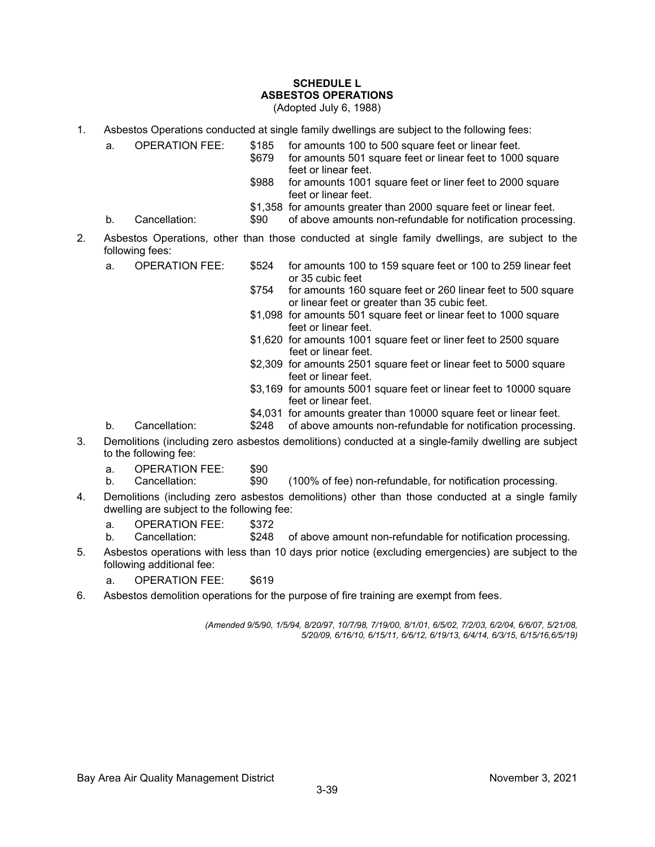# **SCHEDULE L ASBESTOS OPERATIONS**

(Adopted July 6, 1988)

- 1. Asbestos Operations conducted at single family dwellings are subject to the following fees:
	- a. OPERATION FEE: \$185 for amounts 100 to 500 square feet or linear feet.<br>\$679 for amounts 501 square feet or linear feet to 1000
		- for amounts 501 square feet or linear feet to 1000 square feet or linear feet.
		- \$988 for amounts 1001 square feet or liner feet to 2000 square feet or linear feet.
		- \$1,358 for amounts greater than 2000 square feet or linear feet.
	- b. Cancellation:  $$90$  of above amounts non-refundable for notification processing.
- 2. Asbestos Operations, other than those conducted at single family dwellings, are subject to the following fees:
	- a. OPERATION FEE: \$524 for amounts 100 to 159 square feet or 100 to 259 linear feet or 35 cubic feet
		- \$754 for amounts 160 square feet or 260 linear feet to 500 square or linear feet or greater than 35 cubic feet.
		- \$1,098 for amounts 501 square feet or linear feet to 1000 square feet or linear feet.
		- \$1,620 for amounts 1001 square feet or liner feet to 2500 square feet or linear feet.
		- \$2,309 for amounts 2501 square feet or linear feet to 5000 square feet or linear feet.
		- \$3,169 for amounts 5001 square feet or linear feet to 10000 square feet or linear feet.
		- \$4,031 for amounts greater than 10000 square feet or linear feet.
	- b. Cancellation: \$248 of above amounts non-refundable for notification processing.
- 3. Demolitions (including zero asbestos demolitions) conducted at a single-family dwelling are subject to the following fee:
	- a. OPERATION FEE: \$90
	- b. Cancellation: \$90 (100% of fee) non-refundable, for notification processing.
- 4. Demolitions (including zero asbestos demolitions) other than those conducted at a single family dwelling are subject to the following fee:
	- a. OPERATION FEE: \$372
	- b. Cancellation: \$248 of above amount non-refundable for notification processing.
- 5. Asbestos operations with less than 10 days prior notice (excluding emergencies) are subject to the following additional fee:
	- a. OPERATION FEE: \$619
- 6. Asbestos demolition operations for the purpose of fire training are exempt from fees.

*(Amended 9/5/90, 1/5/94, 8/20/97, 10/7/98, 7/19/00, 8/1/01, 6/5/02, 7/2/03, 6/2/04, 6/6/07, 5/21/08, 5/20/09, 6/16/10, 6/15/11, 6/6/12, 6/19/13, 6/4/14, 6/3/15, 6/15/16,6/5/19)*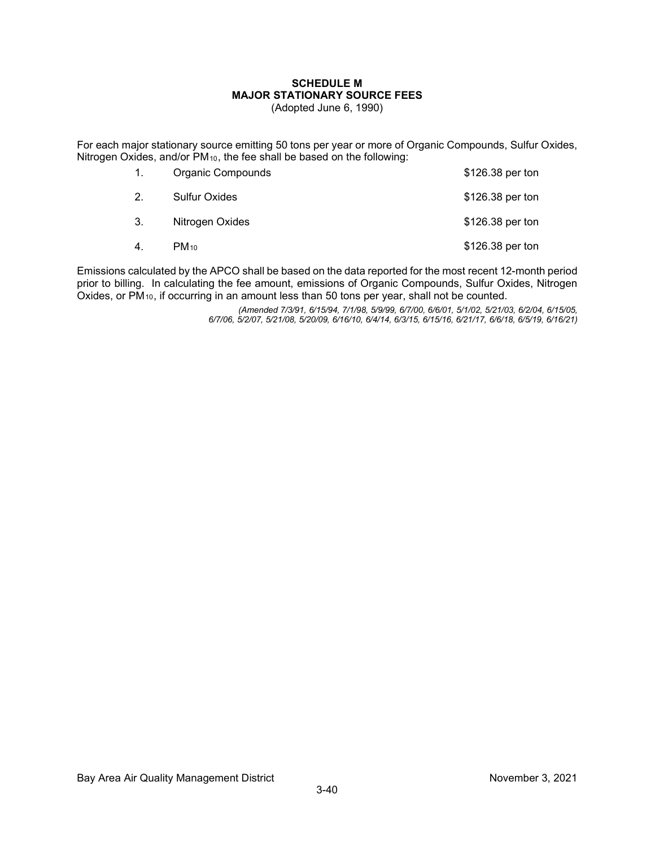#### **SCHEDULE M MAJOR STATIONARY SOURCE FEES** (Adopted June 6, 1990)

For each major stationary source emitting 50 tons per year or more of Organic Compounds, Sulfur Oxides, Nitrogen Oxides, and/or PM<sub>10</sub>, the fee shall be based on the following:

| 1. | Organic Compounds    | \$126.38 per ton |
|----|----------------------|------------------|
| 2. | <b>Sulfur Oxides</b> | \$126.38 per ton |
| 3. | Nitrogen Oxides      | \$126.38 per ton |
| 4. | $PM_{10}$            | \$126.38 per ton |

Emissions calculated by the APCO shall be based on the data reported for the most recent 12-month period prior to billing. In calculating the fee amount, emissions of Organic Compounds, Sulfur Oxides, Nitrogen Oxides, or  $PM_{10}$ , if occurring in an amount less than 50 tons per year, shall not be counted.

> *(Amended 7/3/91, 6/15/94, 7/1/98, 5/9/99, 6/7/00, 6/6/01, 5/1/02, 5/21/03, 6/2/04, 6/15/05, 6/7/06, 5/2/07, 5/21/08, 5/20/09, 6/16/10, 6/4/14, 6/3/15, 6/15/16, 6/21/17, 6/6/18, 6/5/19, 6/16/21)*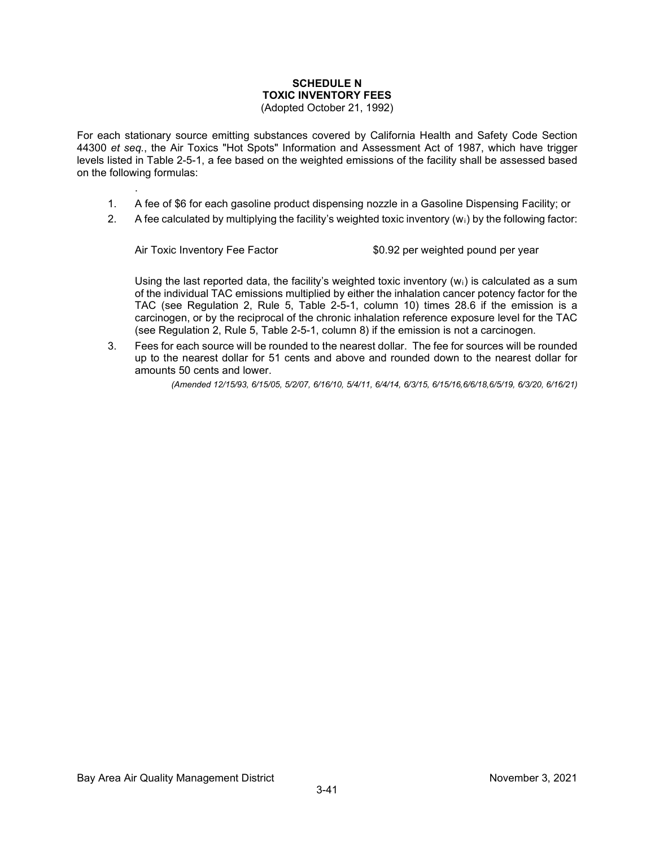#### **SCHEDULE N TOXIC INVENTORY FEES** (Adopted October 21, 1992)

For each stationary source emitting substances covered by California Health and Safety Code Section 44300 *et seq.*, the Air Toxics "Hot Spots" Information and Assessment Act of 1987, which have trigger levels listed in Table 2-5-1, a fee based on the weighted emissions of the facility shall be assessed based on the following formulas:

- 1. A fee of \$6 for each gasoline product dispensing nozzle in a Gasoline Dispensing Facility; or
- 2. A fee calculated by multiplying the facility's weighted toxic inventory  $(w_i)$  by the following factor:

.

Air Toxic Inventory Fee Factor **\$0.92** per weighted pound per year

Using the last reported data, the facility's weighted toxic inventory  $(w<sub>i</sub>)$  is calculated as a sum of the individual TAC emissions multiplied by either the inhalation cancer potency factor for the TAC (see Regulation 2, Rule 5, Table 2-5-1, column 10) times 28.6 if the emission is a carcinogen, or by the reciprocal of the chronic inhalation reference exposure level for the TAC (see Regulation 2, Rule 5, Table 2-5-1, column 8) if the emission is not a carcinogen.

3. Fees for each source will be rounded to the nearest dollar. The fee for sources will be rounded up to the nearest dollar for 51 cents and above and rounded down to the nearest dollar for amounts 50 cents and lower.

*(Amended 12/15/93, 6/15/05, 5/2/07, 6/16/10, 5/4/11, 6/4/14, 6/3/15, 6/15/16,6/6/18,6/5/19, 6/3/20, 6/16/21)*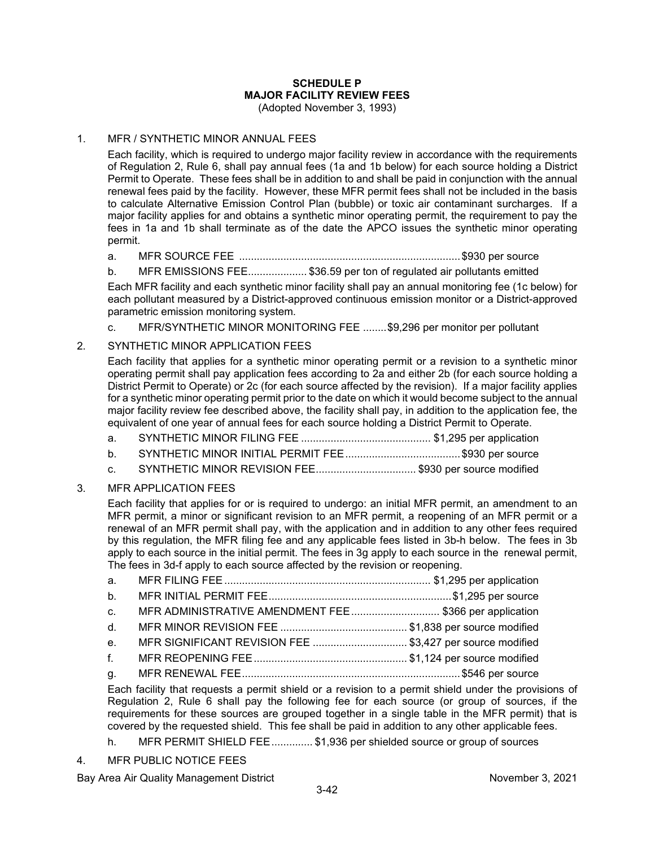# **SCHEDULE P MAJOR FACILITY REVIEW FEES**

(Adopted November 3, 1993)

### 1. MFR / SYNTHETIC MINOR ANNUAL FEES

Each facility, which is required to undergo major facility review in accordance with the requirements of Regulation 2, Rule 6, shall pay annual fees (1a and 1b below) for each source holding a District Permit to Operate. These fees shall be in addition to and shall be paid in conjunction with the annual renewal fees paid by the facility. However, these MFR permit fees shall not be included in the basis to calculate Alternative Emission Control Plan (bubble) or toxic air contaminant surcharges. If a major facility applies for and obtains a synthetic minor operating permit, the requirement to pay the fees in 1a and 1b shall terminate as of the date the APCO issues the synthetic minor operating permit.

- a. MFR SOURCE FEE ...........................................................................\$930 per source
- b. MFR EMISSIONS FEE.................... \$36.59 per ton of regulated air pollutants emitted

Each MFR facility and each synthetic minor facility shall pay an annual monitoring fee (1c below) for each pollutant measured by a District-approved continuous emission monitor or a District-approved parametric emission monitoring system.

c. MFR/SYNTHETIC MINOR MONITORING FEE ........\$9,296 per monitor per pollutant

### 2. SYNTHETIC MINOR APPLICATION FEES

Each facility that applies for a synthetic minor operating permit or a revision to a synthetic minor operating permit shall pay application fees according to 2a and either 2b (for each source holding a District Permit to Operate) or 2c (for each source affected by the revision). If a major facility applies for a synthetic minor operating permit prior to the date on which it would become subject to the annual major facility review fee described above, the facility shall pay, in addition to the application fee, the equivalent of one year of annual fees for each source holding a District Permit to Operate.

- a. SYNTHETIC MINOR FILING FEE ............................................ \$1,295 per application
- b. SYNTHETIC MINOR INITIAL PERMIT FEE.......................................\$930 per source
- c. SYNTHETIC MINOR REVISION FEE.................................. \$930 per source modified

### 3. MFR APPLICATION FEES

Each facility that applies for or is required to undergo: an initial MFR permit, an amendment to an MFR permit, a minor or significant revision to an MFR permit, a reopening of an MFR permit or a renewal of an MFR permit shall pay, with the application and in addition to any other fees required by this regulation, the MFR filing fee and any applicable fees listed in 3b-h below. The fees in 3b apply to each source in the initial permit. The fees in 3g apply to each source in the renewal permit, The fees in 3d-f apply to each source affected by the revision or reopening.

| b <sub>1</sub> |                                                          |  |
|----------------|----------------------------------------------------------|--|
| C <sub>1</sub> | MFR ADMINISTRATIVE AMENDMENT FEE\$366 per application    |  |
| $d_{\cdot}$    |                                                          |  |
| e <sub>1</sub> | MFR SIGNIFICANT REVISION FEE \$3,427 per source modified |  |
| $f_{\rm{max}}$ |                                                          |  |
|                |                                                          |  |

Each facility that requests a permit shield or a revision to a permit shield under the provisions of Regulation 2, Rule 6 shall pay the following fee for each source (or group of sources, if the requirements for these sources are grouped together in a single table in the MFR permit) that is covered by the requested shield. This fee shall be paid in addition to any other applicable fees.

- h. MFR PERMIT SHIELD FEE.............. \$1,936 per shielded source or group of sources
- 4. MFR PUBLIC NOTICE FEES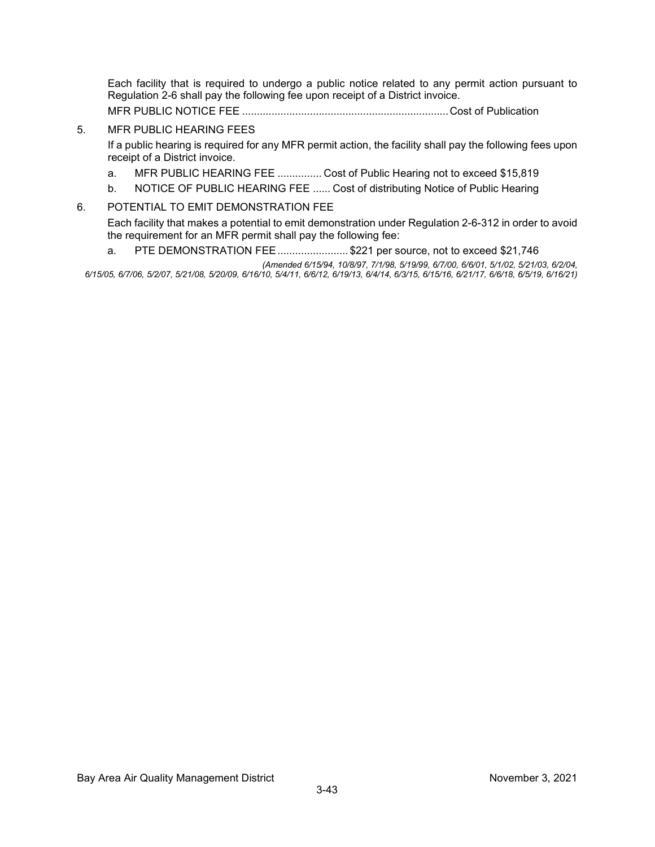Each facility that is required to undergo a public notice related to any permit action pursuant to Regulation 2-6 shall pay the following fee upon receipt of a District invoice.

MFR PUBLIC NOTICE FEE ......................................................................Cost of Publication

### 5. MFR PUBLIC HEARING FEES

If a public hearing is required for any MFR permit action, the facility shall pay the following fees upon receipt of a District invoice.

- a. MFR PUBLIC HEARING FEE ............... Cost of Public Hearing not to exceed \$15,819
- b. NOTICE OF PUBLIC HEARING FEE ...... Cost of distributing Notice of Public Hearing

#### 6. POTENTIAL TO EMIT DEMONSTRATION FEE

Each facility that makes a potential to emit demonstration under Regulation 2-6-312 in order to avoid the requirement for an MFR permit shall pay the following fee:

a. PTE DEMONSTRATION FEE........................ \$221 per source, not to exceed \$21,746

*(Amended 6/15/94, 10/8/97, 7/1/98, 5/19/99, 6/7/00, 6/6/01, 5/1/02, 5/21/03, 6/2/04, 6/15/05, 6/7/06, 5/2/07, 5/21/08, 5/20/09, 6/16/10, 5/4/11, 6/6/12, 6/19/13, 6/4/14, 6/3/15, 6/15/16, 6/21/17, 6/6/18, 6/5/19, 6/16/21)*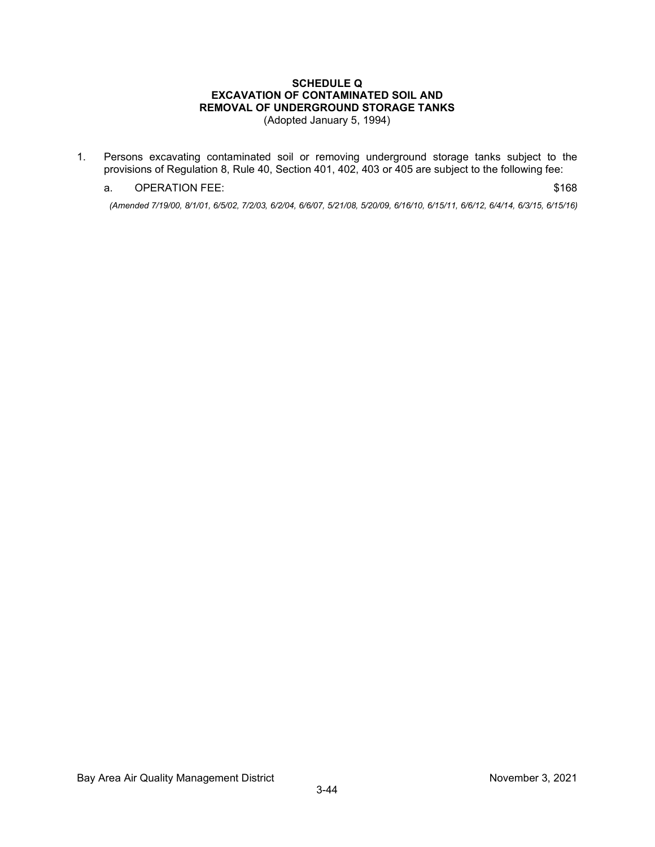# **SCHEDULE Q EXCAVATION OF CONTAMINATED SOIL AND REMOVAL OF UNDERGROUND STORAGE TANKS**

(Adopted January 5, 1994)

1. Persons excavating contaminated soil or removing underground storage tanks subject to the provisions of Regulation 8, Rule 40, Section 401, 402, 403 or 405 are subject to the following fee:

#### a. OPERATION FEE: \$168

*(Amended 7/19/00, 8/1/01, 6/5/02, 7/2/03, 6/2/04, 6/6/07, 5/21/08, 5/20/09, 6/16/10, 6/15/11, 6/6/12, 6/4/14, 6/3/15, 6/15/16)*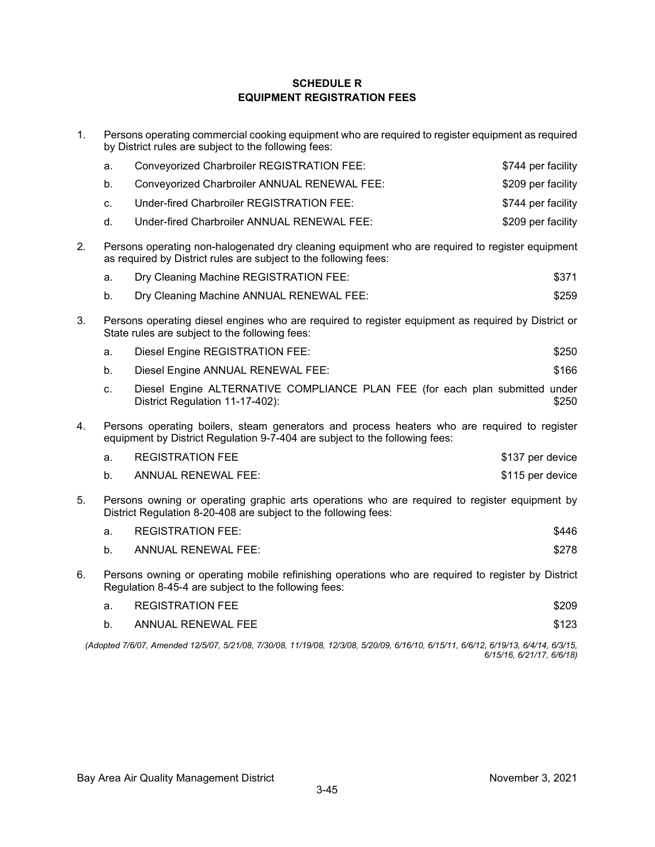### **SCHEDULE R EQUIPMENT REGISTRATION FEES**

1. Persons operating commercial cooking equipment who are required to register equipment as required by District rules are subject to the following fees:

|    | a.                                                                                                                                                                          | <b>Conveyorized Charbroiler REGISTRATION FEE:</b>                                                               | \$744 per facility |
|----|-----------------------------------------------------------------------------------------------------------------------------------------------------------------------------|-----------------------------------------------------------------------------------------------------------------|--------------------|
|    |                                                                                                                                                                             |                                                                                                                 |                    |
|    | b.                                                                                                                                                                          | Conveyorized Charbroiler ANNUAL RENEWAL FEE:                                                                    | \$209 per facility |
|    | C.                                                                                                                                                                          | Under-fired Charbroiler REGISTRATION FEE:                                                                       | \$744 per facility |
|    | d.                                                                                                                                                                          | Under-fired Charbroiler ANNUAL RENEWAL FEE:                                                                     | \$209 per facility |
| 2. | Persons operating non-halogenated dry cleaning equipment who are required to register equipment<br>as required by District rules are subject to the following fees:         |                                                                                                                 |                    |
|    | a.                                                                                                                                                                          | Dry Cleaning Machine REGISTRATION FEE:                                                                          | \$371              |
|    | b.                                                                                                                                                                          | Dry Cleaning Machine ANNUAL RENEWAL FEE:                                                                        | \$259              |
| 3. | Persons operating diesel engines who are required to register equipment as required by District or<br>State rules are subject to the following fees:                        |                                                                                                                 |                    |
|    | a.                                                                                                                                                                          | Diesel Engine REGISTRATION FEE:                                                                                 | \$250              |
|    | b.                                                                                                                                                                          | Diesel Engine ANNUAL RENEWAL FEE:                                                                               | \$166              |
|    | C.                                                                                                                                                                          | Diesel Engine ALTERNATIVE COMPLIANCE PLAN FEE (for each plan submitted under<br>District Regulation 11-17-402): | \$250              |
| 4. | Persons operating boilers, steam generators and process heaters who are required to register<br>equipment by District Regulation 9-7-404 are subject to the following fees: |                                                                                                                 |                    |
|    | a.                                                                                                                                                                          | <b>REGISTRATION FEE</b>                                                                                         | \$137 per device   |
|    | b <sub>1</sub>                                                                                                                                                              | <b>ANNUAL RENEWAL FEE:</b>                                                                                      | \$115 per device   |
| 5. | Persons owning or operating graphic arts operations who are required to register equipment by<br>District Regulation 8-20-408 are subject to the following fees:            |                                                                                                                 |                    |
|    | a.                                                                                                                                                                          | <b>REGISTRATION FEE:</b>                                                                                        | \$446              |
|    | b <sub>1</sub>                                                                                                                                                              | <b>ANNUAL RENEWAL FEE:</b>                                                                                      | \$278              |
| 6. | Persons owning or operating mobile refinishing operations who are required to register by District<br>Regulation 8-45-4 are subject to the following fees:                  |                                                                                                                 |                    |
|    | a.                                                                                                                                                                          | <b>REGISTRATION FEE</b>                                                                                         | \$209              |
|    | b.                                                                                                                                                                          | <b>ANNUAL RENEWAL FEE</b>                                                                                       | \$123              |
|    |                                                                                                                                                                             |                                                                                                                 |                    |

*(Adopted 7/6/07, Amended 12/5/07, 5/21/08, 7/30/08, 11/19/08, 12/3/08, 5/20/09, 6/16/10, 6/15/11, 6/6/12, 6/19/13, 6/4/14, 6/3/15, 6/15/16, 6/21/17, 6/6/18)*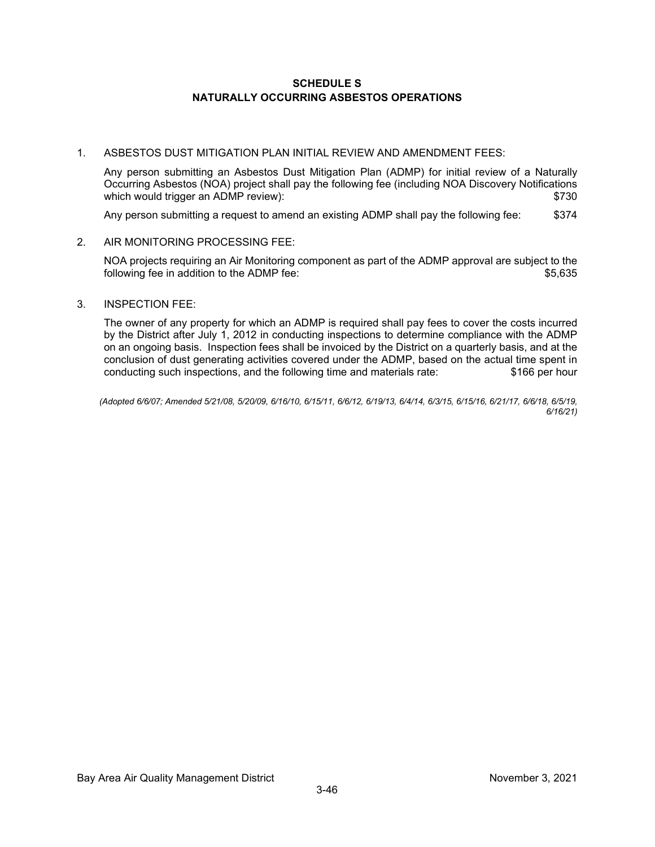#### **SCHEDULE S NATURALLY OCCURRING ASBESTOS OPERATIONS**

#### 1. ASBESTOS DUST MITIGATION PLAN INITIAL REVIEW AND AMENDMENT FEES:

Any person submitting an Asbestos Dust Mitigation Plan (ADMP) for initial review of a Naturally Occurring Asbestos (NOA) project shall pay the following fee (including NOA Discovery Notifications which would trigger an ADMP review):  $$730$ 

Any person submitting a request to amend an existing ADMP shall pay the following fee: \$374

#### 2. AIR MONITORING PROCESSING FEE:

NOA projects requiring an Air Monitoring component as part of the ADMP approval are subject to the following fee in addition to the ADMP fee:  $$5,635$ 

#### 3. INSPECTION FEE:

The owner of any property for which an ADMP is required shall pay fees to cover the costs incurred by the District after July 1, 2012 in conducting inspections to determine compliance with the ADMP on an ongoing basis. Inspection fees shall be invoiced by the District on a quarterly basis, and at the conclusion of dust generating activities covered under the ADMP, based on the actual time spent in conducting such inspections, and the following time and materials rate: \$166 per hour conducting such inspections, and the following time and materials rate:

*(Adopted 6/6/07; Amended 5/21/08, 5/20/09, 6/16/10, 6/15/11, 6/6/12, 6/19/13, 6/4/14, 6/3/15, 6/15/16, 6/21/17, 6/6/18, 6/5/19, 6/16/21)*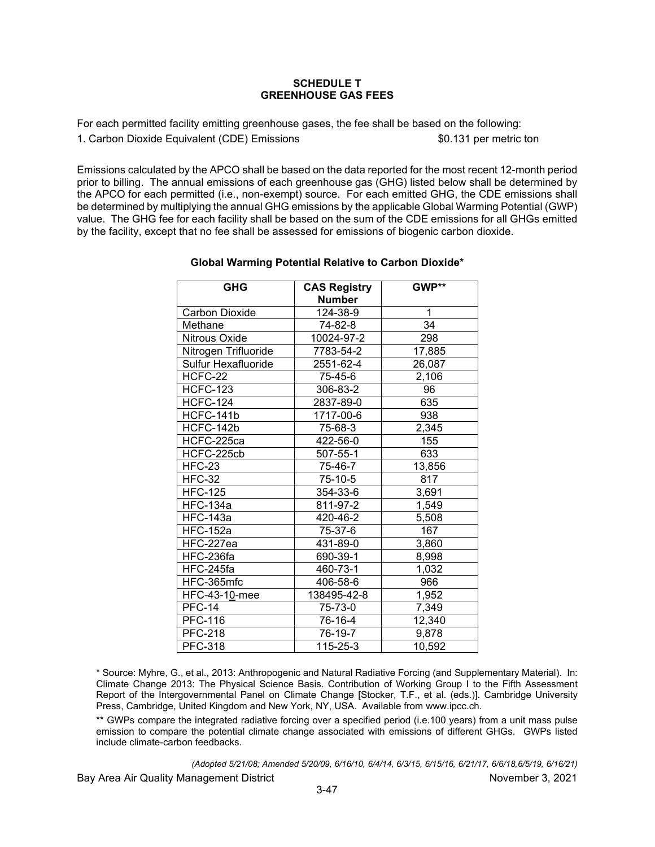#### **SCHEDULE T GREENHOUSE GAS FEES**

For each permitted facility emitting greenhouse gases, the fee shall be based on the following: 1. Carbon Dioxide Equivalent (CDE) Emissions \$0.131 per metric ton

Emissions calculated by the APCO shall be based on the data reported for the most recent 12-month period prior to billing. The annual emissions of each greenhouse gas (GHG) listed below shall be determined by the APCO for each permitted (i.e., non-exempt) source. For each emitted GHG, the CDE emissions shall be determined by multiplying the annual GHG emissions by the applicable Global Warming Potential (GWP) value. The GHG fee for each facility shall be based on the sum of the CDE emissions for all GHGs emitted by the facility, except that no fee shall be assessed for emissions of biogenic carbon dioxide.

| <b>GHG</b>            | <b>CAS Registry</b> | GWP**  |
|-----------------------|---------------------|--------|
|                       | <b>Number</b>       | 1      |
| <b>Carbon Dioxide</b> | 124-38-9            |        |
| Methane               | 74-82-8             | 34     |
| Nitrous Oxide         | 10024-97-2          | 298    |
| Nitrogen Trifluoride  | 7783-54-2           | 17,885 |
| Sulfur Hexafluoride   | 2551-62-4           | 26,087 |
| HCFC-22               | 75-45-6             | 2,106  |
| <b>HCFC-123</b>       | 306-83-2            | 96     |
| <b>HCFC-124</b>       | 2837-89-0           | 635    |
| HCFC-141b             | 1717-00-6           | 938    |
| HCFC-142b             | 75-68-3             | 2,345  |
| HCFC-225ca            | 422-56-0            | 155    |
| HCFC-225cb            | 507-55-1            | 633    |
| <b>HFC-23</b>         | 75-46-7             | 13,856 |
| <b>HFC-32</b>         | 75-10-5             | 817    |
| <b>HFC-125</b>        | 354-33-6            | 3,691  |
| <b>HFC-134a</b>       | 811-97-2            | 1,549  |
| <b>HFC-143a</b>       | 420-46-2            | 5,508  |
| <b>HFC-152a</b>       | 75-37-6             | 167    |
| HFC-227ea             | 431-89-0            | 3,860  |
| HFC-236fa             | 690-39-1            | 8,998  |
| HFC-245fa             | 460-73-1            | 1,032  |
| HFC-365mfc            | 406-58-6            | 966    |
| <b>HFC-43-10-mee</b>  | 138495-42-8         | 1,952  |
| <b>PFC-14</b>         | 75-73-0             | 7,349  |
| <b>PFC-116</b>        | 76-16-4             | 12,340 |
| <b>PFC-218</b>        | 76-19-7             | 9,878  |
| <b>PFC-318</b>        | 115-25-3            | 10,592 |

#### **Global Warming Potential Relative to Carbon Dioxide\***

\* Source: Myhre, G., et al., 2013: Anthropogenic and Natural Radiative Forcing (and Supplementary Material). In: Climate Change 2013: The Physical Science Basis. Contribution of Working Group I to the Fifth Assessment Report of the Intergovernmental Panel on Climate Change [Stocker, T.F., et al. (eds.)]. Cambridge University Press, Cambridge, United Kingdom and New York, NY, USA. Available from [www.ipcc.ch.](http://www.ipcc.ch/)

\*\* GWPs compare the integrated radiative forcing over a specified period (i.e.100 years) from a unit mass pulse emission to compare the potential climate change associated with emissions of different GHGs. GWPs listed include climate-carbon feedbacks.

Bay Area Air Quality Management District November 3, 2021 *(Adopted 5/21/08; Amended 5/20/09, 6/16/10, 6/4/14, 6/3/15, 6/15/16, 6/21/17, 6/6/18,6/5/19, 6/16/21)*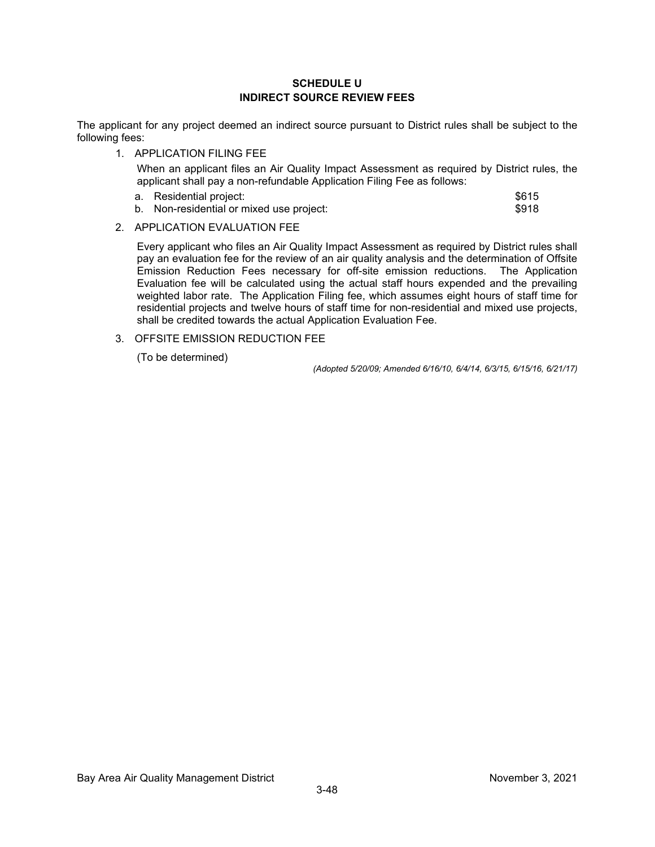#### **SCHEDULE U INDIRECT SOURCE REVIEW FEES**

The applicant for any project deemed an indirect source pursuant to District rules shall be subject to the following fees:

1. APPLICATION FILING FEE

When an applicant files an Air Quality Impact Assessment as required by District rules, the applicant shall pay a non-refundable Application Filing Fee as follows:

a. Residential project:  $\sim$  8615 b. Non-residential or mixed use project:  $$918$ 

#### 2. APPLICATION EVALUATION FEE

Every applicant who files an Air Quality Impact Assessment as required by District rules shall pay an evaluation fee for the review of an air quality analysis and the determination of Offsite Emission Reduction Fees necessary for off-site emission reductions. The Application Evaluation fee will be calculated using the actual staff hours expended and the prevailing weighted labor rate. The Application Filing fee, which assumes eight hours of staff time for residential projects and twelve hours of staff time for non-residential and mixed use projects, shall be credited towards the actual Application Evaluation Fee.

#### 3. OFFSITE EMISSION REDUCTION FEE

(To be determined)

*(Adopted 5/20/09; Amended 6/16/10, 6/4/14, 6/3/15, 6/15/16, 6/21/17)*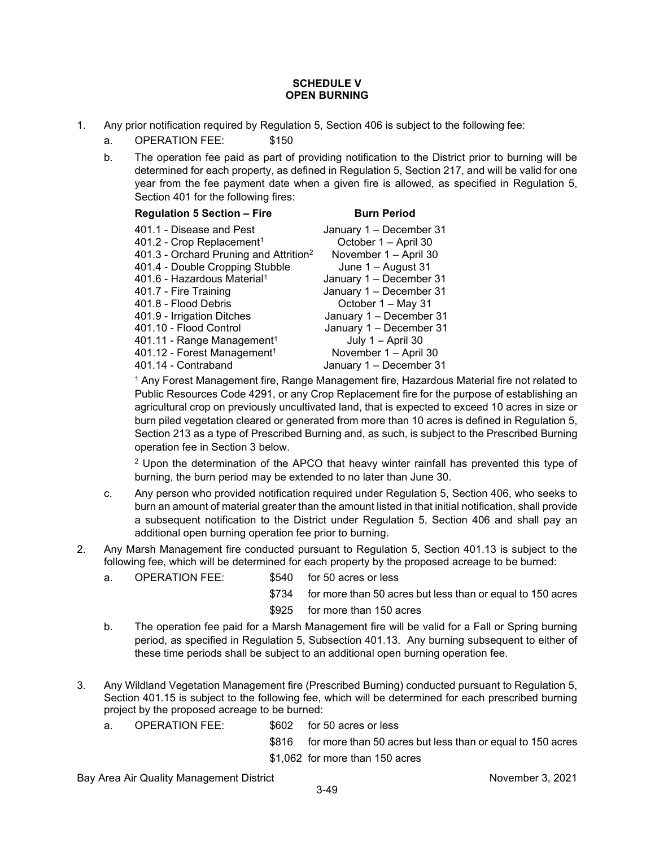#### **SCHEDULE V OPEN BURNING**

- 1. Any prior notification required by Regulation 5, Section 406 is subject to the following fee:
	- a. OPERATION FEE: \$150
	- b. The operation fee paid as part of providing notification to the District prior to burning will be determined for each property, as defined in Regulation 5, Section 217, and will be valid for one year from the fee payment date when a given fire is allowed, as specified in Regulation 5, Section 401 for the following fires:

| <b>Regulation 5 Section - Fire</b>                 | <b>Burn Period</b>      |
|----------------------------------------------------|-------------------------|
| 401.1 - Disease and Pest                           | January 1 - December 31 |
| 401.2 - Crop Replacement <sup>1</sup>              | October 1 - April 30    |
| 401.3 - Orchard Pruning and Attrition <sup>2</sup> | November 1 - April 30   |
| 401.4 - Double Cropping Stubble                    | June 1 - August 31      |
| 401.6 - Hazardous Material <sup>1</sup>            | January 1 - December 31 |
| 401.7 - Fire Training                              | January 1 - December 31 |
| 401.8 - Flood Debris                               | October 1 - May 31      |
| 401.9 - Irrigation Ditches                         | January 1 - December 31 |
| 401.10 - Flood Control                             | January 1 - December 31 |
| 401.11 - Range Management <sup>1</sup>             | July 1 - April 30       |
| 401.12 - Forest Management <sup>1</sup>            | November 1 - April 30   |
| 401.14 - Contraband                                | January 1 - December 31 |
|                                                    |                         |

<sup>1</sup> Any Forest Management fire, Range Management fire, Hazardous Material fire not related to Public Resources Code 4291, or any Crop Replacement fire for the purpose of establishing an agricultural crop on previously uncultivated land, that is expected to exceed 10 acres in size or burn piled vegetation cleared or generated from more than 10 acres is defined in Regulation 5, Section 213 as a type of Prescribed Burning and, as such, is subject to the Prescribed Burning operation fee in Section 3 below.

<sup>2</sup> Upon the determination of the APCO that heavy winter rainfall has prevented this type of burning, the burn period may be extended to no later than June 30.

- c. Any person who provided notification required under Regulation 5, Section 406, who seeks to burn an amount of material greater than the amount listed in that initial notification, shall provide a subsequent notification to the District under Regulation 5, Section 406 and shall pay an additional open burning operation fee prior to burning.
- 2. Any Marsh Management fire conducted pursuant to Regulation 5, Section 401.13 is subject to the following fee, which will be determined for each property by the proposed acreage to be burned:
	- a. OPERATION FEE: \$540 for 50 acres or less
		- \$734 for more than 50 acres but less than or equal to 150 acres
		- \$925 for more than 150 acres
	- b. The operation fee paid for a Marsh Management fire will be valid for a Fall or Spring burning period, as specified in Regulation 5, Subsection 401.13. Any burning subsequent to either of these time periods shall be subject to an additional open burning operation fee.
- 3. Any Wildland Vegetation Management fire (Prescribed Burning) conducted pursuant to Regulation 5, Section 401.15 is subject to the following fee, which will be determined for each prescribed burning project by the proposed acreage to be burned:
	- a. OPERATION FEE: \$602 for 50 acres or less
		- \$816 for more than 50 acres but less than or equal to 150 acres
		- \$1,062 for more than 150 acres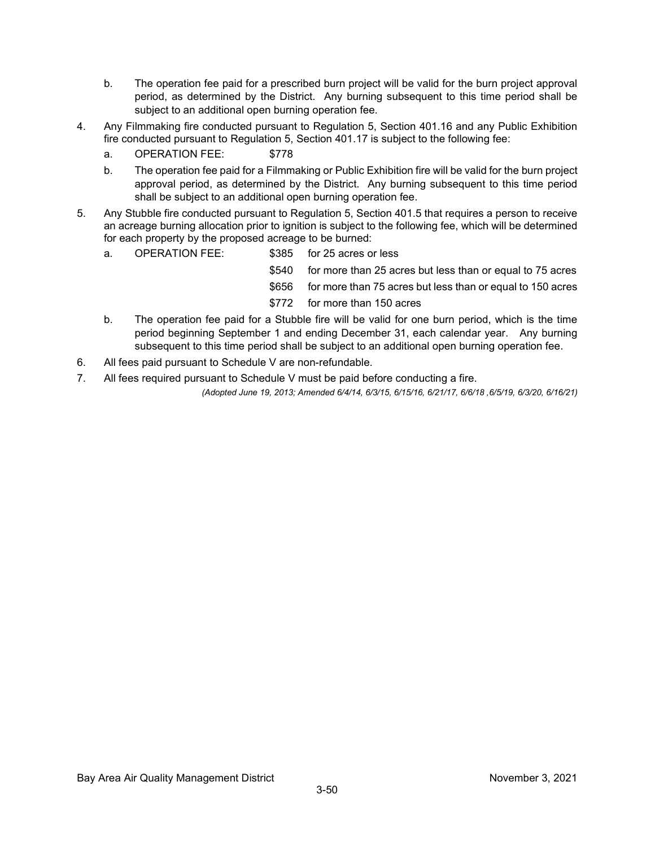- b. The operation fee paid for a prescribed burn project will be valid for the burn project approval period, as determined by the District. Any burning subsequent to this time period shall be subject to an additional open burning operation fee.
- 4. Any Filmmaking fire conducted pursuant to Regulation 5, Section 401.16 and any Public Exhibition fire conducted pursuant to Regulation 5, Section 401.17 is subject to the following fee:
	- a. OPERATION FEE: \$778
	- b. The operation fee paid for a Filmmaking or Public Exhibition fire will be valid for the burn project approval period, as determined by the District. Any burning subsequent to this time period shall be subject to an additional open burning operation fee.
- 5. Any Stubble fire conducted pursuant to Regulation 5, Section 401.5 that requires a person to receive an acreage burning allocation prior to ignition is subject to the following fee, which will be determined for each property by the proposed acreage to be burned:
	- a. OPERATION FEE: \$385 for 25 acres or less
		- \$540 for more than 25 acres but less than or equal to 75 acres
		- \$656 for more than 75 acres but less than or equal to 150 acres
		- \$772 for more than 150 acres
	- b. The operation fee paid for a Stubble fire will be valid for one burn period, which is the time period beginning September 1 and ending December 31, each calendar year. Any burning subsequent to this time period shall be subject to an additional open burning operation fee.
- 6. All fees paid pursuant to Schedule V are non-refundable.
- 7. All fees required pursuant to Schedule V must be paid before conducting a fire.

*(Adopted June 19, 2013; Amended 6/4/14, 6/3/15, 6/15/16, 6/21/17, 6/6/18 ,6/5/19, 6/3/20, 6/16/21)*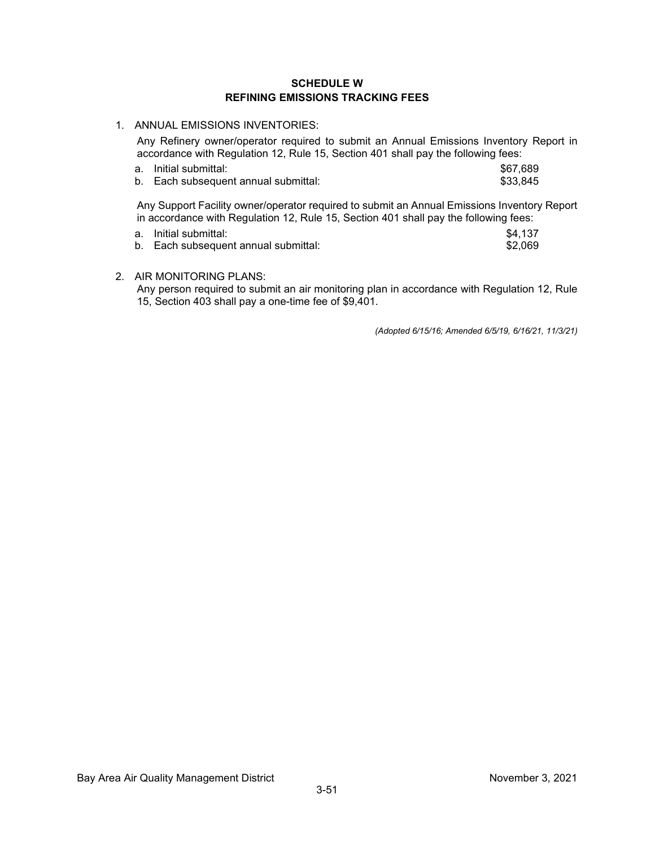#### **SCHEDULE W REFINING EMISSIONS TRACKING FEES**

1. ANNUAL EMISSIONS INVENTORIES:

Any Refinery owner/operator required to submit an Annual Emissions Inventory Report in accordance with Regulation 12, Rule 15, Section 401 shall pay the following fees:

a. Initial submittal: \$67,689<br>1. Each subsequent annual submittal: \$33,845 b. Each subsequent annual submittal:

Any Support Facility owner/operator required to submit an Annual Emissions Inventory Report in accordance with Regulation 12, Rule 15, Section 401 shall pay the following fees:

| a. Initial submittal:                | \$4.137 |
|--------------------------------------|---------|
| b. Each subsequent annual submittal: | \$2.069 |

2. AIR MONITORING PLANS:

Any person required to submit an air monitoring plan in accordance with Regulation 12, Rule 15, Section 403 shall pay a one-time fee of \$9,401.

*(Adopted 6/15/16; Amended 6/5/19, 6/16/21, 11/3/21)*